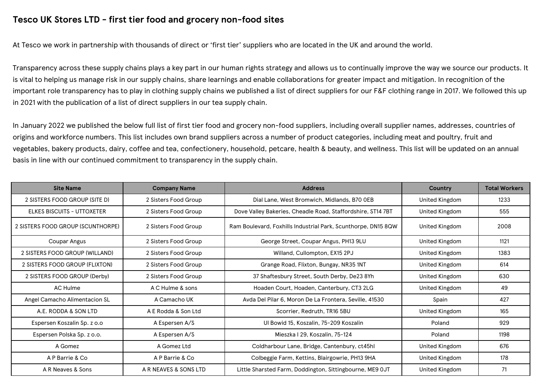## **Tesco UK Stores LTD - first tier food and grocery non-food sites**

At Tesco we work in partnership with thousands of direct or 'first tier' suppliers who are located in the UK and around the world.

Transparency across these supply chains plays a key part in our human rights strategy and allows us to continually improve the way we source our products. It is vital to helping us manage risk in our supply chains, share learnings and enable collaborations for greater impact and mitigation. In recognition of the important role transparency has to play in clothing supply chains we published a list of direct suppliers for our F&F clothing range in 2017. We followed this up in 2021 with the publication of a list of direct suppliers in our tea supply chain.

In January 2022 we published the below full list of first tier food and grocery non-food suppliers, including overall supplier names, addresses, countries of origins and workforce numbers. This list includes own brand suppliers across a number of product categories, including meat and poultry, fruit and vegetables, bakery products, dairy, coffee and tea, confectionery, household, petcare, health & beauty, and wellness. This list will be updated on an annual basis in line with our continued commitment to transparency in the supply chain.

| <b>Site Name</b>                  | <b>Company Name</b>   | <b>Address</b>                                                | Country        | <b>Total Workers</b> |
|-----------------------------------|-----------------------|---------------------------------------------------------------|----------------|----------------------|
| 2 SISTERS FOOD GROUP (SITE D)     | 2 Sisters Food Group  | Dial Lane, West Bromwich, Midlands, B70 OEB                   | United Kingdom | 1233                 |
| <b>ELKES BISCUITS - UTTOXETER</b> | 2 Sisters Food Group  | Dove Valley Bakeries, Cheadle Road, Staffordshire, ST14 7BT   | United Kingdom | 555                  |
| 2 SISTERS FOOD GROUP (SCUNTHORPE) | 2 Sisters Food Group  | Ram Boulevard, Foxhills Industrial Park, Scunthorpe, DN15 8QW | United Kingdom | 2008                 |
| Coupar Angus                      | 2 Sisters Food Group  | George Street, Coupar Angus, PH13 9LU                         | United Kingdom | 1121                 |
| 2 SISTERS FOOD GROUP (WILLAND)    | 2 Sisters Food Group  | Willand, Cullompton, EX15 2PJ                                 | United Kingdom | 1383                 |
| 2 SISTERS FOOD GROUP (FLIXTON)    | 2 Sisters Food Group  | Grange Road, Flixton, Bungay, NR35 1NT                        | United Kingdom | 614                  |
| 2 SISTERS FOOD GROUP (Derby)      | 2 Sisters Food Group  | 37 Shaftesbury Street, South Derby, De23 8Yh                  | United Kingdom | 630                  |
| AC Hulme                          | A C Hulme & sons      | Hoaden Court, Hoaden, Canterbury, CT3 2LG                     | United Kingdom | 49                   |
| Angel Camacho Alimentacion SL     | A Camacho UK          | Avda Del Pilar 6, Moron De La Frontera, Seville, 41530        | Spain          | 427                  |
| A.E. RODDA & SON LTD              | A E Rodda & Son Ltd   | Scorrier, Redruth, TR16 5BU                                   | United Kingdom | 165                  |
| Espersen Koszalin Sp. z o.o       | A Espersen A/S        | Ul Bowid 15, Koszalin, 75-209 Koszalin                        | Poland         | 929                  |
| Espersen Polska Sp. z o.o.        | A Espersen A/S        | Mieszka I 29. Koszalin, 75-124                                | Poland         | 1198                 |
| A Gomez                           | A Gomez Ltd           | Coldharbour Lane, Bridge, Cantenbury, ct45hl                  | United Kingdom | 676                  |
| A P Barrie & Co                   | A P Barrie & Co       | Colbeggie Farm, Kettins, Blairgowrie, PH13 9HA                | United Kingdom | 178                  |
| A R Neaves & Sons                 | A R NEAVES & SONS LTD | Little Sharsted Farm, Doddington, Sittingbourne, ME9 OJT      | United Kingdom | 71                   |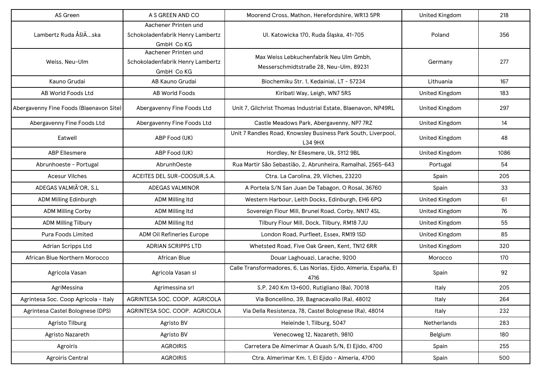| AS Green                                | A S GREEN AND CO                                                       | Moorend Cross, Mathon, Herefordshire, WR13 5PR                                    | <b>United Kingdom</b> | 218  |
|-----------------------------------------|------------------------------------------------------------------------|-----------------------------------------------------------------------------------|-----------------------|------|
| Lambertz Ruda ÅšlÄska                   | Aachener Printen und<br>Schokoladenfabrik Henry Lambertz<br>GmbH Co KG | UI. Katowicka 170, Ruda Śląska, 41-705                                            | Poland                | 356  |
| Weiss, Neu-Ulm                          | Aachener Printen und<br>Schokoladenfabrik Henry Lambertz<br>GmbH Co KG | Max Weiss Lebkuchenfabrik Neu Ulm Gmbh,<br>Messerschmidtstraße 28, Neu-Ulm, 89231 | Germany               | 277  |
| Kauno Grudai                            | AB Kauno Grudai                                                        | Biochemiku Str. 1, Kedainiai, LT - 57234                                          | Lithuania             | 167  |
| AB World Foods Ltd                      | <b>AB World Foods</b>                                                  | Kiribati Way, Leigh, WN7 5RS                                                      | <b>United Kingdom</b> | 183  |
| Abergavenny Fine Foods (Blaenavon Site) | Abergavenny Fine Foods Ltd                                             | Unit 7, Gilchrist Thomas Industrial Estate, Blaenavon, NP49RL                     | United Kingdom        | 297  |
| Abergavenny Fine Foods Ltd              | Abergavenny Fine Foods Ltd                                             | Castle Meadows Park, Abergavenny, NP7 7RZ                                         | <b>United Kingdom</b> | 14   |
| Eatwell                                 | ABP Food (UK)                                                          | Unit 7 Randles Road, Knowsley Business Park South, Liverpool,<br>L34 9HX          | <b>United Kingdom</b> | 48   |
| <b>ABP Ellesmere</b>                    | ABP Food (UK)                                                          | Hordley, Nr Ellesmere, Uk, SY12 9BL                                               | <b>United Kingdom</b> | 1086 |
| Abrunhoeste - Portugal                  | AbrunhOeste                                                            | Rua Martir São Sebastião, 2, Abrunheira, Ramalhal, 2565-643                       | Portugal              | 54   |
| <b>Acesur Vilches</b>                   | ACEITES DEL SUR-COOSUR, S.A.                                           | Ctra. La Carolina, 29, Vilches, 23220                                             | Spain                 | 205  |
| ADEGAS VALMIÃ'OR, S.L                   | <b>ADEGAS VALMINOR</b>                                                 | A Portela S/N San Juan De Tabagon, O Rosal, 36760                                 | Spain                 | 33   |
| ADM Milling Edinburgh                   | ADM Milling Itd                                                        | Western Harbour, Leith Docks, Edinburgh, EH6 6PQ                                  | <b>United Kingdom</b> | 61   |
| <b>ADM Milling Corby</b>                | ADM Milling Itd                                                        | Sovereign Flour Mill, Brunel Road, Corby, NN17 4SL                                | <b>United Kingdom</b> | 76   |
| <b>ADM Milling Tilbury</b>              | ADM Milling Itd                                                        | Tilbury Flour Mill, Dock, Tilbury, RM18 7JU                                       | <b>United Kingdom</b> | 55   |
| <b>Pura Foods Limited</b>               | ADM Oil Refineries Europe                                              | London Road, Purfleet, Essex, RM19 1SD                                            | <b>United Kingdom</b> | 85   |
| Adrian Scripps Ltd                      | <b>ADRIAN SCRIPPS LTD</b>                                              | Whetsted Road, Five Oak Green, Kent, TN12 6RR                                     | <b>United Kingdom</b> | 320  |
| African Blue Northern Morocco           | <b>African Blue</b>                                                    | Douar Laghouazi, Larache, 9200                                                    | Morocco               | 170  |
| Agricola Vasan                          | Agricola Vasan sl                                                      | Calle Transformadores, 6, Las Norias, Ejido, Almeria, España, El<br>4716          | Spain                 | 92   |
| AgriMessina                             | Agrimessina srl                                                        | S.P. 240 Km 13+600, Rutigliano (Ba), 70018                                        | Italy                 | 205  |
| Agrintesa Soc. Coop Agricola - Italy    | AGRINTESA SOC. COOP. AGRICOLA                                          | Via Boncellino, 39, Bagnacavallo (Ra), 48012                                      | Italy                 | 264  |
| Agrintesa Castel Bolognese (DPS)        | AGRINTESA SOC. COOP. AGRICOLA                                          | Via Della Resistenza, 78, Castel Bolognese (Ra), 48014                            | Italy                 | 232  |
| Agristo Tilburg                         | Agristo BV                                                             | Heieinde 1, Tilburg, 5047                                                         | Netherlands           | 283  |
| Agristo Nazareth                        | Agristo BV                                                             | Venecoweg 12, Nazareth, 9810                                                      | Belgium               | 180  |
| Agroiris                                | <b>AGROIRIS</b>                                                        | Carretera De Almerimar A Quash S/N, El Ejido, 4700                                | Spain                 | 255  |
| <b>Agroiris Central</b>                 | <b>AGROIRIS</b>                                                        | Ctra. Almerimar Km. 1, El Ejido - Almeria, 4700                                   | Spain                 | 500  |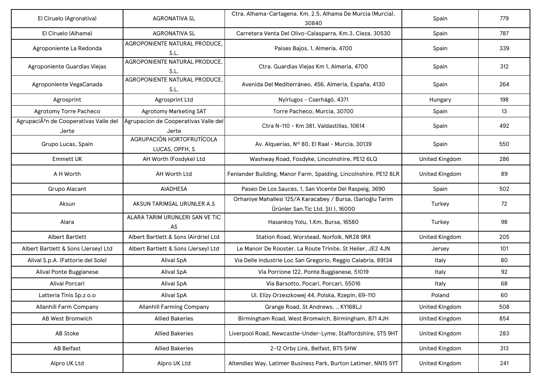| El Ciruelo (Agronativa)                                     | <b>AGRONATIVA SL</b>                          | Ctra. Alhama-Cartagena, Km. 2.5, Alhama De Murcia (Murcia),<br>30840                              | Spain                 | 779 |
|-------------------------------------------------------------|-----------------------------------------------|---------------------------------------------------------------------------------------------------|-----------------------|-----|
| El Ciruelo (Alhama)                                         | <b>AGRONATIVA SL</b>                          | Carretera Venta Del Olivo-Calasparra, Km.3, Cieza, 30530                                          | Spain                 | 787 |
| Agroponiente La Redonda                                     | AGROPONIENTE NATURAL PRODUCE,<br>S.L.         | Paises Bajos, 1, Almeria, 4700                                                                    | Spain                 | 339 |
| Agroponiente Guardias Viejas                                | AGROPONIENTE NATURAL PRODUCE,<br>S.L.         | Ctra. Guardias Viejas Km 1, Almeria, 4700                                                         | Spain                 | 312 |
| Agroponiente VegaCanada                                     | AGROPONIENTE NATURAL PRODUCE,<br>S.L.         | Avenida Del Mediterráneo, 456, Almería, España, 4130                                              | Spain                 | 264 |
| Agrosprint                                                  | Agrosprint Ltd                                | Nyírlugos - Cserhágó, 4371                                                                        | Hungary               | 198 |
| Agrotomy Torre Pacheco                                      | <b>Agrotomy Marketing SAT</b>                 | Torre Pacheco, Murcia, 30700                                                                      | Spain                 | 13  |
| AgrupaciÃ <sup>3</sup> n de Cooperativas Valle del<br>Jerte | Agrupacion de Cooperativas Valle del<br>Jerte | Ctra N-110 - Km 381, Valdastillas, 10614                                                          | Spain                 | 492 |
| Grupo Lucas, Spain                                          | AGRUPACIÓN HORTOFRUTÍCOLA<br>LUCAS, OPFH, S   | Av. Alquerías, Nº 80, El Raal - Murcia, 30139                                                     | Spain                 | 550 |
| <b>Emmett UK</b>                                            | AH Worth (Fosdyke) Ltd                        | Washway Road, Fosdyke, Lincolnshire, PE12 6LQ                                                     | <b>United Kingdom</b> | 286 |
| A H Worth                                                   | AH Worth Ltd                                  | Fenlander Building, Manor Farm, Spalding, Lincolnshire, PE12 8LR                                  | <b>United Kingdom</b> | 89  |
| Grupo Alacant                                               | <b>AIADHESA</b>                               | Paseo De Los Sauces, 1, San Vicente Del Raspeig, 3690                                             | Spain                 | 502 |
| Aksun                                                       | AKSUN TARIMSAL URUNLER A.S                    | Orhaniye Mahallesi 125/A Karacabey / Bursa, (Sarioğlu Tarim<br>Ürünler San. Tic Ltd. Şti ), 16000 | Turkey                | 72  |
| Alara                                                       | ALARA TARIM URUNLERI SAN VE TIC<br>AS         | Hasankoy Yolu, 1.Km, Bursa, 16580                                                                 | Turkey                | 98  |
| <b>Albert Bartlett</b>                                      | Albert Bartlett & Sons (Airdrie) Ltd          | Station Road, Worstead, Norfolk, NR28 9RX                                                         | <b>United Kingdom</b> | 205 |
| Albert Bartlett & Sons (Jersey) Ltd                         | Albert Bartlett & Sons (Jersey) Ltd           | Le Manoir De Rooster, La Route Trinite, St Helier, JE2 4JN                                        | Jersey                | 101 |
| Alival S.p.A. (Fattorie del Sole)                           | Alival SpA                                    | Via Delle Industrie Loc San Gregorio, Reggio Calabria, 89134                                      | Italy                 | 80  |
| Alival Ponte Buggianese                                     | <b>Alival SpA</b>                             | Via Porrione 122, Ponte Buggianese, 51019                                                         | Italy                 | 92  |
| Alival Porcari                                              | <b>Alival SpA</b>                             | Via Barsotto, Pocari, Porcari, 55016                                                              | Italy                 | 68  |
| Latteria Tinis Sp.z o.o                                     | Alival SpA                                    | Ul. Elizy Orzeszkowej 44, Polska, Rzepin, 69-110                                                  | Poland                | 60  |
| <b>Allanhill Farm Company</b>                               | <b>Allanhill Farming Company</b>              | Grange Road, St Andrews, ., KY168LJ                                                               | <b>United Kingdom</b> | 508 |
| AB West Bromwich                                            | <b>Allied Bakeries</b>                        | Birmingham Road, West Bromwich, Birmingham, B71 4JH                                               | <b>United Kingdom</b> | 854 |
| AB Stoke                                                    | <b>Allied Bakeries</b>                        | Liverpool Road, Newcastle-Under-Lyme, Staffordshire, ST5 9HT                                      | <b>United Kingdom</b> | 283 |
| <b>AB Belfast</b>                                           | <b>Allied Bakeries</b>                        | 2-12 Orby Link, Belfast, BT5 5HW                                                                  | United Kingdom        | 313 |
| Alpro UK Ltd                                                | Alpro UK Ltd                                  | Altendiez Way, Latimer Business Park, Burton Latimer, NN15 5YT                                    | <b>United Kingdom</b> | 241 |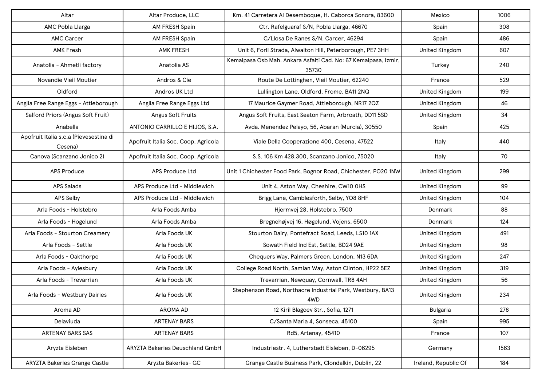| Altar                                             | Altar Produce, LLC                     | Km. 41 Carretera Al Desemboque, H. Caborca Sonora, 83600                 | Mexico                | 1006 |
|---------------------------------------------------|----------------------------------------|--------------------------------------------------------------------------|-----------------------|------|
| AMC Pobla Llarga                                  | AM FRESH Spain                         | Ctr. Rafelguaraf S/N, Pobla Llarga, 46670                                | Spain                 | 308  |
| <b>AMC Carcer</b>                                 | AM FRESH Spain                         | C/Llosa De Ranes S/N, Carcer, 46294                                      | Spain                 | 486  |
| <b>AMK Fresh</b>                                  | <b>AMK FRESH</b>                       | Unit 6, Forli Strada, Alwalton Hill, Peterborough, PE7 3HH               | <b>United Kingdom</b> | 607  |
| Anatolia - Ahmetli factory                        | Anatolia AS                            | Kemalpasa Osb Mah. Ankara Asfalti Cad. No: 67 Kemalpasa, Izmir,<br>35730 | Turkey                | 240  |
| Novandie Vieil Moutier                            | Andros & Cie                           | Route De Lottinghen, Vieil Moutier, 62240                                | France                | 529  |
| Oldford                                           | Andros UK Ltd                          | Lullington Lane, Oldford, Frome, BA11 2NQ                                | <b>United Kingdom</b> | 199  |
| Anglia Free Range Eggs - Attleborough             | Anglia Free Range Eggs Ltd             | 17 Maurice Gaymer Road, Attleborough, NR17 2QZ                           | <b>United Kingdom</b> | 46   |
| Salford Priors (Angus Soft Fruit)                 | Angus Soft Fruits                      | Angus Soft Fruits, East Seaton Farm, Arbroath, DD11 5SD                  | <b>United Kingdom</b> | 34   |
| Anabella                                          | ANTONIO CARRILLO E HIJOS, S.A.         | Avda. Menendez Pelayo, 56, Abaran (Murcia), 30550                        | Spain                 | 425  |
| Apofruit Italia s.c.a (Pievesestina di<br>Cesena) | Apofruit Italia Soc. Coop. Agricola    | Viale Della Cooperazione 400, Cesena, 47522                              | Italy                 | 440  |
| Canova (Scanzano Jonico 2)                        | Apofruit Italia Soc. Coop. Agricola    | S.S. 106 Km 428.300, Scanzano Jonico, 75020                              | Italy                 | 70   |
| <b>APS Produce</b>                                | APS Produce Ltd                        | Unit 1 Chichester Food Park, Bognor Road, Chichester, PO20 1NW           | <b>United Kingdom</b> | 299  |
| <b>APS Salads</b>                                 | APS Produce Ltd - Middlewich           | Unit 4, Aston Way, Cheshire, CW10 OHS                                    | <b>United Kingdom</b> | 99   |
| APS Selby                                         | APS Produce Ltd - Middlewich           | Brigg Lane, Camblesforth, Selby, YO8 8HF                                 | <b>United Kingdom</b> | 104  |
| Arla Foods - Holstebro                            | Arla Foods Amba                        | Hjermvej 28, Holstebro, 7500                                             | Denmark               | 88   |
| Arla Foods - Hogelund                             | Arla Foods Amba                        | Bregnehøjvej 16, Høgelund, Vojens, 6500                                  | Denmark               | 124  |
| Arla Foods - Stourton Creamery                    | Arla Foods UK                          | Stourton Dairy, Pontefract Road, Leeds, LS10 1AX                         | <b>United Kingdom</b> | 491  |
| Arla Foods - Settle                               | Arla Foods UK                          | Sowath Field Ind Est, Settle, BD24 9AE                                   | <b>United Kingdom</b> | 98   |
| Arla Foods - Oakthorpe                            | Arla Foods UK                          | Chequers Way, Palmers Green, London, N13 6DA                             | <b>United Kingdom</b> | 247  |
| Arla Foods - Aylesbury                            | Arla Foods UK                          | College Road North, Samian Way, Aston Clinton, HP22 5EZ                  | <b>United Kingdom</b> | 319  |
| Arla Foods - Trevarrian                           | Arla Foods UK                          | Trevarrian, Newquay, Cornwall, TR8 4AH                                   | <b>United Kingdom</b> | 56   |
| Arla Foods - Westbury Dairies                     | Arla Foods UK                          | Stephenson Road, Northacre Industrial Park, Westbury, BA13<br>4WD        | <b>United Kingdom</b> | 234  |
| Aroma AD                                          | <b>AROMA AD</b>                        | 12 Kiril Blagoev Str., Sofia, 1271                                       | <b>Bulgaria</b>       | 278  |
| Delaviuda                                         | <b>ARTENAY BARS</b>                    | C/Santa Maria 4, Sonseca, 45100                                          | Spain                 | 995  |
| ARTENAY BARS SAS                                  | <b>ARTENAY BARS</b>                    | Rd5, Artenay, 45410                                                      | France                | 107  |
| Aryzta Eisleben                                   | <b>ARYZTA Bakeries Deuschland GmbH</b> | Industriestr. 4, Lutherstadt Eisleben, D-06295                           | Germany               | 1563 |
| <b>ARYZTA Bakeries Grange Castle</b>              | Aryzta Bakeries- GC                    | Grange Castle Business Park, Clondalkin, Dublin, 22                      | Ireland, Republic Of  | 184  |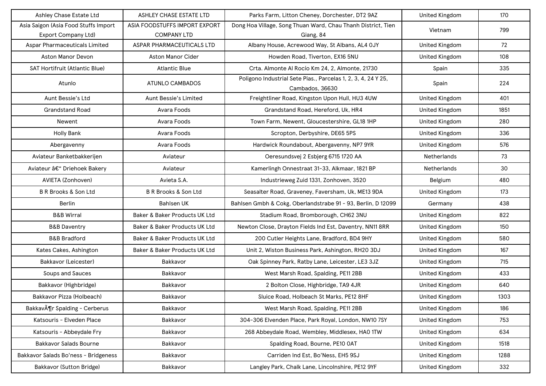| Ashley Chase Estate Ltd                   | ASHLEY CHASE ESTATE LTD       | Parks Farm, Litton Cheney, Dorchester, DT2 9AZ                                   | United Kingdom        | 170  |
|-------------------------------------------|-------------------------------|----------------------------------------------------------------------------------|-----------------------|------|
| Asia Saigon (Asia Food Stuffs Import      | ASIA FOODSTUFFS IMPORT EXPORT | Dong Hoa Village, Song Thuan Ward, Chau Thanh District, Tien                     | Vietnam               | 799  |
| <b>Export Company Ltd)</b>                | <b>COMPANY LTD</b>            | Giang, 84                                                                        |                       |      |
| Aspar Pharmaceuticals Limited             | ASPAR PHARMACEUTICALS LTD     | Albany House, Acrewood Way, St Albans, AL4 OJY                                   | <b>United Kingdom</b> | 72   |
| Aston Manor Devon                         | Aston Manor Cider             | Howden Road, Tiverton, EX16 5NU                                                  | <b>United Kingdom</b> | 108  |
| SAT Hortifruit (Atlantic Blue)            | <b>Atlantic Blue</b>          | Crta. Almonte Al Rocío Km 24, 2, Almonte, 21730                                  | Spain                 | 335  |
| Atunlo                                    | <b>ATUNLO CAMBADOS</b>        | Poligono Industrial Sete Pias., Parcelas 1, 2, 3, 4, 24 Y 25,<br>Cambados, 36630 | Spain                 | 224  |
| Aunt Bessie's Ltd                         | Aunt Bessie's Limited         | Freightliner Road, Kingston Upon Hull, HU3 4UW                                   | <b>United Kingdom</b> | 401  |
| <b>Grandstand Road</b>                    | Avara Foods                   | Grandstand Road, Hereford, Uk, HR4                                               | <b>United Kingdom</b> | 1851 |
| Newent                                    | Avara Foods                   | Town Farm, Newent, Gloucestershire, GL18 1HP                                     | <b>United Kingdom</b> | 280  |
| <b>Holly Bank</b>                         | Avara Foods                   | Scropton, Derbyshire, DE65 5PS                                                   | <b>United Kingdom</b> | 336  |
| Abergavenny                               | Avara Foods                   | Hardwick Roundabout, Abergavenny, NP7 9YR                                        | <b>United Kingdom</b> | 576  |
| Aviateur Banketbakkerijen                 | Aviateur                      | Oeresundsvej 2 Esbjerg 6715 1720 AA                                              | Netherlands           | 73   |
| Aviateur – Driehoek Bakery                | Aviateur                      | Kamerlingh Onnestraat 31-33, Alkmaar, 1821 BP                                    | Netherlands           | 30   |
| AVIETA (Zonhoven)                         | Avieta S.A.                   | Industrieweg Zuid 1331, Zonhoven, 3520                                           | Belgium               | 480  |
| B R Brooks & Son Ltd                      | B R Brooks & Son Ltd          | Seasalter Road, Graveney, Faversham, Uk, ME13 9DA                                | <b>United Kingdom</b> | 173  |
| Berlin                                    | <b>Bahlsen UK</b>             | Bahlsen Gmbh & Cokg, Oberlandstrabe 91 - 93, Berlin, D 12099                     | Germany               | 438  |
| <b>B&amp;B Wirral</b>                     | Baker & Baker Products UK Ltd | Stadium Road, Bromborough, CH62 3NU                                              | <b>United Kingdom</b> | 822  |
| <b>B&amp;B Daventry</b>                   | Baker & Baker Products UK Ltd | Newton Close, Drayton Fields Ind Est, Daventry, NN11 8RR                         | <b>United Kingdom</b> | 150  |
| <b>B&amp;B Bradford</b>                   | Baker & Baker Products UK Ltd | 200 Cutler Heights Lane, Bradford, BD4 9HY                                       | <b>United Kingdom</b> | 580  |
| Kates Cakes, Ashington                    | Baker & Baker Products UK Ltd | Unit 2, Wiston Business Park, Ashington, RH20 3DJ                                | <b>United Kingdom</b> | 167  |
| <b>Bakkavor (Leicester)</b>               | Bakkavor                      | Oak Spinney Park, Ratby Lane, Leicester, LE3 3JZ                                 | <b>United Kingdom</b> | 715  |
| Soups and Sauces                          | Bakkavor                      | West Marsh Road, Spalding, PE11 2BB                                              | <b>United Kingdom</b> | 433  |
| Bakkavor (Highbridge)                     | Bakkavor                      | 2 Bolton Close, Highbridge, TA9 4JR                                              | <b>United Kingdom</b> | 640  |
| Bakkavor Pizza (Holbeach)                 | Bakkavor                      | Sluice Road, Holbeach St Marks, PE12 8HF                                         | United Kingdom        | 1303 |
| Bakkav $\tilde{A}$ ¶r Spalding - Cerberus | Bakkavor                      | West Marsh Road, Spalding, PE11 2BB                                              | <b>United Kingdom</b> | 186  |
| Katsouris - Elveden Place                 | Bakkavor                      | 304-306 Elvenden Place, Park Royal, London, NW10 7SY                             | United Kingdom        | 753  |
| Katsouris - Abbeydale Fry                 | Bakkavor                      | 268 Abbeydale Road, Wembley, Middlesex, HAO 1TW                                  | United Kingdom        | 634  |
| <b>Bakkavor Salads Bourne</b>             | Bakkavor                      | Spalding Road, Bourne, PE10 OAT                                                  | United Kingdom        | 1518 |
| Bakkavor Salads Bo'ness - Bridgeness      | Bakkavor                      | Carriden Ind Est, Bo'Ness, EH5 9SJ                                               | United Kingdom        | 1288 |
| Bakkavor (Sutton Bridge)                  | Bakkavor                      | Langley Park, Chalk Lane, Lincolnshire, PE12 9YF                                 | <b>United Kingdom</b> | 332  |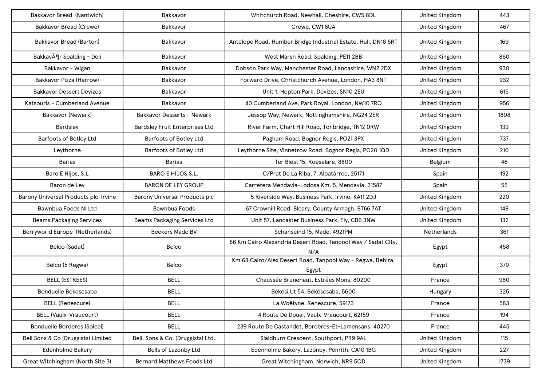| Bakkavor Bread (Nantwich)            | Bakkavor                              | Whitchurch Road, Newhall, Cheshire, CW5 8DL                          | <b>United Kingdom</b> | 443  |
|--------------------------------------|---------------------------------------|----------------------------------------------------------------------|-----------------------|------|
| Bakkavor Bread (Crewe)               | Bakkavor                              | Crewe, CW1 6UA                                                       | <b>United Kingdom</b> | 467  |
| Bakkavor Bread (Barton)              | Bakkavor                              | Antelope Road, Humber Bridge Industrial Estate, Hull, DN18 5RT       | <b>United Kingdom</b> | 169  |
| Bakkavör Spalding - Deli             | Bakkavor                              | West Marsh Road, Spalding, PE11 2BB                                  | <b>United Kingdom</b> | 860  |
| Bakkavor - Wigan                     | Bakkavor                              | Dobson Park Way, Manchester Road, Lancashire, WN2 2DX                | <b>United Kingdom</b> | 930  |
| Bakkavor Pizza (Harrow)              | Bakkavor                              | Forward Drive, Christchurch Avenue, London, HA3 8NT                  | <b>United Kingdom</b> | 932  |
| <b>Bakkavor Dessert Devizes</b>      | Bakkavor                              | Unit 1, Hopton Park, Devizes, SN10 2EU                               | <b>United Kingdom</b> | 615  |
| Katsouris - Cumberland Avenue        | Bakkavor                              | 40 Cumberland Ave, Park Royal, London, NW10 7RQ                      | <b>United Kingdom</b> | 956  |
| Bakkavor (Newark)                    | <b>Bakkavor Desserts - Newark</b>     | Jessop Way, Newark, Nottinghamshire, NG24 2ER                        | <b>United Kingdom</b> | 1808 |
| Bardsley                             | <b>Bardsley Fruit Enterprises Ltd</b> | River Farm, Chart Hill Road, Tonbridge, TN12 ORW                     | <b>United Kingdom</b> | 139  |
| Barfoots of Botley Ltd               | Barfoots of Botley Ltd                | Pagham Road, Bognor Regis, PO21 3PX                                  | <b>United Kingdom</b> | 737  |
| Leythorne                            | Barfoots of Botley Ltd                | Leythorne Site, Vinnetrow Road, Bognor Regis, PO20 1QD               | <b>United Kingdom</b> | 210  |
| <b>Barias</b>                        | Barias                                | Ter Biest 15, Roeselare, 8800                                        | Belgium               | 46   |
| Baro E Hijos, S.L                    | BARO E HIJOS, S.L.                    | C/Prat De La Riba, 7, Albatàrrec, 25171                              | Spain                 | 192  |
| Baron de Ley                         | <b>BARON DE LEY GROUP</b>             | Carretera Mendavia-Lodosa Km. 5, Mendavia, 31587                     | Spain                 | 55   |
| Barony Universal Products plc-Irvine | Barony Universal Products plc         | 5 Riverside Way, Business Park, Irvine, KA11 2DJ                     | <b>United Kingdom</b> | 220  |
| Bawnbua Foods NI Ltd                 | Bawnbua Foods                         | 67 Crowhill Road, Bleary, County Armagh, BT66 7AT                    | <b>United Kingdom</b> | 148  |
| <b>Beams Packaging Services</b>      | <b>Beams Packaging Services Ltd</b>   | Unit 57, Lancaster Business Park, Ely, CB6 3NW                       | <b>United Kingdom</b> | 132  |
| Berryworld Europe (Netherlands)      | <b>Beekers Made BV</b>                | Schanseind 15, Made, 4921PM                                          | Netherlands           | 361  |
| Belco (Sadat)                        | Belco                                 | 86 Km Cairo Alexandria Desert Road, Tanpool Way / Sadat City,<br>N/A | Egypt                 | 458  |
| Belco (5 Regwa)                      | Belco                                 | Km 68 Cairo/Alex Desert Road, Tanpool Way - Regwa, Behira,<br>Egypt  | Egypt                 | 379  |
| <b>BELL (ESTREES)</b>                | <b>BELL</b>                           | Chaussée Brunehaut, Estrées Mons, 80200                              | France                | 980  |
| Bonduelle Bekescsaba                 | <b>BELL</b>                           | Békési Ut 54, Békéscsaba, 5600                                       | Hungary               | 325  |
| <b>BELL (Renescure)</b>              | <b>BELL</b>                           | La Woëtyne, Renescure, 59173                                         | France                | 583  |
| <b>BELL (Vaulx-Vraucourt)</b>        | <b>BELL</b>                           | 4 Route De Douai, Vaulx-Vraucourt, 62159                             | France                | 194  |
| <b>Bonduelle Borderes (Soleal)</b>   | <b>BELL</b>                           | 239 Route De Castandet, Bordères-Et-Lamensans, 40270                 | France                | 445  |
| Bell Sons & Co (Druggists) Limited   | Bell, Sons & Co. (Druggists) Ltd.     | Slaidburn Crescent, Southport, PR9 9AL                               | United Kingdom        | 115  |
| <b>Edenholme Bakery</b>              | Bells of Lazonby Ltd                  | Edenholme Bakery, Lazonby, Penrith, CA10 1BG                         | <b>United Kingdom</b> | 227  |
| Great Witchingham (North Site 3)     | <b>Bernard Matthews Foods Ltd</b>     | Great Witchingham, Norwich, NR9 5QD                                  | United Kingdom        | 1739 |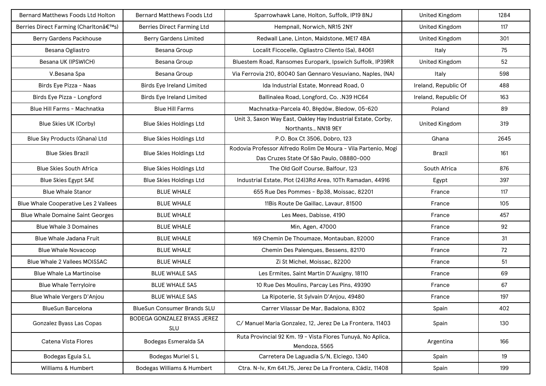| Bernard Matthews Foods Ltd Holton           | <b>Bernard Matthews Foods Ltd</b>  | Sparrowhawk Lane, Holton, Suffolk, IP19 8NJ                                                                | <b>United Kingdom</b> | 1284 |
|---------------------------------------------|------------------------------------|------------------------------------------------------------------------------------------------------------|-----------------------|------|
| Berries Direct Farming (Charlton's)         | Berries Direct Farming Ltd         | Hempnall, Norwich, NR15 2NY                                                                                | <b>United Kingdom</b> | 117  |
| <b>Berry Gardens Packhouse</b>              | <b>Berry Gardens Limited</b>       | Redwall Lane, Linton, Maidstone, ME17 4BA                                                                  | <b>United Kingdom</b> | 301  |
| Besana Ogliastro                            | Besana Group                       | Localit Ficocelle, Ogliastro Cilento (Sa), 84061                                                           | Italy                 | 75   |
| Besana UK (IPSWICH)                         | Besana Group                       | Bluestem Road, Ransomes Europark, Ipswich Suffolk, IP39RR                                                  | <b>United Kingdom</b> | 52   |
| V.Besana Spa                                | Besana Group                       | Via Ferrovia 210, 80040 San Gennaro Vesuviano, Naples, (NA)                                                | Italy                 | 598  |
| Birds Eye Pizza - Naas                      | <b>Birds Eye Ireland Limited</b>   | Ida Industrial Estate, Monread Road, 0                                                                     | Ireland, Republic Of  | 488  |
| Birds Eye Pizza - Longford                  | <b>Birds Eye Ireland Limited</b>   | Ballinalea Road, Longford, Co. . N39 HC64                                                                  | Ireland, Republic Of  | 163  |
| Blue Hill Farms - Machnatka                 | <b>Blue Hill Farms</b>             | Machnatka-Parcela 40, Błędów, Bledow, 05-620                                                               | Poland                | 89   |
| Blue Skies UK (Corby)                       | <b>Blue Skies Holdings Ltd</b>     | Unit 3, Saxon Way East, Oakley Hay Industrial Estate, Corby,<br>Northants., NN18 9EY                       | <b>United Kingdom</b> | 319  |
| Blue Sky Products (Ghana) Ltd               | <b>Blue Skies Holdings Ltd</b>     | P.O. Box Ct 3506, Dobro, 123                                                                               | Ghana                 | 2645 |
| <b>Blue Skies Brazil</b>                    | <b>Blue Skies Holdings Ltd</b>     | Rodovia Professor Alfredo Rolim De Moura - Vila Partenio, Mogi<br>Das Cruzes State Of São Paulo, 08880-000 | <b>Brazil</b>         | 161  |
| <b>Blue Skies South Africa</b>              | <b>Blue Skies Holdings Ltd</b>     | The Old Golf Course, Balfour, 123                                                                          | South Africa          | 876  |
| <b>Blue Skies Egypt SAE</b>                 | <b>Blue Skies Holdings Ltd</b>     | Industrial Estate, Plot (24)3Rd Area, 10Th Ramadan, 44916                                                  | Egypt                 | 397  |
| <b>Blue Whale Stanor</b>                    | <b>BLUE WHALE</b>                  | 655 Rue Des Pommes - Bp38, Moissac, 82201                                                                  | France                | 117  |
| <b>Blue Whale Cooperative Les 2 Vallees</b> | <b>BLUE WHALE</b>                  | 11Bis Route De Gaillac, Lavaur, 81500                                                                      | France                | 105  |
| <b>Blue Whale Domaine Saint Georges</b>     | <b>BLUE WHALE</b>                  | Les Mees, Dabisse, 4190                                                                                    | France                | 457  |
| <b>Blue Whale 3 Domaines</b>                | <b>BLUE WHALE</b>                  | Min, Agen, 47000                                                                                           | France                | 92   |
| Blue Whale Jadana Fruit                     | <b>BLUE WHALE</b>                  | 169 Chemin De Thoumaze, Montauban, 82000                                                                   | France                | 31   |
| <b>Blue Whale Novacoop</b>                  | <b>BLUE WHALE</b>                  | Chemin Des Palenques, Bessens, 82170                                                                       | France                | 72   |
| Blue Whale 2 Vallees MOISSAC                | <b>BLUE WHALE</b>                  | Zi St Michel, Moissac, 82200                                                                               | France                | 51   |
| <b>Blue Whale La Martinoise</b>             | <b>BLUE WHALE SAS</b>              | Les Ermites, Saint Martin D'Auxigny, 18110                                                                 | France                | 69   |
| <b>Blue Whale Terryloire</b>                | <b>BLUE WHALE SAS</b>              | 10 Rue Des Moulins, Parcay Les Pins, 49390                                                                 | France                | 67   |
| Blue Whale Vergers D'Anjou                  | <b>BLUE WHALE SAS</b>              | La Ripoterie, St Sylvain D'Anjou, 49480                                                                    | France                | 197  |
| <b>BlueSun Barcelona</b>                    | <b>BlueSun Consumer Brands SLU</b> | Carrer Vilassar De Mar, Badalona, 8302                                                                     | Spain                 | 402  |
| Gonzalez Byass Las Copas                    | BODEGA GONZALEZ BYASS JEREZ<br>SLU | C/ Manuel Maria Gonzalez, 12, Jerez De La Frontera, 11403                                                  | Spain                 | 130  |
| Catena Vista Flores                         | Bodegas Esmeralda SA               | Ruta Provincial 92 Km. 19 - Vista Flores Tunuyá, No Aplica,<br>Mendoza, 5565                               | Argentina             | 166  |
| Bodegas Eguia S.L                           | Bodegas Muriel SL                  | Carretera De Laguadia S/N, Elciego, 1340                                                                   | Spain                 | 19   |
| Williams & Humbert                          | Bodegas Williams & Humbert         | Ctra. N-Iv, Km 641.75, Jerez De La Frontera, Cádiz, 11408                                                  | Spain                 | 199  |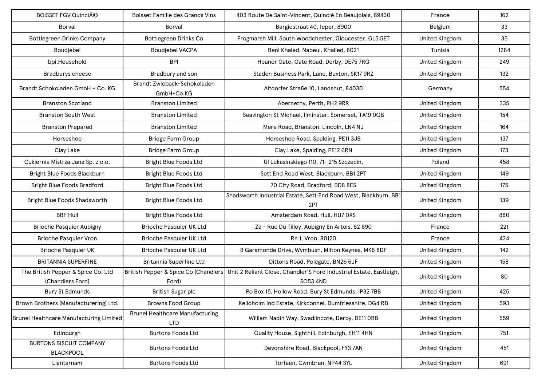| BOISSET FGV Quincié                                    | <b>Boisset Famille des Grands Vins</b>               | 403 Route De Saint-Vincent, Quincié En Beaujolais, 69430                                                               | France                | 162  |
|--------------------------------------------------------|------------------------------------------------------|------------------------------------------------------------------------------------------------------------------------|-----------------------|------|
| <b>Borval</b>                                          | Borval                                               | Bargiestraat 40, leper, 8900                                                                                           | Belgium               | 33   |
| <b>Bottlegreen Drinks Company</b>                      | <b>Bottlegreen Drinks Co</b>                         | Frogmarsh Mill, South Woodchester, Gloucester, GL5 5ET                                                                 | <b>United Kingdom</b> | 35   |
| Boudjebel                                              | <b>Boudjebel VACPA</b>                               | Beni Khaled, Nabeul, Khalled, 8021                                                                                     | Tunisia               | 1284 |
| bpi.Household                                          | <b>BPI</b>                                           | Heanor Gate, Gate Road, Derby, DE75 7RG                                                                                | <b>United Kingdom</b> | 249  |
| Bradburys cheese                                       | Bradbury and son                                     | Staden Business Park, Lane, Buxton, SK17 9RZ                                                                           | <b>United Kingdom</b> | 132  |
| Brandt Schokoladen GmbH + Co. KG                       | Brandt Zwieback-Schokoladen<br>GmbH+Co.KG            | Altdorfer Straße 10, Landshut, 84030                                                                                   | Germany               | 554  |
| <b>Branston Scotland</b>                               | <b>Branston Limited</b>                              | Abernethy, Perth, PH2 9RR                                                                                              | <b>United Kingdom</b> | 335  |
| <b>Branston South West</b>                             | <b>Branston Limited</b>                              | Seavington St Michael, Ilminster, Somerset, TA19 OQB                                                                   | <b>United Kingdom</b> | 154  |
| <b>Branston Prepared</b>                               | <b>Branston Limited</b>                              | Mere Road, Branston, Lincoln, LN4 NJ                                                                                   | <b>United Kingdom</b> | 164  |
| Horseshoe                                              | <b>Bridge Farm Group</b>                             | Horseshoe Road, Spalding, PE11 3JB                                                                                     | <b>United Kingdom</b> | 137  |
| Clay Lake                                              | <b>Bridge Farm Group</b>                             | Clay Lake, Spalding, PE12 6RN                                                                                          | United Kingdom        | 173  |
| Cukiernia Mistrza Jana Sp. z o.o.                      | <b>Bright Blue Foods Ltd</b>                         | Ul Lukasinskiego 110, 71- 215 Szczecin,                                                                                | Poland                | 458  |
| Bright Blue Foods Blackburn                            | <b>Bright Blue Foods Ltd</b>                         | Sett End Road West, Blackburn, BB1 2PT                                                                                 | <b>United Kingdom</b> | 149  |
| <b>Bright Blue Foods Bradford</b>                      | <b>Bright Blue Foods Ltd</b>                         | 70 City Road, Bradford, BD8 8ES                                                                                        | <b>United Kingdom</b> | 175  |
| Bright Blue Foods Shadsworth                           | <b>Bright Blue Foods Ltd</b>                         | Shadsworth Industrial Estate, Sett End Road West, Blackburn, BB1<br>2PT                                                | <b>United Kingdom</b> | 139  |
| <b>BBF Hull</b>                                        | <b>Bright Blue Foods Ltd</b>                         | Amsterdam Road, Hull, HU7 0XS                                                                                          | <b>United Kingdom</b> | 880  |
| <b>Brioche Pasquier Aubigny</b>                        | Brioche Pasquier UK Ltd                              | Za - Rue Du Tilloy, Aubigny En Artois, 62 690                                                                          | France                | 221  |
| <b>Brioche Pasquier Vron</b>                           | Brioche Pasquier UK Ltd                              | Rn 1, Vron, 80120                                                                                                      | France                | 424  |
| <b>Brioche Pasquier UK</b>                             | Brioche Pasquier UK Ltd                              | 8 Garamonde Drive, Wymbush, Milton Keynes, MK8 8DF                                                                     | <b>United Kingdom</b> | 142  |
| <b>BRITANNIA SUPERFINE</b>                             | Britannia Superfine Ltd                              | Dittons Road, Polegate, BN26 6JF                                                                                       | <b>United Kingdom</b> | 158  |
| The British Pepper & Spice Co. Ltd<br>(Chandlers Ford) | Ford)                                                | British Pepper & Spice Co (Chandlers   Unit 2 Reliant Close, Chandler'S Ford Industrial Estate, Eastleigh,<br>SO53 4ND | <b>United Kingdom</b> | 80   |
| <b>Bury St Edmunds</b>                                 | British Sugar plc                                    | Po Box 15, Hollow Road, Bury St Edmunds, IP32 7BB                                                                      | <b>United Kingdom</b> | 425  |
| Brown Brothers (Manufacturering) Ltd.                  | <b>Browns Food Group</b>                             | Kelloholm Ind Estate, Kirkconnel, Dumfriesshire, DG4 RB                                                                | <b>United Kingdom</b> | 593  |
| Brunel Healthcare Manufacturing Limited                | <b>Brunel Healthcare Manufacturing</b><br><b>LTD</b> | William Nadin Way, Swadlincote, Derby, DE11 OBB                                                                        | <b>United Kingdom</b> | 559  |
| Edinburgh                                              | <b>Burtons Foods Ltd</b>                             | Quality House, Sighthill, Edinburgh, EH11 4HN                                                                          | <b>United Kingdom</b> | 751  |
| <b>BURTONS BISCUIT COMPANY</b><br><b>BLACKPOOL</b>     | <b>Burtons Foods Ltd</b>                             | Devonshire Road, Blackpool, FY3 7AN                                                                                    | <b>United Kingdom</b> | 451  |
| Llantarnam                                             | <b>Burtons Foods Ltd</b>                             | Torfaen, Cwmbran, NP44 3YL                                                                                             | <b>United Kingdom</b> | 691  |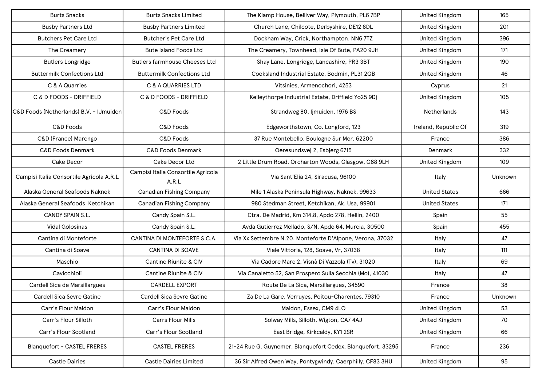| <b>Burts Snacks</b>                      | <b>Burts Snacks Limited</b>                 | The Klamp House, Belliver Way, Plymouth, PL6 7BP             | <b>United Kingdom</b> | 165     |
|------------------------------------------|---------------------------------------------|--------------------------------------------------------------|-----------------------|---------|
| <b>Busby Partners Ltd</b>                | <b>Busby Partners Limited</b>               | Church Lane, Chilcote, Derbyshire, DE12 8DL                  | <b>United Kingdom</b> | 201     |
| <b>Butchers Pet Care Ltd</b>             | <b>Butcher's Pet Care Ltd</b>               | Dockham Way, Crick, Northampton, NN6 7TZ                     | <b>United Kingdom</b> | 396     |
| The Creamery                             | <b>Bute Island Foods Ltd</b>                | The Creamery, Townhead, Isle Of Bute, PA20 9JH               | <b>United Kingdom</b> | 171     |
| <b>Butlers Longridge</b>                 | <b>Butlers farmhouse Cheeses Ltd</b>        | Shay Lane, Longridge, Lancashire, PR3 3BT                    | <b>United Kingdom</b> | 190     |
| <b>Buttermilk Confections Ltd</b>        | <b>Buttermilk Confections Ltd</b>           | Cooksland Industrial Estate, Bodmin, PL31 2QB                | <b>United Kingdom</b> | 46      |
| C & A Quarries                           | C & A QUARRIES LTD                          | Vitsinies, Armenochori, 4253                                 | Cyprus                | 21      |
| C & D FOODS - DRIFFIELD                  | C & D FOODS - DRIFFIELD                     | Kelleythorpe Industrial Estate, Driffield Yo25 9Dj           | <b>United Kingdom</b> | 105     |
| C&D Foods (Netherlands) B.V. - IJmuiden  | C&D Foods                                   | Strandweg 80, Ijmuiden, 1976 BS                              | <b>Netherlands</b>    | 143     |
| C&D Foods                                | C&D Foods                                   | Edgeworthstown, Co. Longford, 123                            | Ireland, Republic Of  | 319     |
| C&D (France) Marengo                     | C&D Foods                                   | 37 Rue Montebello, Boulogne Sur Mer, 62200                   | France                | 386     |
| <b>C&amp;D Foods Denmark</b>             | <b>C&amp;D Foods Denmark</b>                | Oeresundsvej 2, Esbjerg 6715                                 | Denmark               | 332     |
| Cake Decor                               | Cake Decor Ltd                              | 2 Little Drum Road, Orcharton Woods, Glasgow, G68 9LH        | <b>United Kingdom</b> | 109     |
| Campisi Italia Consortile Agricola A.R.L | Campisi Italia Consortile Agricola<br>A.R.L | Via Sant'Elia 24, Siracusa, 96100                            | Italy                 | Unknown |
| Alaska General Seafoods Naknek           | <b>Canadian Fishing Company</b>             | Mile 1 Alaska Peninsula Highway, Naknek, 99633               | <b>United States</b>  | 666     |
| Alaska General Seafoods, Ketchikan       | <b>Canadian Fishing Company</b>             | 980 Stedman Street, Ketchikan, Ak, Usa, 99901                | <b>United States</b>  | 171     |
| CANDY SPAIN S.L.                         | Candy Spain S.L.                            | Ctra. De Madrid, Km 314.8, Apdo 278, Hellín, 2400            | Spain                 | 55      |
| <b>Vidal Golosinas</b>                   | Candy Spain S.L.                            | Avda Gutierrez Mellado, S/N, Apdo 64, Murcia, 30500          | Spain                 | 455     |
| Cantina di Monteforte                    | CANTINA DI MONTEFORTE S.C.A.                | Via Xx Settembre N.20, Monteforte D'Alpone, Verona, 37032    | Italy                 | 47      |
| Cantina di Soave                         | <b>CANTINA DI SOAVE</b>                     | Viale Vittoria, 128, Soave, Vr, 37038                        | Italy                 | 111     |
| Maschio                                  | Cantine Riunite & CIV                       | Via Cadore Mare 2, Visnà Di Vazzola (Tv), 31020              | Italy                 | 69      |
| Cavicchioli                              | Cantine Riunite & CIV                       | Via Canaletto 52, San Prospero Sulla Secchia (Mo), 41030     | Italy                 | 47      |
| Cardell Sica de Marsillargues            | <b>CARDELL EXPORT</b>                       | Route De La Sica, Marsillargues, 34590                       | France                | 38      |
| Cardell Sica Sevre Gatine                | <b>Cardell Sica Sevre Gatine</b>            | Za De La Gare, Verruyes, Poitou-Charentes, 79310             | France                | Unknown |
| Carr's Flour Maldon                      | Carr's Flour Maldon                         | Maldon, Essex, CM9 4LQ                                       | <b>United Kingdom</b> | 53      |
| Carr's Flour Silloth                     | Carrs Flour Mills                           | Solway Mills, Silloth, Wigton, CA7 4AJ                       | <b>United Kingdom</b> | 70      |
| Carr's Flour Scotland                    | Carr's Flour Scotland                       | East Bridge, Kirkcaldy, KY1 2SR                              | <b>United Kingdom</b> | 66      |
| <b>Blanquefort - CASTEL FRERES</b>       | <b>CASTEL FRERES</b>                        | 21-24 Rue G. Guynemer, Blanquefort Cedex, Blanquefort, 33295 | France                | 236     |
| <b>Castle Dairies</b>                    | <b>Castle Dairies Limited</b>               | 36 Sir Alfred Owen Way, Pontygwindy, Caerphilly, CF83 3HU    | <b>United Kingdom</b> | 95      |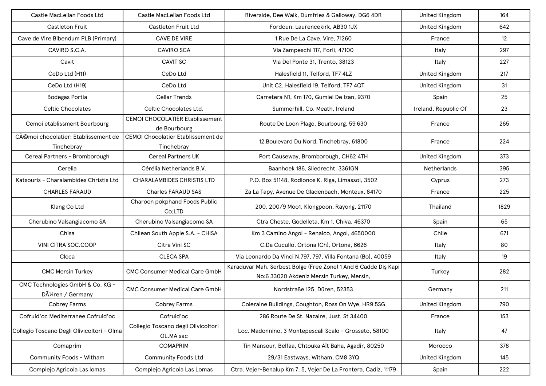| Castle MacLellan Foods Ltd                          | Castle MacLellan Foods Ltd                              | Riverside, Dee Walk, Dumfries & Galloway, DG6 4DR                                                            | <b>United Kingdom</b> | 164  |
|-----------------------------------------------------|---------------------------------------------------------|--------------------------------------------------------------------------------------------------------------|-----------------------|------|
| <b>Castleton Fruit</b>                              | Castleton Fruit Ltd                                     | Fordoun, Laurencekirk, AB30 1JX                                                                              | <b>United Kingdom</b> | 642  |
| Cave de Vire Bibendum PLB (Primary)                 | CAVE DE VIRE                                            | 1 Rue De La Cave, Vire, 71260                                                                                | France                | 12   |
| CAVIRO S.C.A.                                       | <b>CAVIRO SCA</b>                                       | Via Zampeschi 117, Forlì, 47100                                                                              | Italy                 | 297  |
| Cavit                                               | <b>CAVIT SC</b>                                         | Via Del Ponte 31, Trento, 38123                                                                              | Italy                 | 227  |
| CeDo Ltd (H11)                                      | CeDo Ltd                                                | Halesfield 11, Telford, TF7 4LZ                                                                              | <b>United Kingdom</b> | 217  |
| CeDo Ltd (H19)                                      | CeDo Ltd                                                | Unit C2, Halesfield 19, Telford, TF7 4QT                                                                     | <b>United Kingdom</b> | 31   |
| Bodegas Portia                                      | <b>Cellar Trends</b>                                    | Carretera N1, Km 170, Gumiel De Izan, 9370                                                                   | Spain                 | 25   |
| <b>Celtic Chocolates</b>                            | Celtic Chocolates Ltd.                                  | Summerhill, Co. Meath, Ireland                                                                               | Ireland, Republic Of  | 23   |
| Cemoi etablissment Bourbourg                        | <b>CEMOI CHOCOLATIER Etablissement</b><br>de Bourbourg  | Route De Loon Plage, Bourbourg, 59 630                                                                       | France                | 265  |
| Cémoi chocolatier: Etablissement de<br>Tinchebray   | <b>CEMOI Chocolatier Etablissement de</b><br>Tinchebray | 12 Boulevard Du Nord, Tinchebray, 61800                                                                      | France                | 224  |
| Cereal Partners - Bromborough                       | <b>Cereal Partners UK</b>                               | Port Causeway, Bromborough, CH62 4TH                                                                         | <b>United Kingdom</b> | 373  |
| Cerelia                                             | Cérélia Netherlands B.V.                                | Baanhoek 186, Sliedrecht, 3361GN                                                                             | <b>Netherlands</b>    | 395  |
| Katsouris - Charalambides Christis Ltd              | <b>CHARALAMBIDES CHRISTIS LTD</b>                       | P.O. Box 51148, Rodionos K. Riga, Limassol, 3502                                                             | Cyprus                | 273  |
| <b>CHARLES FARAUD</b>                               | <b>Charles FARAUD SAS</b>                               | Za La Tapy, Avenue De Gladenbach, Monteux, 84170                                                             | France                | 225  |
| Klang Co Ltd                                        | Charoen pokphand Foods Public<br>Co:LTD                 | 200, 200/9 Moo1, Klongpoon, Rayong, 21170                                                                    | Thailand              | 1829 |
| Cherubino Valsangiacomo SA                          | Cherubino Valsangiacomo SA                              | Ctra Cheste, Godelleta, Km 1, Chiva, 46370                                                                   | Spain                 | 65   |
| Chisa                                               | Chilean South Apple S.A. - CHISA                        | Km 3 Camino Angol - Renaico, Angol, 4650000                                                                  | Chile                 | 671  |
| VINI CITRA SOC.COOP                                 | Citra Vini SC                                           | C.Da Cucullo, Ortona (Ch), Ortona, 6626                                                                      | Italy                 | 80   |
| Cleca                                               | <b>CLECA SPA</b>                                        | Via Leonardo Da Vinci N.797, 797, Villa Fontana (Bo), 40059                                                  | Italy                 | 19   |
| <b>CMC Mersin Turkey</b>                            | <b>CMC Consumer Medical Care GmbH</b>                   | Karaduvar Mah. Serbest Bölge (Free Zone) 1 And 6 Cadde Diş Kapi<br>No:6 33020 Akdeniz Mersin Turkey, Mersin, | Turkey                | 282  |
| CMC Technologies GmbH & Co. KG -<br>Düren / Germany | <b>CMC Consumer Medical Care GmbH</b>                   | Nordstraße 125, Düren, 52353                                                                                 | Germany               | 211  |
| Cobrey Farms                                        | Cobrey Farms                                            | Coleraine Buildings, Coughton, Ross On Wye, HR9 5SG                                                          | <b>United Kingdom</b> | 790  |
| Cofruid'oc Mediterranee Cofruid'oc                  | Cofruid'oc                                              | 286 Route De St. Nazaire, Just, St 34400                                                                     | France                | 153  |
| Collegio Toscano Degli Olivicoltori - Olma          | Collegio Toscano degli Olivicoltori<br>OL.MA sac        | Loc. Madonnino, 3 Montepescali Scalo - Grosseto, 58100                                                       | Italy                 | 47   |
| Comaprim                                            | <b>COMAPRIM</b>                                         | Tin Mansour, Belfaa, Chtouka Aït Baha, Agadir, 80250                                                         | Morocco               | 378  |
| Community Foods - Witham                            | <b>Community Foods Ltd</b>                              | 29/31 Eastways, Witham, CM8 3YQ                                                                              | <b>United Kingdom</b> | 145  |
| Complejo Agricola Las Iomas                         | Complejo Agricola Las Lomas                             | Ctra. Vejer-Benalup Km 7, 5, Vejer De La Frontera, Cadiz, 11179                                              | Spain                 | 222  |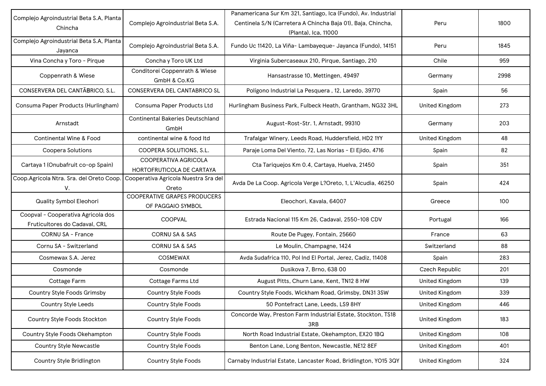| Complejo Agroindustrial Beta S.A, Planta                            | Complejo Agroindustrial Beta S.A.                        | Panamericana Sur Km 321, Santiago, Ica (Fundo), Av. Industrial<br>Centinela S/N (Carretera A Chincha Baja 01), Baja, Chincha, | Peru                  | 1800 |
|---------------------------------------------------------------------|----------------------------------------------------------|-------------------------------------------------------------------------------------------------------------------------------|-----------------------|------|
| Chincha                                                             |                                                          | (Planta), Ica, 11000                                                                                                          |                       |      |
| Complejo Agroindustrial Beta S.A, Planta<br>Jayanca                 | Complejo Agroindustrial Beta S.A.                        | Fundo Uc 11420, La Viña- Lambayeque- Jayanca (Fundo), 14151                                                                   | Peru                  | 1845 |
| Vina Concha y Toro - Pirque                                         | Concha y Toro UK Ltd                                     | Virginia Subercaseaux 210, Pirque, Santiago, 210                                                                              | Chile                 | 959  |
| Coppenrath & Wiese                                                  | Conditorei Coppenrath & Wiese<br>GmbH & Co.KG            | Hansastrasse 10, Mettingen, 49497                                                                                             | Germany               | 2998 |
| CONSERVERA DEL CANTÃBRICO, S.L.                                     | <b>CONSERVERA DEL CANTABRICO SL</b>                      | Polígono Industrial La Pesquera, 12, Laredo, 39770                                                                            | Spain                 | 56   |
| Consuma Paper Products (Hurlingham)                                 | Consuma Paper Products Ltd                               | Hurlingham Business Park, Fulbeck Heath, Grantham, NG32 3HL                                                                   | <b>United Kingdom</b> | 273  |
| Arnstadt                                                            | <b>Continental Bakeries Deutschland</b><br>GmbH          | August-Rost-Str. 1, Arnstadt, 99310                                                                                           | Germany               | 203  |
| <b>Continental Wine &amp; Food</b>                                  | continental wine & food Itd                              | Trafalgar Winery, Leeds Road, Huddersfield, HD2 1YY                                                                           | <b>United Kingdom</b> | 48   |
| Coopera Solutions                                                   | COOPERA SOLUTIONS, S.L.                                  | Paraje Loma Del Viento, 72, Las Norias - El Ejido, 4716                                                                       | Spain                 | 82   |
| Cartaya 1 (Onubafruit co-op Spain)                                  | COOPERATIVA AGRICOLA<br>HORTOFRUTICOLA DE CARTAYA        | Cta Tariquejos Km 0.4, Cartaya, Huelva, 21450                                                                                 | Spain                 | 351  |
| Coop.Agricola Ntra. Sra. del Oreto Coop.<br>V.                      | Cooperativa Agricola Nuestra Sra del<br>Oreto            | Avda De La Coop. Agricola Verge L?Oreto, 1, L'Alcudia, 46250                                                                  | Spain                 | 424  |
| Quality Symbol Eleohori                                             | <b>COOPERATIVE GRAPES PRODUCERS</b><br>OF PAGGAIO SYMBOL | Eleochori, Kavala, 64007                                                                                                      | Greece                | 100  |
| Coopval - Cooperativa Agricola dos<br>Fruticultores do Cadaval, CRL | COOPVAL                                                  | Estrada Nacional 115 Km 26, Cadaval, 2550-108 CDV                                                                             | Portugal              | 166  |
| <b>CORNU SA - France</b>                                            | <b>CORNU SA &amp; SAS</b>                                | Route De Pugey, Fontain, 25660                                                                                                | France                | 63   |
| Cornu SA - Switzerland                                              | <b>CORNU SA &amp; SAS</b>                                | Le Moulin, Champagne, 1424                                                                                                    | Switzerland           | 88   |
| Cosmewax S.A. Jerez                                                 | <b>COSMEWAX</b>                                          | Avda Sudafrica 110, Pol Ind El Portal, Jerez, Cadiz, 11408                                                                    | Spain                 | 283  |
| Cosmonde                                                            | Cosmonde                                                 | Dusikova 7, Brno, 638 00                                                                                                      | Czech Republic        | 201  |
| Cottage Farm                                                        | Cottage Farms Ltd                                        | August Pitts, Churn Lane, Kent, TN12 8 HW                                                                                     | <b>United Kingdom</b> | 139  |
| <b>Country Style Foods Grimsby</b>                                  | <b>Country Style Foods</b>                               | Country Style Foods, Wickham Road, Grimsby, DN31 3SW                                                                          | <b>United Kingdom</b> | 339  |
| Country Style Leeds                                                 | Country Style Foods                                      | 50 Pontefract Lane, Leeds, LS9 8HY                                                                                            | <b>United Kingdom</b> | 446  |
| Country Style Foods Stockton                                        | Country Style Foods                                      | Concorde Way, Preston Farm Industrial Estate, Stockton, TS18<br>3RB                                                           | <b>United Kingdom</b> | 183  |
| Country Style Foods Okehampton                                      | Country Style Foods                                      | North Road Industrial Estate, Okehampton, EX20 1BQ                                                                            | <b>United Kingdom</b> | 108  |
| <b>Country Style Newcastle</b>                                      | Country Style Foods                                      | Benton Lane, Long Benton, Newcastle, NE12 8EF                                                                                 | United Kingdom        | 401  |
| Country Style Bridlington                                           | <b>Country Style Foods</b>                               | Carnaby Industrial Estate, Lancaster Road, Bridlington, YO15 3QY                                                              | <b>United Kingdom</b> | 324  |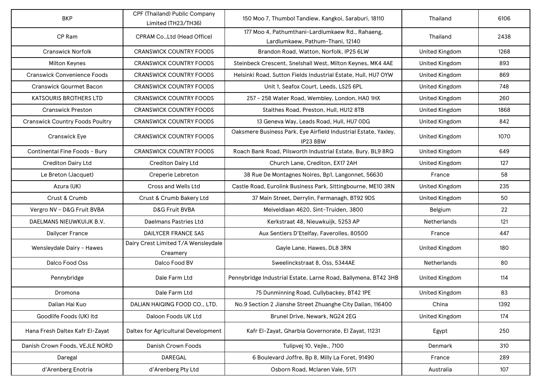| <b>BKP</b>                             | CPF (Thailand) Public Company<br>Limited (TH23/TH36) | 150 Moo 7, Thumbol Tandiew, Kangkoi, Saraburi, 18110                                 | Thailand              | 6106 |
|----------------------------------------|------------------------------------------------------|--------------------------------------------------------------------------------------|-----------------------|------|
| CP Ram                                 | CPRAM Co., Ltd (Head Office)                         | 177 Moo 4, Pathumthani-Lardlumkaew Rd., Rahaeng,<br>Lardlumkaew, Pathum-Thani, 12140 | Thailand              | 2438 |
| <b>Cranswick Norfolk</b>               | <b>CRANSWICK COUNTRY FOODS</b>                       | Brandon Road, Watton, Norfolk, IP25 6LW                                              | <b>United Kingdom</b> | 1268 |
| <b>Milton Keynes</b>                   | <b>CRANSWICK COUNTRY FOODS</b>                       | Steinbeck Crescent, Snelshall West, Milton Keynes, MK4 4AE                           | <b>United Kingdom</b> | 893  |
| <b>Cranswick Convenience Foods</b>     | <b>CRANSWICK COUNTRY FOODS</b>                       | Helsinki Road, Sutton Fields Industrial Estate, Hull, HU7 OYW                        | <b>United Kingdom</b> | 869  |
| <b>Cranswick Gourmet Bacon</b>         | <b>CRANSWICK COUNTRY FOODS</b>                       | Unit 1, Seafox Court, Leeds, LS25 6PL                                                | <b>United Kingdom</b> | 748  |
| KATSOURIS BROTHERS LTD                 | <b>CRANSWICK COUNTRY FOODS</b>                       | 257 - 258 Water Road, Wembley, London, HAO 1HX                                       | <b>United Kingdom</b> | 260  |
| <b>Cranswick Preston</b>               | <b>CRANSWICK COUNTRY FOODS</b>                       | Staithes Road, Preston, Hull, HU12 8TB                                               | <b>United Kingdom</b> | 1868 |
| <b>Cranswick Country Foods Poultry</b> | <b>CRANSWICK COUNTRY FOODS</b>                       | 13 Geneva Way, Leads Road, Hull, HU7 ODG                                             | <b>United Kingdom</b> | 842  |
| Cranswick Eye                          | <b>CRANSWICK COUNTRY FOODS</b>                       | Oaksmere Business Park, Eye Airfield Industrial Estate, Yaxley,<br>IP238BW           | <b>United Kingdom</b> | 1070 |
| Continental Fine Foods - Bury          | <b>CRANSWICK COUNTRY FOODS</b>                       | Roach Bank Road, Pilsworth Industrial Estate, Bury, BL9 8RQ                          | United Kingdom        | 649  |
| <b>Crediton Dairy Ltd</b>              | <b>Crediton Dairy Ltd</b>                            | Church Lane, Crediton, EX17 2AH                                                      | <b>United Kingdom</b> | 127  |
| Le Breton (Jacquet)                    | Creperie Lebreton                                    | 38 Rue De Montagnes Noires, Bp1, Langonnet, 56630                                    | France                | 58   |
| Azura (UK)                             | <b>Cross and Wells Ltd</b>                           | Castle Road, Eurolink Business Park, Sittingbourne, ME10 3RN                         | <b>United Kingdom</b> | 235  |
| Crust & Crumb                          | Crust & Crumb Bakery Ltd                             | 37 Main Street, Derrylin, Fermanagh, BT92 9DS                                        | United Kingdom        | 50   |
| Vergro NV - D&G Fruit BVBA             | <b>D&amp;G Fruit BVBA</b>                            | Meiveldlaan 4620, Sint-Truiden, 3800                                                 | Belgium               | 22   |
| DAELMANS NIEUWKUIJK B.V.               | Daelmans Pastries Ltd                                | Kerkstraat 48, Nieuwkuijk, 5253 AP                                                   | <b>Netherlands</b>    | 121  |
| Dailycer France                        | <b>DAILYCER FRANCE SAS</b>                           | Aux Sentiers D'Etelfay, Faverolles, 80500                                            | France                | 447  |
| Wensleydale Dairy - Hawes              | Dairy Crest Limited T/A Wensleydale<br>Creamery      | Gayle Lane, Hawes, DL8 3RN                                                           | <b>United Kingdom</b> | 180  |
| Dalco Food Oss                         | Dalco Food BV                                        | Sweelinckstraat 8, Oss, 5344AE                                                       | <b>Netherlands</b>    | 80   |
| Pennybridge                            | Dale Farm Ltd                                        | Pennybridge Industrial Estate, Larne Road, Ballymena, BT42 3HB                       | <b>United Kingdom</b> | 114  |
| Dromona                                | Dale Farm Ltd                                        | 75 Dunminning Road, Cullybackey, BT42 1PE                                            | <b>United Kingdom</b> | 83   |
| Dalian Hai Kuo                         | DALIAN HAIQING FOOD CO., LTD.                        | No.9 Section 2 Jianshe Street Zhuanghe City Dalian, 116400                           | China                 | 1392 |
| Goodlife Foods (UK) Itd                | Daloon Foods UK Ltd                                  | Brunel Drive, Newark, NG24 2EG                                                       | <b>United Kingdom</b> | 174  |
| Hana Fresh Daltex Kafr El-Zayat        | Daltex for Agricultural Development                  | Kafr El-Zayat, Gharbia Governorate, El Zayat, 11231                                  | Egypt                 | 250  |
| Danish Crown Foods, VEJLE NORD         | Danish Crown Foods                                   | Tulipvej 10, Vejle., 7100                                                            | Denmark               | 310  |
| Daregal                                | DAREGAL                                              | 6 Boulevard Joffre, Bp 8, Milly La Foret, 91490                                      | France                | 289  |
| d'Arenberg Enotria                     | d'Arenberg Pty Ltd                                   | Osborn Road, Mclaren Vale, 5171                                                      | Australia             | 107  |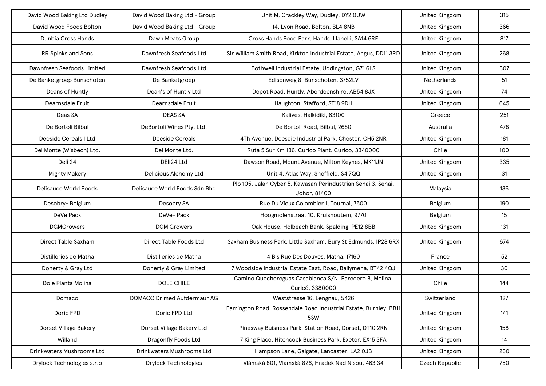| David Wood Baking Ltd Dudley | David Wood Baking Ltd - Group | Unit M, Crackley Way, Dudley, DY2 OUW                                         | <b>United Kingdom</b> | 315 |
|------------------------------|-------------------------------|-------------------------------------------------------------------------------|-----------------------|-----|
| David Wood Foods Bolton      | David Wood Baking Ltd - Group | 14, Lyon Road, Bolton, BL4 8NB                                                | <b>United Kingdom</b> | 366 |
| Dunbia Cross Hands           | Dawn Meats Group              | Cross Hands Food Park, Hands, Llanelli, SA14 6RF                              | <b>United Kingdom</b> | 817 |
| <b>RR Spinks and Sons</b>    | Dawnfresh Seafoods Ltd        | Sir William Smith Road, Kirkton Industrial Estate, Angus, DD11 3RD            | <b>United Kingdom</b> | 268 |
| Dawnfresh Seafoods Limited   | Dawnfresh Seafoods Ltd        | Bothwell Industrial Estate, Uddingston, G71 6LS                               | <b>United Kingdom</b> | 307 |
| De Banketgroep Bunschoten    | De Banketgroep                | Edisonweg 8, Bunschoten, 3752LV                                               | Netherlands           | 51  |
| Deans of Huntly              | Dean's of Huntly Ltd          | Depot Road, Huntly, Aberdeenshire, AB54 8JX                                   | <b>United Kingdom</b> | 74  |
| Dearnsdale Fruit             | Dearnsdale Fruit              | Haughton, Stafford, ST18 9DH                                                  | <b>United Kingdom</b> | 645 |
| Deas SA                      | <b>DEAS SA</b>                | Kalives, Halkidiki, 63100                                                     | Greece                | 251 |
| De Bortoli Bilbul            | DeBortoli Wines Pty. Ltd.     | De Bortoli Road, Bilbul, 2680                                                 | Australia             | 478 |
| Deeside Cereals I Ltd        | <b>Deeside Cereals</b>        | 4Th Avenue, Deesdie Industrial Park, Chester, CH5 2NR                         | <b>United Kingdom</b> | 181 |
| Del Monte (Wisbech) Ltd.     | Del Monte Ltd.                | Ruta 5 Sur Km 186, Curico Plant, Curico, 3340000                              | Chile                 | 100 |
| Deli 24                      | DEIi24 Ltd                    | Dawson Road, Mount Avenue, Milton Keynes, MK11JN                              | <b>United Kingdom</b> | 335 |
| <b>Mighty Makery</b>         | Delicious Alchemy Ltd         | Unit 4, Atlas Way, Sheffield, S4 7QQ                                          | <b>United Kingdom</b> | 31  |
| <b>Delisauce World Foods</b> | Delisauce World Foods Sdn Bhd | Plo 105, Jalan Cyber 5, Kawasan Perindustrian Senai 3, Senai,<br>Johor, 81400 | Malaysia              | 136 |
| Desobry-Belgium              | Desobry SA                    | Rue Du Vieux Colombier 1, Tournai, 7500                                       | Belgium               | 190 |
| DeVe Pack                    | DeVe-Pack                     | Hoogmolenstraat 10, Kruishoutem, 9770                                         | Belgium               | 15  |
| <b>DGMGrowers</b>            | <b>DGM Growers</b>            | Oak House, Holbeach Bank, Spalding, PE12 8BB                                  | <b>United Kingdom</b> | 131 |
| Direct Table Saxham          | Direct Table Foods Ltd        | Saxham Business Park, Little Saxham, Bury St Edmunds, IP28 6RX                | <b>United Kingdom</b> | 674 |
| Distilleries de Matha        | Distilleries de Matha         | 4 Bis Rue Des Douves, Matha, 17160                                            | France                | 52  |
| Doherty & Gray Ltd           | Doherty & Gray Limited        | 7 Woodside Industrial Estate East, Road, Ballymena, BT42 4QJ                  | <b>United Kingdom</b> | 30  |
| Dole Planta Molina           | <b>DOLE CHILE</b>             | Camino Quechereguas Casablanca S/N. Paredero 8, Molina.<br>Curicó, 3380000    | Chile                 | 144 |
| Domaco                       | DOMACO Dr med Aufdermaur AG   | Weststrasse 16, Lengnau, 5426                                                 | Switzerland           | 127 |
| Doric FPD                    | Doric FPD Ltd                 | Farrington Road, Rossendale Road Industrial Estate, Burnley, BB11<br>5SW      | <b>United Kingdom</b> | 141 |
| Dorset Village Bakery        | Dorset Village Bakery Ltd     | Pinesway Buisness Park, Station Road, Dorset, DT10 2RN                        | <b>United Kingdom</b> | 158 |
| Willand                      | Dragonfly Foods Ltd           | 7 King Place, Hitchcock Business Park, Exeter, EX15 3FA                       | <b>United Kingdom</b> | 14  |
| Drinkwaters Mushrooms Ltd    | Drinkwaters Mushrooms Ltd     | Hampson Lane, Galgate, Lancaster, LA2 OJB                                     | <b>United Kingdom</b> | 230 |
| Drylock Technologies s.r.o   | <b>Drylock Technologies</b>   | Vlámská 801, Vlamská 826, Hrádek Nad Nisou, 463 34                            | Czech Republic        | 750 |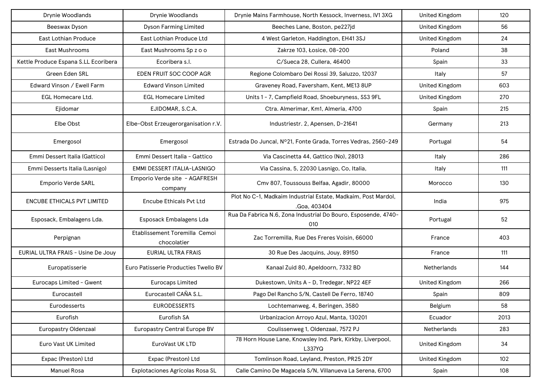| Drynie Woodlands                     | Drynie Woodlands                             | Drynie Mains Farmhouse, North Kessock, Inverness, IV1 3XG                     | <b>United Kingdom</b> | 120  |
|--------------------------------------|----------------------------------------------|-------------------------------------------------------------------------------|-----------------------|------|
| Beeswax Dyson                        | <b>Dyson Farming Limited</b>                 | Beeches Lane, Boston, pe227jd                                                 | <b>United Kingdom</b> | 56   |
| <b>East Lothian Produce</b>          | East Lothian Produce Ltd                     | 4 West Garleton, Haddington, EH41 3SJ                                         | <b>United Kingdom</b> | 24   |
| <b>East Mushrooms</b>                | East Mushrooms Sp z o o                      | Zakrze 103, Łosice, 08-200                                                    | Poland                | 38   |
| Kettle Produce Espana S.LL Ecoribera | Ecoribera s.l.                               | C/Sueca 28, Cullera, 46400                                                    | Spain                 | 33   |
| Green Eden SRL                       | EDEN FRUIT SOC COOP AGR                      | Regione Colombaro Dei Rossi 39, Saluzzo, 12037                                | Italy                 | 57   |
| Edward Vinson / Ewell Farm           | <b>Edward Vinson Limited</b>                 | Graveney Road, Faversham, Kent, ME13 8UP                                      | <b>United Kingdom</b> | 603  |
| EGL Homecare Ltd.                    | <b>EGL Homecare Limited</b>                  | Units 1 - 7, Campfield Road, Shoeburyness, SS3 9FL                            | <b>United Kingdom</b> | 270  |
| Ejidomar                             | EJIDOMAR, S.C.A.                             | Ctra. Almerimar, Km1, Almeria, 4700                                           | Spain                 | 215  |
| Elbe Obst                            | Elbe-Obst Erzeugerorganisation r.V.          | Industriestr. 2, Apensen, D-21641                                             | Germany               | 213  |
| Emergosol                            | Emergosol                                    | Estrada Do Juncal, Nº21, Fonte Grada, Torres Vedras, 2560-249                 | Portugal              | 54   |
| Emmi Dessert Italia (Gattico)        | Emmi Dessert Italia - Gattico                | Via Cascinetta 44, Gattico (No), 28013                                        | Italy                 | 286  |
| Emmi Desserts Italia (Lasnigo)       | EMMI DESSERT ITALIA-LASNIGO                  | Via Cassina, 5, 22030 Lasnigo, Co, Italia,                                    | Italy                 | 111  |
| <b>Emporio Verde SARL</b>            | Emporio Verde site - AGAFRESH<br>company     | Cmv 807, Toussouss Belfaa, Agadir, 80000                                      | Morocco               | 130  |
| <b>ENCUBE ETHICALS PVT LIMITED</b>   | <b>Encube Ethicals Pvt Ltd</b>               | Plot No C-1, Madkaim Industrial Estate, Madkaim, Post Mardol,<br>.Goa, 403404 | India                 | 975  |
| Esposack, Embalagens Lda.            | Esposack Embalagens Lda                      | Rua Da Fabrica N.6, Zona Industrial Do Bouro, Esposende, 4740-<br>010         | Portugal              | 52   |
| Perpignan                            | Etablissement Toremilla Cemoi<br>chocolatier | Zac Torremilla, Rue Des Freres Voisin, 66000                                  | France                | 403  |
| EURIAL ULTRA FRAIS - Usine De Jouy   | <b>EURIAL ULTRA FRAIS</b>                    | 30 Rue Des Jacquins, Jouy, 89150                                              | France                | 111  |
| Europatisserie                       | Euro Patisserie Producties Twello BV         | Kanaal Zuid 80, Apeldoorn, 7332 BD                                            | <b>Netherlands</b>    | 144  |
| Eurocaps Limited - Gwent             | <b>Eurocaps Limited</b>                      | Dukestown, Units A - D, Tredegar, NP22 4EF                                    | <b>United Kingdom</b> | 266  |
| Eurocastell                          | Eurocastell CAÑA S.L.                        | Pago Del Rancho S/N, Castell De Ferro, 18740                                  | Spain                 | 809  |
| Eurodesserts                         | <b>EURODESSERTS</b>                          | Lochtemanweg, 4, Beringen, 3580                                               | Belgium               | 58   |
| Eurofish                             | Eurofish SA                                  | Urbanizacion Arroyo Azul, Manta, 130201                                       | Ecuador               | 2013 |
| <b>Europastry Oldenzaal</b>          | <b>Europastry Central Europe BV</b>          | Coulissenweg 1, Oldenzaal, 7572 PJ                                            | Netherlands           | 283  |
| Euro Vast UK Limited                 | EuroVast UK LTD                              | 78 Horn House Lane, Knowsley Ind. Park, Kirkby, Liverpool,<br>L337YQ          | <b>United Kingdom</b> | 34   |
| Expac (Preston) Ltd                  | Expac (Preston) Ltd                          | Tomlinson Road, Leyland, Preston, PR25 2DY                                    | <b>United Kingdom</b> | 102  |
| <b>Manuel Rosa</b>                   | Explotaciones Agrícolas Rosa SL              | Calle Camino De Magacela S/N, Villanueva La Serena, 6700                      | Spain                 | 108  |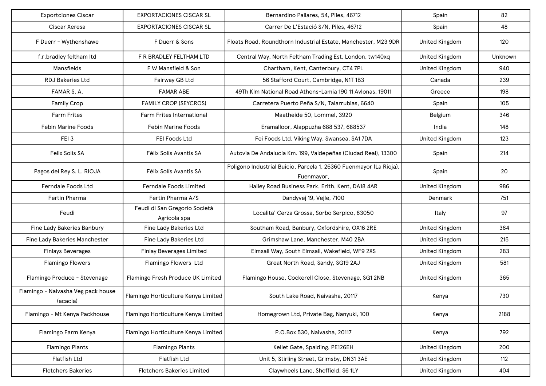| <b>Exportciones Ciscar</b>                     | <b>EXPORTACIONES CISCAR SL</b>                | Bernardino Pallares, 54, Piles, 46712                                            | Spain                 | 82      |
|------------------------------------------------|-----------------------------------------------|----------------------------------------------------------------------------------|-----------------------|---------|
| Ciscar Xeresa                                  | <b>EXPORTACIONES CISCAR SL</b>                | Carrer De L'Estació S/N, Piles, 46712                                            | Spain                 | 48      |
| F Duerr - Wythenshawe                          | F Duerr & Sons                                | Floats Road, Roundthorn Industrial Estate, Manchester, M23 9DR                   | <b>United Kingdom</b> | 120     |
| f.r.bradley feltham Itd                        | F R BRADLEY FELTHAM LTD                       | Central Way, North Feltham Trading Est, London, tw140xq                          | <b>United Kingdom</b> | Unknown |
| Mansfields                                     | F W Mansfield & Son                           | Chartham, Kent, Canterbury, CT4 7PL                                              | <b>United Kingdom</b> | 940     |
| <b>RDJ Bakeries Ltd</b>                        | Fairway GB Ltd                                | 56 Stafford Court, Cambridge, N1T 1B3                                            | Canada                | 239     |
| FAMAR S.A.                                     | <b>FAMAR ABE</b>                              | 49Th Klm National Road Athens-Lamia 190 11 Avlonas, 19011                        | Greece                | 198     |
| <b>Family Crop</b>                             | <b>FAMILY CROP (SEYCROS)</b>                  | Carretera Puerto Peña S/N, Talarrubias, 6640                                     | Spain                 | 105     |
| <b>Farm Frites</b>                             | Farm Frites International                     | Maatheide 50, Lommel, 3920                                                       | Belgium               | 346     |
| <b>Febin Marine Foods</b>                      | Febin Marine Foods                            | Eramalloor, Alappuzha 688 537, 688537                                            | India                 | 148     |
| FEI 3                                          | FEI Foods Ltd                                 | Fei Foods Ltd, Viking Way, Swansea, SA17DA                                       | <b>United Kingdom</b> | 123     |
| Felix Solis SA                                 | Félix Solís Avantis SA                        | Autovia De Andalucía Km. 199, Valdepeñas (Ciudad Real), 13300                    | Spain                 | 214     |
| Pagos del Rey S. L. RIOJA                      | Félix Solís Avantis SA                        | Poligono Industrial Buicio, Parcela 1, 26360 Fuenmayor (La Rioja),<br>Fuenmayor, | Spain                 | 20      |
| <b>Ferndale Foods Ltd</b>                      | Ferndale Foods Limited                        | Hailey Road Business Park, Erith, Kent, DA18 4AR                                 | <b>United Kingdom</b> | 986     |
| Fertin Pharma                                  | Fertin Pharma A/S                             | Dandyvej 19, Vejle, 7100                                                         | Denmark               | 751     |
| Feudi                                          | Feudi di San Gregorio Società<br>Agricola spa | Localita' Cerza Grossa, Sorbo Serpico, 83050                                     | Italy                 | 97      |
| Fine Lady Bakeries Banbury                     | Fine Lady Bakeries Ltd                        | Southam Road, Banbury, Oxfordshire, OX16 2RE                                     | <b>United Kingdom</b> | 384     |
| Fine Lady Bakeries Manchester                  | Fine Lady Bakeries Ltd                        | Grimshaw Lane, Manchester, M40 2BA                                               | <b>United Kingdom</b> | 215     |
| <b>Finlays Beverages</b>                       | <b>Finlay Beverages Limited</b>               | Elmsall Way, South Elmsall, Wakefield, WF9 2XS                                   | <b>United Kingdom</b> | 283     |
| <b>Flamingo Flowers</b>                        | Flamingo Flowers Ltd                          | Great North Road, Sandy, SG19 2AJ                                                | <b>United Kingdom</b> | 581     |
| Flamingo Produce - Stevenage                   | Flamingo Fresh Produce UK Limited             | Flamingo House, Cockerell Close, Stevenage, SG1 2NB                              | <b>United Kingdom</b> | 365     |
| Flamingo - Naivasha Veg pack house<br>(acacia) | Flamingo Horticulture Kenya Limited           | South Lake Road, Naivasha, 20117                                                 | Kenya                 | 730     |
| Flamingo - Mt Kenya Packhouse                  | Flamingo Horticulture Kenya Limited           | Homegrown Ltd, Private Bag, Nanyuki, 100                                         | Kenya                 | 2188    |
| Flamingo Farm Kenya                            | Flamingo Horticulture Kenya Limited           | P.O.Box 530, Naivasha, 20117                                                     | Kenya                 | 792     |
| <b>Flamingo Plants</b>                         | <b>Flamingo Plants</b>                        | Kellet Gate, Spalding, PE126EH                                                   | <b>United Kingdom</b> | 200     |
| Flatfish Ltd                                   | <b>Flatfish Ltd</b>                           | Unit 5, Stirling Street, Grimsby, DN31 3AE                                       | <b>United Kingdom</b> | 112     |
| <b>Fletchers Bakeries</b>                      | <b>Fletchers Bakeries Limited</b>             | Claywheels Lane, Sheffield, S6 1LY                                               | <b>United Kingdom</b> | 404     |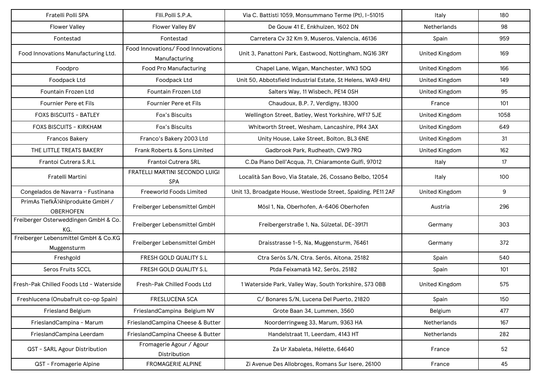| Fratelli Polli SPA                                    | Fili.Polli S.P.A.                                   | Via C. Battisti 1059, Monsummano Terme (Pt), I-51015          | Italy                 | 180  |
|-------------------------------------------------------|-----------------------------------------------------|---------------------------------------------------------------|-----------------------|------|
| <b>Flower Valley</b>                                  | Flower Valley BV                                    | De Gouw 41 E, Enkhuizen, 1602 DN                              | <b>Netherlands</b>    | 98   |
| Fontestad                                             | Fontestad                                           | Carretera Cv 32 Km 9, Museros, Valencia, 46136                | Spain                 | 959  |
| Food Innovations Manufacturing Ltd.                   | Food Innovations/ Food Innovations<br>Manufacturing | Unit 3, Panattoni Park, Eastwood, Nottingham, NG16 3RY        | United Kingdom        | 169  |
| Foodpro                                               | Food Pro Manufacturing                              | Chapel Lane, Wigan, Manchester, WN3 5DQ                       | <b>United Kingdom</b> | 166  |
| Foodpack Ltd                                          | Foodpack Ltd                                        | Unit 50, Abbotsfield Industrial Estate, St Helens, WA9 4HU    | <b>United Kingdom</b> | 149  |
| Fountain Frozen Ltd                                   | Fountain Frozen Ltd                                 | Salters Way, 11 Wisbech, PE14 OSH                             | <b>United Kingdom</b> | 95   |
| Fournier Pere et Fils                                 | Fournier Pere et Fils                               | Chaudoux, B.P. 7, Verdigny, 18300                             | France                | 101  |
| <b>FOXS BISCUITS - BATLEY</b>                         | Fox's Biscuits                                      | Wellington Street, Batley, West Yorkshire, WF17 5JE           | <b>United Kingdom</b> | 1058 |
| <b>FOXS BISCUITS - KIRKHAM</b>                        | Fox's Biscuits                                      | Whitworth Street, Wesham, Lancashire, PR4 3AX                 | <b>United Kingdom</b> | 649  |
| <b>Francos Bakery</b>                                 | Franco's Bakery 2003 Ltd                            | Unity House, Lake Street, Bolton, BL3 6NE                     | <b>United Kingdom</b> | 31   |
| THE LITTLE TREATS BAKERY                              | Frank Roberts & Sons Limited                        | Gadbrook Park, Rudheath, CW9 7RQ                              | <b>United Kingdom</b> | 162  |
| Frantoi Cutrera S.R.L                                 | Frantoi Cutrera SRL                                 | C.Da Piano Dell'Acqua, 71, Chiaramonte Gulfi, 97012           | Italy                 | 17   |
| Fratelli Martini                                      | FRATELLI MARTINI SECONDO LUIGI<br><b>SPA</b>        | Località San Bovo, Via Statale, 26, Cossano Belbo, 12054      | Italy                 | 100  |
| Congelados de Navarra - Fustinana                     | Freeworld Foods Limited                             | Unit 13, Broadgate House, Westlode Street, Spalding, PE11 2AF | <b>United Kingdom</b> | 9    |
| PrimAs TiefkA1/4hlprodukte GmbH /<br><b>OBERHOFEN</b> | Freiberger Lebensmittel GmbH                        | Mösl 1, Na, Oberhofen, A-6406 Oberhofen                       | Austria               | 296  |
| Freiberger Osterweddingen GmbH & Co.<br>KG.           | Freiberger Lebensmittel GmbH                        | Freibergerstraße 1, Na, Sülzetal, DE-39171                    | Germany               | 303  |
| Freiberger Lebensmittel GmbH & Co.KG<br>Muggensturm   | Freiberger Lebensmittel GmbH                        | Draisstrasse 1-5, Na, Muggensturm, 76461                      | Germany               | 372  |
| Freshgold                                             | FRESH GOLD QUALITY S.L                              | Ctra Seròs S/N, Ctra. Serós, Aitona, 25182                    | Spain                 | 540  |
| Seros Fruits SCCL                                     | FRESH GOLD QUALITY S.L                              | Ptda Feixamatà 142, Seròs, 25182                              | Spain                 | 101  |
| Fresh-Pak Chilled Foods Ltd - Waterside               | Fresh-Pak Chilled Foods Ltd                         | 1 Waterside Park, Valley Way, South Yorkshire, S73 OBB        | <b>United Kingdom</b> | 575  |
| Freshlucena (Onubafruit co-op Spain)                  | <b>FRESLUCENA SCA</b>                               | C/Bonares S/N, Lucena Del Puerto, 21820                       | Spain                 | 150  |
| <b>Friesland Belgium</b>                              | FrieslandCampina Belgium NV                         | Grote Baan 34, Lummen, 3560                                   | Belgium               | 477  |
| FrieslandCampina - Marum                              | FrieslandCampina Cheese & Butter                    | Noorderringweg 33, Marum, 9363 HA                             | Netherlands           | 167  |
| FrieslandCampina Leerdam                              | FrieslandCampina Cheese & Butter                    | Handelstraat 11, Leerdam, 4143 HT                             | Netherlands           | 282  |
| QST - SARL Agour Distribution                         | Fromagerie Agour / Agour<br>Distribution            | Za Ur Xabaleta, Hélette, 64640                                | France                | 52   |
| QST - Fromagerie Alpine                               | <b>FROMAGERIE ALPINE</b>                            | Zi Avenue Des Allobroges, Romans Sur Isere, 26100             | France                | 45   |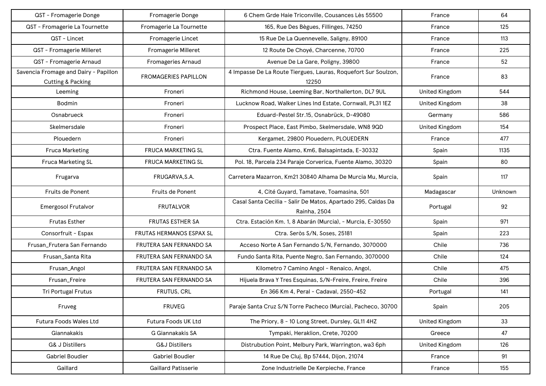| QST - Fromagerie Donge                                     | Fromagerie Donge            | 6 Chem Grde Haie Triconville, Cousances Lès 55500                             | France                | 64      |
|------------------------------------------------------------|-----------------------------|-------------------------------------------------------------------------------|-----------------------|---------|
| QST - Fromagerie La Tournette                              | Fromagerie La Tournette     | 165, Rue Des Bègues, Fillinges, 74250                                         | France                | 125     |
| QST - Lincet                                               | Fromagerie Lincet           | 15 Rue De La Quennevelle, Saligny, 89100                                      | France                | 113     |
| QST - Fromagerie Milleret                                  | Fromagerie Milleret         | 12 Route De Choyé, Charcenne, 70700                                           | France                | 225     |
| QST - Fromagerie Arnaud                                    | <b>Fromageries Arnaud</b>   | Avenue De La Gare, Poligny, 39800                                             | France                | 52      |
| Savencia Fromage and Dairy - Papillon<br>Cutting & Packing | <b>FROMAGERIES PAPILLON</b> | 4 Impasse De La Route Tiergues, Lauras, Roquefort Sur Soulzon,<br>12250       | France                | 83      |
| Leeming                                                    | Froneri                     | Richmond House, Leeming Bar, Northallerton, DL7 9UL                           | <b>United Kingdom</b> | 544     |
| <b>Bodmin</b>                                              | Froneri                     | Lucknow Road, Walker Lines Ind Estate, Cornwall, PL31 1EZ                     | <b>United Kingdom</b> | 38      |
| Osnabrueck                                                 | Froneri                     | Eduard-Pestel Str.15, Osnabrück, D-49080                                      | Germany               | 586     |
| Skelmersdale                                               | Froneri                     | Prospect Place, East Pimbo, Skelmersdale, WN8 9QD                             | <b>United Kingdom</b> | 154     |
| Plouedern                                                  | Froneri                     | Kergamet, 29800 Plouedern, PLOUEDERN                                          | France                | 477     |
| <b>Fruca Marketing</b>                                     | FRUCA MARKETING SL          | Ctra. Fuente Alamo, Km6, Balsapintada, E-30332                                | Spain                 | 1135    |
| <b>Fruca Marketing SL</b>                                  | FRUCA MARKETING SL          | Pol. 18, Parcela 234 Paraje Corverica, Fuente Alamo, 30320                    | Spain                 | 80      |
| Frugarva                                                   | FRUGARVA, S.A.              | Carretera Mazarron, Km21 30840 Alhama De Murcia Mu, Murcia,                   | Spain                 | 117     |
| Fruits de Ponent                                           | Fruits de Ponent            | 4, Cité Guyard, Tamatave, Toamasina, 501                                      | Madagascar            | Unknown |
| <b>Emergosol Frutalvor</b>                                 | <b>FRUTALVOR</b>            | Casal Santa Cecilia - Salir De Matos, Apartado 295, Caldas Da<br>Rainha, 2504 | Portugal              | 92      |
| <b>Frutas Esther</b>                                       | FRUTAS ESTHER SA            | Ctra. Estación Km. 1, 8 Abarán (Murcia), - Murcia, E-30550                    | Spain                 | 971     |
| Consorfruit - Espax                                        | FRUTAS HERMANOS ESPAX SL    | Ctra. Seròs S/N, Soses, 25181                                                 | Spain                 | 223     |
| Frusan_Frutera San Fernando                                | FRUTERA SAN FERNANDO SA     | Acceso Norte A San Fernando S/N, Fernando, 3070000                            | Chile                 | 736     |
| Frusan_Santa Rita                                          | FRUTERA SAN FERNANDO SA     | Fundo Santa Rita, Puente Negro, San Fernando, 3070000                         | Chile                 | 124     |
| Frusan_Angol                                               | FRUTERA SAN FERNANDO SA     | Kilometro 7 Camino Angol - Renaico, Angol,                                    | Chile                 | 475     |
| Frusan_Freire                                              | FRUTERA SAN FERNANDO SA     | Hijuela Brava Y Tres Esquinas, S/N-Freire, Freire, Freire                     | Chile                 | 396     |
| Tri Portugal Frutus                                        | <b>FRUTUS, CRL</b>          | En 366 Km 4, Peral - Cadaval, 2550-452                                        | Portugal              | 141     |
| Fruveg                                                     | <b>FRUVEG</b>               | Paraje Santa Cruz S/N Torre Pacheco (Murcia), Pacheco, 30700                  | Spain                 | 205     |
| Futura Foods Wales Ltd                                     | Futura Foods UK Ltd         | The Priory, 8 - 10 Long Street, Dursley, GL11 4HZ                             | <b>United Kingdom</b> | 33      |
| Giannakakis                                                | G Giannakakis SA            | Tympaki, Heraklion, Crete, 70200                                              | Greece                | 47      |
| G& J Distillers                                            | <b>G&amp;J Distillers</b>   | Distrubution Point, Melbury Park, Warrington, wa3 6ph                         | <b>United Kingdom</b> | 126     |
| Gabriel Boudier                                            | Gabriel Boudier             | 14 Rue De Cluj, Bp 57444, Dijon, 21074                                        | France                | 91      |
| Gaillard                                                   | <b>Gaillard Patisserie</b>  | Zone Industrielle De Kerpieche, France                                        | France                | 155     |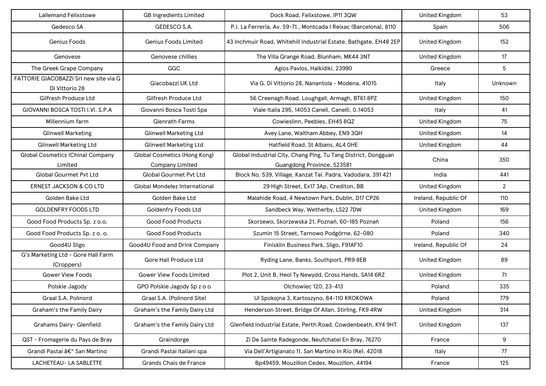| <b>Lallemand Felixstowe</b>                              | <b>GB Ingredients Limited</b>                          | Dock Road, Felixstowe, IP11 3QW                                                              | <b>United Kingdom</b> | 53             |
|----------------------------------------------------------|--------------------------------------------------------|----------------------------------------------------------------------------------------------|-----------------------|----------------|
| Gedesco SA                                               | GEDESCO S.A.                                           | P.I. La Ferrería, Av. 59-71., Montcada I Reixac (Barcelona), 8110                            | Spain                 | 506            |
| Genius Foods                                             | <b>Genius Foods Limited</b>                            | 43 Inchmuir Road, Whitehill Industrial Estate, Bathgate, EH48 2EP                            | United Kingdom        | 152            |
| Genovese                                                 | Genovese chillies                                      | The Villa Grange Road, Blunham, MK44 3NT                                                     | <b>United Kingdom</b> | 17             |
| The Greek Grape Company                                  | GGC                                                    | Agios Pavlos, Halkidiki, 23990                                                               | Greece                | 5              |
| FATTORIE GIACOBAZZI Srl new site via G<br>Di Vittorio 28 | Giacobazzi UK Ltd                                      | Via G. Di Vittorio 28, Nanantola - Modena, 41015                                             | Italy                 | Unknown        |
| Gilfresh Produce Ltd                                     | Gilfresh Produce Ltd                                   | 56 Creenagh Road, Loughgall, Armagh, BT61 8PZ                                                | United Kingdom        | 150            |
| GIOVANNI BOSCA TOSTI I.VI. S.P.A                         | Giovanni Bosca Tosti Spa                               | Viale Italia 295, 14053 Caneli, Canelli, 0.14053                                             | Italy                 | 41             |
| Millennium farm                                          | <b>Glenrath Farms</b>                                  | Cowieslinn, Peebles, EH45 8QZ                                                                | <b>United Kingdom</b> | 75             |
| <b>Glinwell Marketing</b>                                | <b>Glinwell Marketing Ltd</b>                          | Avey Lane, Waltham Abbey, EN9 3QH                                                            | United Kingdom        | 14             |
| <b>Glinwell Marketing Ltd</b>                            | <b>Glinwell Marketing Ltd</b>                          | Hatfield Road, St Albans, AL4 OHE                                                            | <b>United Kingdom</b> | 44             |
| <b>Global Cosmetics (China) Company</b><br>Limited       | <b>Global Cosmetics (Hong Kong)</b><br>Company Limited | Global Industrial City, Chang Ping, Tu Tang District, Dongguan<br>Guangdong Province, 523581 | China                 | 350            |
| <b>Global Gourmet Pvt Ltd</b>                            | <b>Global Gourmet Pvt Ltd</b>                          | Block No. 539, Village, Kanzat Tal. Padra, Vadodara, 391 421                                 | India                 | 441            |
| <b>ERNEST JACKSON &amp; CO LTD</b>                       | <b>Global Mondelez International</b>                   | 29 High Street, Ex17 3Ap, Crediton, BB                                                       | United Kingdom        | $\overline{2}$ |
| Golden Bake Ltd                                          | Golden Bake Ltd                                        | Malahide Road, 4 Newtown Park, Dublin, D17 CP26                                              | Ireland, Republic Of  | 110            |
| <b>GOLDENFRY FOODS LTD</b>                               | <b>Goldenfry Foods Ltd</b>                             | Sandbeck Way, Wetherby, LS22 7DW                                                             | <b>United Kingdom</b> | 169            |
| Good Food Products Sp. z o.o.                            | <b>Good Food Products</b>                              | Skorzewo, Skorzewska 21, Poznań, 60-185 Poznań                                               | Poland                | 156            |
| Good Food Products Sp. z o. o.                           | <b>Good Food Products</b>                              | Szumin 15 Street, Tarnowo Podgórne, 62-080                                                   | Poland                | 340            |
| Good4U Sligo                                             | Good4U Food and Drink Company                          | Finisklin Business Park, Sligo, F91AF10                                                      | Ireland, Republic Of  | 24             |
| G's Marketing Ltd - Gore Hall Farm<br>(Croppers)         | Gore Hall Produce Ltd                                  | Ryding Lane, Banks, Southport, PR9 8EB                                                       | United Kingdom        | 89             |
| <b>Gower View Foods</b>                                  | <b>Gower View Foods LImited</b>                        | Plot 2, Unit B, Heol Ty Newydd, Cross Hands, SA14 6RZ                                        | <b>United Kingdom</b> | 71             |
| Polskie Jagody                                           | GPO Polskie Jagody Sp z o o                            | Olchowiec 120, 23-413                                                                        | Poland                | 335            |
| Graal S.A. Polinord                                      | Graal S.A. (Polinord Site)                             | Ul Spokojna 3, Kartoszyno, 84-110 KROKOWA                                                    | Poland                | 779            |
| <b>Graham's the Family Dairy</b>                         | Graham's the Family Dairy Ltd                          | Henderson Street, Bridge Of Allan, Stirling, FK9 4RW                                         | <b>United Kingdom</b> | 314            |
| Grahams Dairy- Glenfield                                 | Graham's the Family Dairy Ltd                          | Glenfield Industrial Estate, Perth Road, Cowdenbeath, KY4 9HT                                | <b>United Kingdom</b> | 137            |
| QST - Fromagerie du Pays de Bray                         | Graindorge                                             | Zi De Sainte Radegonde, Neufchatel En Bray, 76270                                            | France                | 9              |
| Grandi Pastai – San Martino                              | Grandi Pastai Italiani spa                             | Via Dell'Artigianato 11, San Martino In Rio (Re), 42018                                      | Italy                 | 77             |
| LACHETEAU- LA SABLETTE                                   | Grands Chais de France                                 | Bp49459, Mouzillon Cedex, Mouzillon, 44194                                                   | France                | 125            |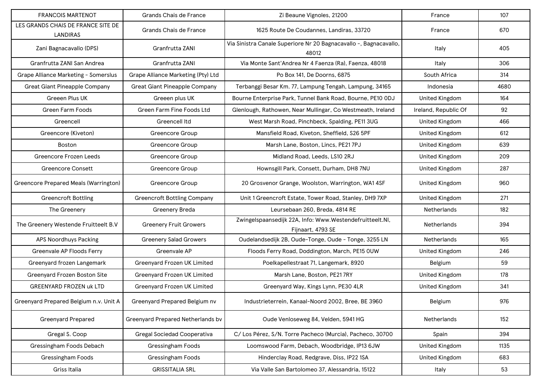| <b>FRANCOIS MARTENOT</b>                       | Grands Chais de France               | Zi Beaune Vignoles, 21200                                                     | France                | 107  |
|------------------------------------------------|--------------------------------------|-------------------------------------------------------------------------------|-----------------------|------|
| LES GRANDS CHAIS DE FRANCE SITE DE<br>LANDIRAS | Grands Chais de France               | 1625 Route De Coudannes, Landiras, 33720                                      | France                | 670  |
| Zani Bagnacavallo (DPS)                        | Granfrutta ZANI                      | Via Sinistra Canale Superiore Nr 20 Bagnacavallo -, Bagnacavallo,<br>48012    | Italy                 | 405  |
| Granfrutta ZANI San Andrea                     | Granfrutta ZANI                      | Via Monte Sant'Andrea Nr 4 Faenza (Ra), Faenza, 48018                         | Italy                 | 306  |
| <b>Grape Alliance Marketing - Somerslus</b>    | Grape Alliance Marketing (Pty) Ltd   | Po Box 141, De Doorns, 6875                                                   | South Africa          | 314  |
| <b>Great Giant Pineapple Company</b>           | <b>Great Giant Pineapple Company</b> | Terbanggi Besar Km. 77, Lampung Tengah, Lampung, 34165                        | Indonesia             | 4680 |
| Greeen Plus UK                                 | Greeen plus UK                       | Bourne Enterprise Park, Tunnel Bank Road, Bourne, PE10 ODJ                    | <b>United Kingdom</b> | 164  |
| <b>Green Farm Foods</b>                        | Green Farm Fine Foods Ltd            | Glenlough, Rathowen, Near Mullingar, Co Westmeath, Ireland                    | Ireland, Republic Of  | 92   |
| Greencell                                      | <b>Greencell Itd</b>                 | West Marsh Road, Pinchbeck, Spalding, PE11 3UG                                | <b>United Kingdom</b> | 466  |
| Greencore (Kiveton)                            | Greencore Group                      | Mansfield Road, Kiveton, Sheffield, S26 5PF                                   | <b>United Kingdom</b> | 612  |
| <b>Boston</b>                                  | <b>Greencore Group</b>               | Marsh Lane, Boston, Lincs, PE217PJ                                            | <b>United Kingdom</b> | 639  |
| Greencore Frozen Leeds                         | Greencore Group                      | Midland Road, Leeds, LS10 2RJ                                                 | <b>United Kingdom</b> | 209  |
| <b>Greencore Consett</b>                       | Greencore Group                      | Hownsgill Park, Consett, Durham, DH8 7NU                                      | <b>United Kingdom</b> | 287  |
| <b>Greencore Prepared Meals (Warrington)</b>   | Greencore Group                      | 20 Grosvenor Grange, Woolston, Warrington, WA1 4SF                            | <b>United Kingdom</b> | 960  |
| <b>Greencroft Bottling</b>                     | <b>Greencroft Bottling Company</b>   | Unit 1 Greencroft Estate, Tower Road, Stanley, DH9 7XP                        | <b>United Kingdom</b> | 271  |
| The Greenery                                   | <b>Greenery Breda</b>                | Leursebaan 260, Breda, 4814 RE                                                | Netherlands           | 182  |
| The Greenery Westende Fruitteelt B.V           | <b>Greenery Fruit Growers</b>        | Zwingelspaansedijk 22A, Info: Www.Westendefruitteelt.Nl,<br>Fijnaart, 4793 SE | Netherlands           | 394  |
| APS Noordhuys Packing                          | <b>Greenery Salad Growers</b>        | Oudelandsedijk 2B, Oude-Tonge, Oude - Tonge, 3255 LN                          | <b>Netherlands</b>    | 165  |
| Greenvale AP Floods Ferry                      | Greenvale AP                         | Floods Ferry Road, Doddington, March, PE15 OUW                                | United Kingdom        | 246  |
| Greenyard frozen Langemark                     | Greenyard Frozen UK Limited          | Poelkapellestraat 71, Langemark, 8920                                         | Belgium               | 59   |
| Greenyard Frozen Boston Site                   | Greenyard Frozen UK Limited          | Marsh Lane, Boston, PE217RY                                                   | <b>United Kingdom</b> | 178  |
| <b>GREENYARD FROZEN uk LTD</b>                 | Greenyard Frozen UK Limited          | Greenyard Way, Kings Lynn, PE30 4LR                                           | <b>United Kingdom</b> | 341  |
| Greenyard Prepared Belgium n.v. Unit A         | Greenyard Prepared Belgium nv        | Industrieterrein, Kanaal-Noord 2002, Bree, BE 3960                            | Belgium               | 976  |
| Greenyard Prepared                             | Greenyard Prepared Netherlands bv    | Oude Venloseweg 84, Velden, 5941 HG                                           | Netherlands           | 152  |
| Gregal S. Coop                                 | Gregal Sociedad Cooperativa          | C/Los Pérez, S/N. Torre Pacheco (Murcia), Pacheco, 30700                      | Spain                 | 394  |
| Gressingham Foods Debach                       | Gressingham Foods                    | Loomswood Farm, Debach, Woodbridge, IP13 6JW                                  | <b>United Kingdom</b> | 1135 |
| Gressingham Foods                              | Gressingham Foods                    | Hinderclay Road, Redgrave, Diss, IP22 1SA                                     | <b>United Kingdom</b> | 683  |
| Griss Italia                                   | <b>GRISSITALIA SRL</b>               | Via Valle San Bartolomeo 37, Alessandria, 15122                               | Italy                 | 53   |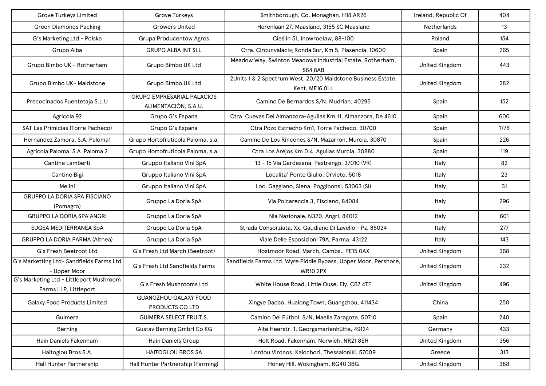| <b>Grove Turkeys Limited</b>                                     | <b>Grove Turkeys</b>                                      | Smithborough, Co. Monaghan, H18 AR26                                               | Ireland, Republic Of  | 404  |
|------------------------------------------------------------------|-----------------------------------------------------------|------------------------------------------------------------------------------------|-----------------------|------|
| <b>Green Diamonds Packing</b>                                    | <b>Growers United</b>                                     | Herenlaan 27, Maasland, 3155 SC Maasland                                           | <b>Netherlands</b>    | 13   |
| G's Marketing Ltd - Polska                                       | <b>Grupa Producentow Agros</b>                            | Cieślin 51, Inowrocław, 88-100                                                     | Poland                | 154  |
| Grupo Alba                                                       | <b>GRUPO ALBA INT SLL</b>                                 | Ctra. Circunvalacim Ronda Sur, Km 5, Plasencia, 10600                              | Spain                 | 265  |
| Grupo Bimbo UK - Rotherham                                       | Grupo Bimbo UK Ltd                                        | Meadow Way, Swinton Meadows Industrial Estate, Rotherham,<br><b>S64 8AB</b>        | United Kingdom        | 443  |
| Grupo Bimbo UK- Maidstone                                        | Grupo Bimbo UK Ltd                                        | 2Units 1 & 2 Spectrum West, 20/20 Maidstone Business Estate,<br>Kent, ME16 OLL     | <b>United Kingdom</b> | 282  |
| Precocinados Fuentetaja S.L.U                                    | <b>GRUPO EMPRESARIAL PALACIOS</b><br>ALIMENTACIÓN, S.A.U. | Camino De Bernardos S/N, Mudrian, 40295                                            | Spain                 | 152  |
| Agricola 92                                                      | Grupo G's Espana                                          | Ctra. Cuevas Del Almanzora-Aguilas Km.11, Almanzora, De 4610                       | Spain                 | 600  |
| <b>SAT Las Primicias (Torre Pacheco)</b>                         | Grupo G's Espana                                          | Ctra Pozo Estrecho Km1, Torre Pacheco, 30700                                       | Spain                 | 1776 |
| Hernandez Zamora, S.A. Paloma1                                   | Grupo Hortofruticola Paloma, s.a.                         | Camino De Los Rincones S/N, Mazarron, Murcia, 30870                                | Spain                 | 226  |
| Agricola Paloma, S.A Paloma 2                                    | Grupo Hortofruticola Paloma, s.a.                         | Ctra Los Arejos Km 0.4, Aguilas Murcia, 30880                                      | Spain                 | 119  |
| Cantine Lamberti                                                 | Gruppo Italiano Vini SpA                                  | 13 - 15 Via Gardesana, Pastrengo, 37010 (VR)                                       | Italy                 | 82   |
| Cantine Bigi                                                     | Gruppo Italiano Vini SpA                                  | Localita' Ponte Giulio, Orvieto, 5018                                              | Italy                 | 23   |
| Melini                                                           | Gruppo Italiano Vini SpA                                  | Loc. Gaggiano, Siena, Poggibonsi, 53063 (SI)                                       | Italy                 | 31   |
| GRUPPO LA DORIA SPA FISCIANO<br>(Pomagro)                        | Gruppo La Doria SpA                                       | Via Polcareccia 3, Fisciano, 84084                                                 | Italy                 | 296  |
| <b>GRUPPO LA DORIA SPA ANGRI</b>                                 | Gruppo La Doria SpA                                       | Nia Nazionale, N320, Angri, 84012                                                  | Italy                 | 601  |
| EUGEA MEDITERRANEA SpA                                           | Gruppo La Doria SpA                                       | Strada Consorziata, Xx, Gaudiano Di Lavello - Pz, 85024                            | Italy                 | 277  |
| GRUPPO LA DORIA PARMA (Althea)                                   | Gruppo La Doria SpA                                       | Viale Delle Esposizioni 79A, Parma, 43122                                          | Italy                 | 143  |
| G's Fresh Beetroot Ltd                                           | G's Fresh Ltd March (Beetroot)                            | Hostmoor Road, March, Cambs., PE15 0AX                                             | <b>United Kingdom</b> | 368  |
| G's Marketting Ltd- Sandfields Farms Ltd<br>- Upper Moor         | G's Fresh Ltd Sandfields Farms                            | Sandfields Farms Ltd, Wyre Piddle Bypass, Upper Moor, Pershore,<br><b>WR10 2PX</b> | <b>United Kingdom</b> | 232  |
| G's Marketing Ltd - Littleport Mushroom<br>Farms LLP, Littleport | G's Fresh Mushrooms Ltd                                   | White House Road, Little Ouse, Ely, CB7 4TF                                        | <b>United Kingdom</b> | 496  |
| <b>Galaxy Food Products Limited</b>                              | <b>GUANGZHOU GALAXY FOOD</b><br>PRODUCTS CO LTD           | Xingye Dadao, Hualong Town, Guangzhou, 411434                                      | China                 | 250  |
| Guimera                                                          | <b>GUIMERA SELECT FRUIT.S.</b>                            | Camino Del Fútbol, S/N, Maella Zaragoza, 50710                                     | Spain                 | 240  |
| Berning                                                          | Gustav Berning GmbH Co KG                                 | Alte Heerstr. 1, Georgsmarienhütte, 49124                                          | Germany               | 433  |
| Hain Daniels Fakenham                                            | Hain Daniels Group                                        | Holt Road, Fakenham, Norwich, NR21 8EH                                             | <b>United Kingdom</b> | 356  |
| Haitoglou Bros S.A.                                              | <b>HAITOGLOU BROS SA</b>                                  | Lordou Vironos, Kalochori, Thessaloniki, 57009                                     | Greece                | 313  |
| Hall Hunter Partnership                                          | Hall Hunter Partnership (Farming)                         | Honey Hill, Wokingham, RG40 3BG                                                    | <b>United Kingdom</b> | 388  |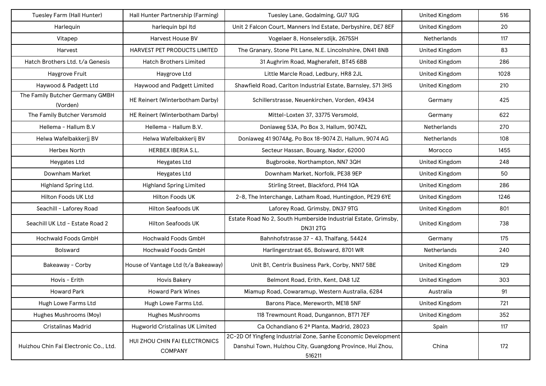| Tuesley Farm (Hall Hunter)                  | Hall Hunter Partnership (Farming)               | Tuesley Lane, Godalming, GU7 1UG                                                                                                     | <b>United Kingdom</b> | 516  |
|---------------------------------------------|-------------------------------------------------|--------------------------------------------------------------------------------------------------------------------------------------|-----------------------|------|
| Harlequin                                   | harlequin bpi Itd                               | Unit 2 Falcon Court, Manners Ind Estate, Derbyshire, DE7 8EF                                                                         | <b>United Kingdom</b> | 20   |
| Vitapep                                     | Harvest House BV                                | Vogelaer 8, Honselersdijk, 2675SH                                                                                                    | Netherlands           | 117  |
| Harvest                                     | <b>HARVEST PET PRODUCTS LIMITED</b>             | The Granary, Stone Pit Lane, N.E. Lincolnshire, DN41 8NB                                                                             | <b>United Kingdom</b> | 83   |
| Hatch Brothers Ltd. t/a Genesis             | <b>Hatch Brothers Limited</b>                   | 31 Aughrim Road, Magherafelt, BT45 6BB                                                                                               | <b>United Kingdom</b> | 286  |
| Haygrove Fruit                              | Haygrove Ltd                                    | Little Marcle Road, Ledbury, HR8 2JL                                                                                                 | <b>United Kingdom</b> | 1028 |
| Haywood & Padgett Ltd                       | Haywood and Padgett Limited                     | Shawfield Road, Carlton Industrial Estate, Barnsley, S71 3HS                                                                         | <b>United Kingdom</b> | 210  |
| The Family Butcher Germany GMBH<br>(Vorden) | HE Reinert (Winterbotham Darby)                 | Schillerstrasse, Neuenkirchen, Vorden, 49434                                                                                         | Germany               | 425  |
| The Family Butcher Versmold                 | HE Reinert (Winterbotham Darby)                 | Mittel-Loxten 37, 33775 Versmold,                                                                                                    | Germany               | 622  |
| Hellema - Hallum B.V                        | Hellema - Hallum B.V.                           | Doniaweg 53A, Po Box 3, Hallum, 9074ZL                                                                                               | <b>Netherlands</b>    | 270  |
| Helwa Wafelbakkerjj BV                      | Helwa Wafelbakkerij BV                          | Doniaweg 41 9074Ag, Po Box 18-9074 Zl, Hallum, 9074 AG                                                                               | Netherlands           | 108  |
| <b>Herbex North</b>                         | <b>HERBEX IBERIA S.L.</b>                       | Secteur Hassan, Bouarg, Nador, 62000                                                                                                 | Morocco               | 1455 |
| <b>Heygates Ltd</b>                         | Heygates Ltd                                    | Bugbrooke, Northampton, NN7 3QH                                                                                                      | United Kingdom        | 248  |
| Downham Market                              | Heygates Ltd                                    | Downham Market, Norfolk, PE38 9EP                                                                                                    | <b>United Kingdom</b> | 50   |
| Highland Spring Ltd.                        | <b>Highland Spring Limited</b>                  | Stirling Street, Blackford, PH4 1QA                                                                                                  | United Kingdom        | 286  |
| Hilton Foods UK Ltd                         | <b>Hilton Foods UK</b>                          | 2-8, The Interchange, Latham Road, Huntingdon, PE29 6YE                                                                              | United Kingdom        | 1246 |
| Seachill - Laforey Road                     | <b>Hilton Seafoods UK</b>                       | Laforey Road, Grimsby, DN37 9TG                                                                                                      | United Kingdom        | 801  |
| Seachill UK Ltd - Estate Road 2             | <b>Hilton Seafoods UK</b>                       | Estate Road No 2, South Humberside Industrial Estate, Grimsby,<br><b>DN312TG</b>                                                     | United Kingdom        | 738  |
| <b>Hochwald Foods GmbH</b>                  | Hochwald Foods GmbH                             | Bahnhofstrasse 37 - 43, Thalfang, 54424                                                                                              | Germany               | 175  |
| <b>Bolsward</b>                             | Hochwald Foods GmbH                             | Harlingerstraat 65, Bolsward, 8701 WR                                                                                                | Netherlands           | 240  |
| Bakeaway - Corby                            | House of Vantage Ltd (t/a Bakeaway)             | Unit B1, Centrix Business Park, Corby, NN17 5BE                                                                                      | <b>United Kingdom</b> | 129  |
| Hovis - Erith                               | <b>Hovis Bakery</b>                             | Belmont Road, Erith, Kent, DA8 1JZ                                                                                                   | United Kingdom        | 303  |
| <b>Howard Park</b>                          | <b>Howard Park Wines</b>                        | Miamup Road, Cowaramup, Western Australia, 6284                                                                                      | Australia             | 91   |
| Hugh Lowe Farms Ltd                         | Hugh Lowe Farms Ltd.                            | Barons Place, Mereworth, ME18 5NF                                                                                                    | <b>United Kingdom</b> | 721  |
| Hughes Mushrooms (Moy)                      | <b>Hughes Mushrooms</b>                         | 118 Trewmount Road, Dungannon, BT71 7EF                                                                                              | <b>United Kingdom</b> | 352  |
| <b>Cristalinas Madrid</b>                   | Hugworld Cristalinas UK Limited                 | Ca Ochandiano 6 2ª Planta, Madrid, 28023                                                                                             | Spain                 | 117  |
| Huizhou Chin Fai Electronic Co., Ltd.       | HUI ZHOU CHIN FAI ELECTRONICS<br><b>COMPANY</b> | 2C-2D Of Yingfeng Industrial Zone, Sanhe Economic Development<br>Danshui Town, Huizhou City, Guangdong Province, Hui Zhou,<br>516211 | China                 | 172  |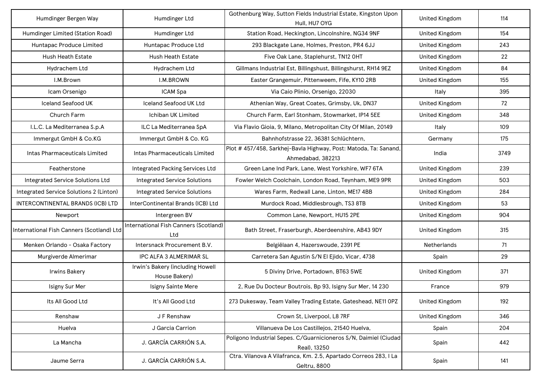| Humdinger Bergen Way                      | Humdinger Ltd                                     | Gothenburg Way, Sutton Fields Industrial Estate, Kingston Upon<br>Hull, HU7 OYG      | <b>United Kingdom</b> | 114  |
|-------------------------------------------|---------------------------------------------------|--------------------------------------------------------------------------------------|-----------------------|------|
| Humdinger Limited (Station Road)          | Humdinger Ltd                                     | Station Road, Heckington, Lincolnshire, NG34 9NF                                     | <b>United Kingdom</b> | 154  |
| Huntapac Produce Limited                  | Huntapac Produce Ltd                              | 293 Blackgate Lane, Holmes, Preston, PR4 6JJ                                         | <b>United Kingdom</b> | 243  |
| <b>Hush Heath Estate</b>                  | <b>Hush Heath Estate</b>                          | Five Oak Lane, Staplehurst, TN12 OHT                                                 | <b>United Kingdom</b> | 22   |
| Hydrachem Ltd                             | Hydrachem Ltd                                     | Gillmans Industrial Est, Billingshust, Billingshurst, RH14 9EZ                       | <b>United Kingdom</b> | 84   |
| I.M.Brown                                 | <b>I.M.BROWN</b>                                  | Easter Grangemuir, Pittenweem, Fife, KY10 2RB                                        | <b>United Kingdom</b> | 155  |
| Icam Orsenigo                             | ICAM Spa                                          | Via Caio Plinio, Orsenigo, 22030                                                     | Italy                 | 395  |
| <b>Iceland Seafood UK</b>                 | <b>Iceland Seafood UK Ltd</b>                     | Athenian Way, Great Coates, Grimsby, Uk, DN37                                        | <b>United Kingdom</b> | 72   |
| Church Farm                               | Ichiban UK Limited                                | Church Farm, Earl Stonham, Stowmarket, IP14 5EE                                      | <b>United Kingdom</b> | 348  |
| I.L.C. La Mediterranea S.p.A              | ILC La Mediterranea SpA                           | Via Flavio Gioia, 9, Milano, Metropolitan City Of Milan, 20149                       | Italy                 | 109  |
| Immergut GmbH & Co.KG                     | Immergut GmbH & Co. KG                            | Bahnhofstrasse 22, 36381 Schlüchtern,                                                | Germany               | 175  |
| Intas Pharmaceuticals Limited             | Intas Pharmaceuticals Limited                     | Plot # 457/458, Sarkhej-Bavla Highway, Post: Matoda, Ta: Sanand<br>Ahmedabad, 382213 | India                 | 3749 |
| Featherstone                              | Integrated Packing Services Ltd                   | Green Lane Ind Park, Lane, West Yorkshire, WF7 6TA                                   | <b>United Kingdom</b> | 239  |
| <b>Integrated Service Solutions Ltd</b>   | <b>Integrated Service Solutions</b>               | Fowler Welch Coolchain, London Road, Teynham, ME9 9PR                                | <b>United Kingdom</b> | 503  |
| Integrated Service Solutions 2 (Linton)   | <b>Integrated Service Solutions</b>               | Wares Farm, Redwall Lane, Linton, ME17 4BB                                           | <b>United Kingdom</b> | 284  |
| INTERCONTINENTAL BRANDS (ICB) LTD         | InterContinental Brands (ICB) Ltd                 | Murdock Road, Middlesbrough, TS3 8TB                                                 | <b>United Kingdom</b> | 53   |
| Newport                                   | Intergreen BV                                     | Common Lane, Newport, HU15 2PE                                                       | <b>United Kingdom</b> | 904  |
| International Fish Canners (Scotland) Ltd | International Fish Canners (Scotland)<br>Ltd      | Bath Street, Fraserburgh, Aberdeenshire, AB43 9DY                                    | <b>United Kingdom</b> | 315  |
| Menken Orlando - Osaka Factory            | Intersnack Procurement B.V.                       | Belgiëlaan 4, Hazerswoude, 2391 PE                                                   | <b>Netherlands</b>    | 71   |
| Murgiverde Almerimar                      | IPC ALFA 3 ALMERIMAR SL                           | Carretera San Agustin S/N El Ejido, Vicar, 4738                                      | Spain                 | 29   |
| <b>Irwins Bakery</b>                      | Irwin's Bakery (including Howell<br>House Bakery) | 5 Diviny Drive, Portadown, BT63 5WE                                                  | <b>United Kingdom</b> | 371  |
| Isigny Sur Mer                            | Isigny Sainte Mere                                | 2, Rue Du Docteur Boutrois, Bp 93, Isigny Sur Mer, 14 230                            | France                | 979  |
| Its All Good Ltd                          | It's All Good Ltd                                 | 273 Dukesway, Team Valley Trading Estate, Gateshead, NE11 OPZ                        | <b>United Kingdom</b> | 192  |
| Renshaw                                   | J F Renshaw                                       | Crown St, Liverpool, L8 7RF                                                          | <b>United Kingdom</b> | 346  |
| Huelva                                    | J Garcia Carrion                                  | Villanueva De Los Castillejos, 21540 Huelva,                                         | Spain                 | 204  |
| La Mancha                                 | J. GARCÍA CARRIÓN S.A.                            | Poligono Industrial Sepes. C/Guarnicioneros S/N, Daimiel (Ciudad<br>Real), 13250     | Spain                 | 442  |
| Jaume Serra                               | J. GARCÍA CARRIÓN S.A.                            | Ctra. Vilanova A Vilafranca, Km. 2.5, Apartado Correos 283, I La<br>Geltru, 8800     | Spain                 | 141  |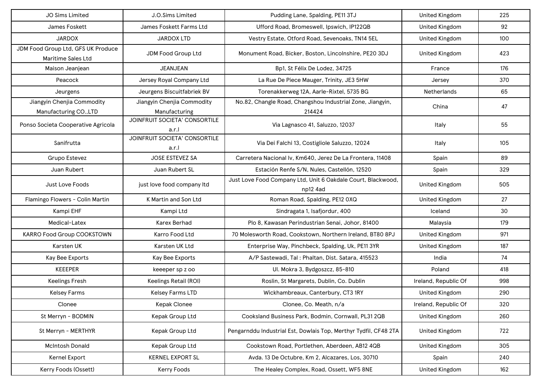| JO Sims Limited                                          | J.O.Sims Limited                            | Pudding Lane, Spalding, PE11 3TJ                                         | <b>United Kingdom</b> | 225 |
|----------------------------------------------------------|---------------------------------------------|--------------------------------------------------------------------------|-----------------------|-----|
| James Foskett                                            | James Foskett Farms Ltd                     | Ufford Road, Bromeswell, Ipswich, IP122QB                                | United Kingdom        | 92  |
| <b>JARDOX</b>                                            | <b>JARDOX LTD</b>                           | Vestry Estate, Otford Road, Sevenoaks, TN14 5EL                          | United Kingdom        | 100 |
| JDM Food Group Ltd, GFS UK Produce<br>Maritime Sales Ltd | JDM Food Group Ltd                          | Monument Road, Bicker, Boston, Lincolnshire, PE20 3DJ                    | United Kingdom        | 423 |
| Maison Jeanjean                                          | <b>JEANJEAN</b>                             | Bp1, St Félix De Lodez, 34725                                            | France                | 176 |
| Peacock                                                  | Jersey Royal Company Ltd                    | La Rue De Piece Mauger, Trinity, JE3 5HW                                 | Jersey                | 370 |
| Jeurgens                                                 | Jeurgens Biscuitfabriek BV                  | Torenakkerweg 12A, Aarle-Rixtel, 5735 BG                                 | Netherlands           | 65  |
| Jiangyin Chenjia Commodity<br>Manufacturing CO., LTD     | Jiangyin Chenjia Commodity<br>Manufacturing | No.82, Changle Road, Changshou Industrial Zone, Jiangyin,<br>214424      | China                 | 47  |
| Ponso Societa Cooperative Agricola                       | JOINFRUIT SOCIETA' CONSORTILE<br>a.r.l      | Via Lagnasco 41, Saluzzo, 12037                                          | Italy                 | 55  |
| Sanifrutta                                               | JOINFRUIT SOCIETA' CONSORTILE<br>a.r.l      | Via Dei Falchi 13, Costigliole Saluzzo, 12024                            | Italy                 | 105 |
| Grupo Estevez                                            | JOSE ESTEVEZ SA                             | Carretera Nacional Iv, Km640, Jerez De La Frontera, 11408                | Spain                 | 89  |
| Juan Rubert                                              | Juan Rubert SL                              | Estación Renfe S/N, Nules, Castellón, 12520                              | Spain                 | 329 |
| Just Love Foods                                          | just love food company Itd                  | Just Love Food Company Ltd, Unit 6 Oakdale Court, Blackwood,<br>np12 4ad | <b>United Kingdom</b> | 505 |
| Flamingo Flowers - Colin Martin                          | K Martin and Son Ltd                        | Roman Road, Spalding, PE12 0XQ                                           | United Kingdom        | 27  |
| Kampi EHF                                                | Kampi Ltd                                   | Sindragata 1, Isafjordur, 400                                            | Iceland               | 30  |
| Medical-Latex                                            | <b>Karex Berhad</b>                         | Plo 8, Kawasan Perindustrian Senai, Johor, 81400                         | Malaysia              | 179 |
| KARRO Food Group COOKSTOWN                               | Karro Food Ltd                              | 70 Molesworth Road, Cookstown, Northern Ireland, BT80 8PJ                | <b>United Kingdom</b> | 971 |
| Karsten UK                                               | Karsten UK Ltd                              | Enterprise Way, Pinchbeck, Spalding, Uk, PE11 3YR                        | <b>United Kingdom</b> | 187 |
| Kay Bee Exports                                          | Kay Bee Exports                             | A/P Sastewadi, Tal: Phaltan, Dist. Satara, 415523                        | India                 | 74  |
| KEEEPER                                                  | keeeper sp z oo                             | UI. Mokra 3, Bydgoszcz, 85-810                                           | Poland                | 418 |
| <b>Keelings Fresh</b>                                    | Keelings Retail (ROI)                       | Roslin, St Margarets, Dublin, Co. Dublin                                 | Ireland, Republic Of  | 998 |
| <b>Kelsey Farms</b>                                      | Kelsey Farms LTD                            | Wickhambreaux, Canterbury, CT3 1RY                                       | <b>United Kingdom</b> | 290 |
| Clonee                                                   | Kepak Clonee                                | Clonee, Co. Meath, n/a                                                   | Ireland, Republic Of  | 320 |
| St Merryn - BODMIN                                       | Kepak Group Ltd                             | Cooksland Business Park, Bodmin, Cornwall, PL31 2QB                      | <b>United Kingdom</b> | 260 |
| St Merryn - MERTHYR                                      | Kepak Group Ltd                             | Pengarnddu Industrial Est, Dowlais Top, Merthyr Tydfil, CF48 2TA         | <b>United Kingdom</b> | 722 |
| <b>McIntosh Donald</b>                                   | Kepak Group Ltd                             | Cookstown Road, Portlethen, Aberdeen, AB12 4QB                           | <b>United Kingdom</b> | 305 |
| Kernel Export                                            | KERNEL EXPORT SL                            | Avda. 13 De Octubre, Km 2, Alcazares, Los, 30710                         | Spain                 | 240 |
| Kerry Foods (Ossett)                                     | Kerry Foods                                 | The Healey Complex, Road, Ossett, WF5 8NE                                | <b>United Kingdom</b> | 162 |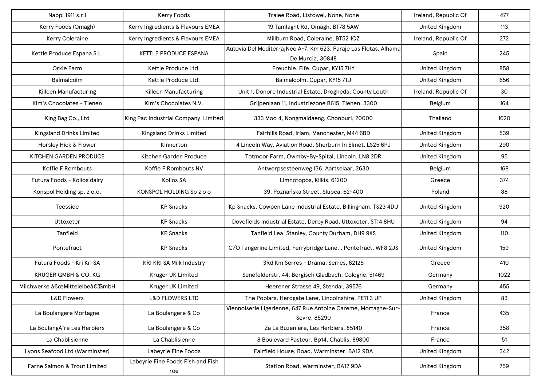| Nappi 1911 s.r.l               | Kerry Foods                              | Tralee Road, Listowel, None, None                                                    | Ireland, Republic Of  | 477  |
|--------------------------------|------------------------------------------|--------------------------------------------------------------------------------------|-----------------------|------|
| Kerry Foods (Omagh)            | Kerry Ingredients & Flavours EMEA        | 19 Tamlaght Rd, Omagh, BT78 5AW                                                      | <b>United Kingdom</b> | 113  |
| Kerry Coleraine                | Kerry Ingredients & Flavours EMEA        | Millburn Road, Coleraine, BT52 1QZ                                                   | Ireland, Republic Of  | 272  |
| Kettle Produce Espana S.L.     | KETTLE PRODUCE ESPANA                    | Autovia Del Mediterrã¡Neo A-7, Km 623, Paraje Las Flotas, Alhama<br>De Murcia, 30848 | Spain                 | 245  |
| Orkie Farm                     | Kettle Produce Ltd.                      | Freuchie, Fife, Cupar, KY15 7HY                                                      | <b>United Kingdom</b> | 858  |
| Balmalcolm                     | Kettle Produce Ltd.                      | Balmalcolm, Cupar, KY15 7TJ                                                          | <b>United Kingdom</b> | 656  |
| Killeen Manufacturing          | Killeen Manufacturing                    | Unit 1, Donore Industrial Estate, Drogheda, County Louth                             | Ireland, Republic Of  | 30   |
| Kim's Chocolates - Tienen      | Kim's Chocolates N.V.                    | Grijpenlaan 11, Industriezone B615, Tienen, 3300                                     | Belgium               | 164  |
| King Bag Co., Ltd              | King Pac Industrial Company Limited      | 333 Moo 4, Nongmaidaeng, Chonburi, 20000                                             | Thailand              | 1620 |
| Kingsland Drinks Limited       | <b>Kingsland Drinks Limited</b>          | Fairhills Road, Irlam, Manchester, M44 6BD                                           | <b>United Kingdom</b> | 539  |
| Horsley Hick & Flower          | Kinnerton                                | 4 Lincoln Way, Aviation Road, Sherburn In Elmet, LS25 6PJ                            | <b>United Kingdom</b> | 290  |
| KITCHEN GARDEN PRODUCE         | Kitchen Garden Produce                   | Totmoor Farm, Owmby-By-Spital, Lincoln, LN8 2DR                                      | <b>United Kingdom</b> | 95   |
| Koffie F Rombouts              | Koffie F Rombouts NV                     | Antwerpsesteenweg 136, Aartselaar, 2630                                              | Belgium               | 168  |
| Futura Foods - Kolios dairy    | Kolios SA                                | Limnotopos, Kilkis, 61200                                                            | Greece                | 374  |
| Konspol Holding sp. z o.o.     | KONSPOL HOLDING Sp z o o                 | 39, Poznańska Street, Slupca, 62-400                                                 | Poland                | 88   |
| Teesside                       | <b>KP</b> Snacks                         | Kp Snacks, Cowpen Lane Industrial Estate, Billingham, TS23 4DU                       | United Kingdom        | 920  |
| Uttoxeter                      | <b>KP Snacks</b>                         | Dovefields Industrial Estate, Derby Road, Uttoxeter, ST14 8HU                        | <b>United Kingdom</b> | 94   |
| Tanfield                       | <b>KP Snacks</b>                         | Tanfield Lea, Stanley, County Durham, DH9 9XS                                        | <b>United Kingdom</b> | 110  |
| Pontefract                     | <b>KP Snacks</b>                         | C/O Tangerine Limited, Ferrybridge Lane, , Pontefract, WF8 2JS                       | <b>United Kingdom</b> | 159  |
| Futura Foods - Kri Kri SA      | KRI KRI SA Milk Industry                 | 3Rd Km Serres - Drama, Serres, 62125                                                 | Greece                | 410  |
| KRUGER GMBH & CO. KG           | Kruger UK Limited                        | Senefelderstr. 44, Bergisch Gladbach, Cologne, 51469                                 | Germany               | 1022 |
| Milchwerke "Mittelelbe†GmbH    | Kruger UK Limited                        | Heerener Strasse 49, Stendal, 39576                                                  | Germany               | 455  |
| <b>L&amp;D Flowers</b>         | <b>L&amp;D FLOWERS LTD</b>               | The Poplars, Herdgate Lane, Lincolnshire, PE11 3 UP                                  | <b>United Kingdom</b> | 83   |
| La Boulangere Mortagne         | La Boulangere & Co                       | Viennoiserie Ligerienne, 647 Rue Antoine Careme, Mortagne-Sur-<br>Sevre, 85290       | France                | 435  |
| La BoulangA re Les Herbiers    | La Boulangere & Co                       | Za La Buzeniere, Les Herbiers, 85140                                                 | France                | 358  |
| La Chablisienne                | La Chablisienne                          | 8 Boulevard Pasteur, Bp14, Chablis, 89800                                            | France                | 51   |
| Lyons Seafood Ltd (Warminster) | Labeyrie Fine Foods                      | Fairfield House, Road, Warminster, BA12 9DA                                          | <b>United Kingdom</b> | 342  |
| Farne Salmon & Trout Limited   | Labeyrie Fine Foods Fish and Fish<br>roe | Station Road, Warminster, BA12 9DA                                                   | <b>United Kingdom</b> | 759  |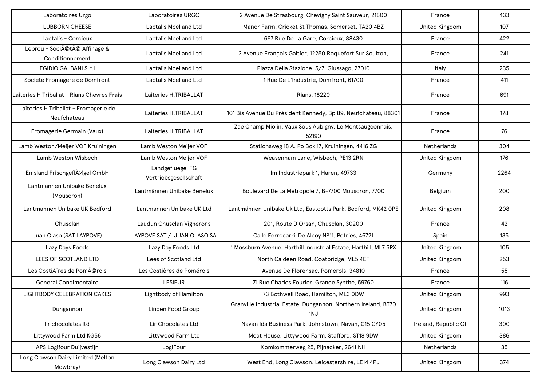| Laboratoires Urgo                                    | Laboratoires URGO                         | 2 Avenue De Strasbourg, Chevigny Saint Sauveur, 21800                 | France                | 433  |
|------------------------------------------------------|-------------------------------------------|-----------------------------------------------------------------------|-----------------------|------|
| <b>LUBBORN CHEESE</b>                                | <b>Lactalis Mcelland Ltd</b>              | Manor Farm, Cricket St Thomas, Somerset, TA20 4BZ                     | <b>United Kingdom</b> | 107  |
| Lactalis - Corcieux                                  | Lactalis Mcelland Ltd                     | 667 Rue De La Gare, Corcieux, 88430                                   | France                | 422  |
| Lebrou - Société Affinage &<br>Conditionnement       | Lactalis Mcelland Ltd                     | 2 Avenue François Galtier, 12250 Roquefort Sur Soulzon,               | France                | 241  |
| EGIDIO GALBANI S.r.I                                 | Lactalis Mcelland Ltd                     | Piazza Della Stazione, 5/7, Giussago, 27010                           | Italy                 | 235  |
| Societe Fromagere de Domfront                        | Lactalis Mcelland Ltd                     | 1 Rue De L'Industrie, Domfront, 61700                                 | France                | 411  |
| Laiteries H Triballat - Rians Chevres Frais          | Laiteries H.TRIBALLAT                     | <b>Rians, 18220</b>                                                   | France                | 691  |
| Laiteries H Triballat - Fromagerie de<br>Neufchateau | Laiteries H.TRIBALLAT                     | 101 Bis Avenue Du Président Kennedy, Bp 89, Neufchateau, 88301        | France                | 178  |
| Fromagerie Germain (Vaux)                            | Laiteries H.TRIBALLAT                     | Zae Champ Miolin, Vaux Sous Aubigny, Le Montsaugeonnais,<br>52190     | France                | 76   |
| Lamb Weston/Meijer VOF Kruiningen                    | Lamb Weston Meijer VOF                    | Stationsweg 18 A, Po Box 17, Kruiningen, 4416 ZG                      | <b>Netherlands</b>    | 304  |
| Lamb Weston Wisbech                                  | Lamb Weston Meijer VOF                    | Weasenham Lane, Wisbech, PE13 2RN                                     | <b>United Kingdom</b> | 176  |
| Emsland FrischgeflA1/4gel GmbH                       | Landgefluegel FG<br>Vertriebsgesellschaft | Im Industriepark 1, Haren, 49733                                      | Germany               | 2264 |
| Lantmannen Unibake Benelux<br>(Mouscron)             | Lantmännen Unibake Benelux                | Boulevard De La Metropole 7, B-7700 Mouscron, 7700                    | Belgium               | 200  |
| Lantmannen Unibake UK Bedford                        | Lantmannen Unibake UK Ltd                 | Lantmännen Unibake Uk Ltd, Eastcotts Park, Bedford, MK42 OPE          | <b>United Kingdom</b> | 208  |
| Chusclan                                             | Laudun Chusclan Vignerons                 | 201, Route D'Orsan, Chusclan, 30200                                   | France                | 42   |
| Juan Olaso (SAT LAYPOVE)                             | LAYPOVE SAT / JUAN OLASO SA               | Calle Ferrocarril De Alcoy Nº11, Potríes, 46721                       | Spain                 | 135  |
| Lazy Days Foods                                      | Lazy Day Foods Ltd                        | 1 Mossburn Avenue, Harthill Industrial Estate, Harthill, ML7 5PX      | <b>United Kingdom</b> | 105  |
| LEES OF SCOTLAND LTD                                 | Lees of Scotland Ltd                      | North Caldeen Road, Coatbridge, ML5 4EF                               | <b>United Kingdom</b> | 253  |
| Les Costià res de Pomérols                           | Les Costières de Pomérols                 | Avenue De Florensac, Pomerols, 34810                                  | France                | 55   |
| <b>General Condimentaire</b>                         | <b>LESIEUR</b>                            | Zi Rue Charles Fourier, Grande Synthe, 59760                          | France                | 116  |
| <b>LIGHTBODY CELEBRATION CAKES</b>                   | Lightbody of Hamilton                     | 73 Bothwell Road, Hamilton, ML3 0DW                                   | <b>United Kingdom</b> | 993  |
| Dungannon                                            | Linden Food Group                         | Granville Industrial Estate, Dungannon, Northern Ireland, BT70<br>1NJ | <b>United Kingdom</b> | 1013 |
| lir chocolates Itd                                   | Lir Chocolates Ltd                        | Navan Ida Business Park, Johnstown, Navan, C15 CY05                   | Ireland, Republic Of  | 300  |
| Littywood Farm Ltd KG56                              | Littywood Farm Ltd                        | Moat House, Littywood Farm, Stafford, ST18 9DW                        | United Kingdom        | 386  |
| APS Logifour Duijvestijn                             | LogiFour                                  | Komkommerweg 25, Pijnacker, 2641 NH                                   | Netherlands           | 35   |
| Long Clawson Dairy Limited (Melton<br>Mowbray)       | Long Clawson Dairy Ltd                    | West End, Long Clawson, Leicestershire, LE14 4PJ                      | <b>United Kingdom</b> | 374  |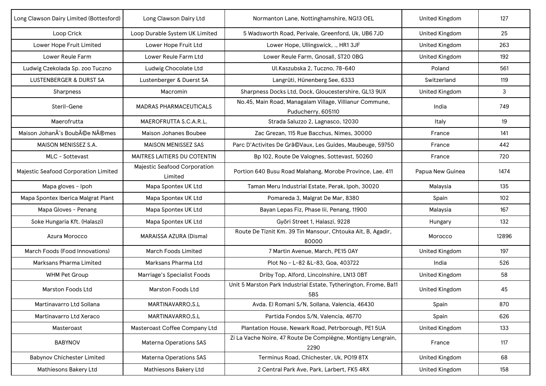| Long Clawson Dairy Limited (Bottesford) | Long Clawson Dairy Ltd                  | Normanton Lane, Nottinghamshire, NG13 OEL                                     | <b>United Kingdom</b> | 127   |
|-----------------------------------------|-----------------------------------------|-------------------------------------------------------------------------------|-----------------------|-------|
| Loop Crick                              | Loop Durable System UK Limited          | 5 Wadsworth Road, Perivale, Greenford, Uk, UB6 7JD                            | <b>United Kingdom</b> | 25    |
| Lower Hope Fruit Limited                | Lower Hope Fruit Ltd                    | Lower Hope, Ullingswick, ., HR1 3JF                                           | <b>United Kingdom</b> | 263   |
| Lower Reule Farm                        | Lower Reule Farm Ltd                    | Lower Reule Farm, Gnosall, ST20 OBG                                           | <b>United Kingdom</b> | 192   |
| Ludwig Czekolada Sp. zoo Tuczno         | Ludwig Chocolate Ltd                    | Ul.Kaszubska 2, Tuczno, 78-640                                                | Poland                | 561   |
| <b>LUSTENBERGER &amp; DURST SA</b>      | Lustenberger & Duerst SA                | Langrüti, Hünenberg See, 6333                                                 | Switzerland           | 119   |
| Sharpness                               | Macromin                                | Sharpness Docks Ltd, Dock, Gloucestershire, GL13 9UX                          | <b>United Kingdom</b> | 3     |
| Steril-Gene                             | <b>MADRAS PHARMACEUTICALS</b>           | No.45, Main Road, Managalam Village, Villianur Commune,<br>Puducherry, 605110 | India                 | 749   |
| Maerofrutta                             | MAEROFRUTTA S.C.A.R.L.                  | Strada Saluzzo 2, Lagnasco, 12030                                             | Italy                 | 19    |
| Maison Johanàs Boubée Nîmes             | Maison Johanes Boubee                   | Zac Grezan, 115 Rue Bacchus, Nimes, 30000                                     | France                | 141   |
| MAISON MENISSEZ S.A.                    | <b>MAISON MENISSEZ SAS</b>              | Parc D'Activites De Grã©Vaux, Les Guides, Maubeuge, 59750                     | France                | 442   |
| MLC - Sottevast                         | MAITRES LAITIERS DU COTENTIN            | Bp 102, Route De Valognes, Sottevast, 50260                                   | France                | 720   |
| Majestic Seafood Corporation Limited    | Majestic Seafood Corporation<br>Limited | Portion 640 Busu Road Malahang, Morobe Province, Lae, 411                     | Papua New Guinea      | 1474  |
| Mapa gloves - Ipoh                      | Mapa Spontex UK Ltd                     | Taman Meru Industrial Estate, Perak, Ipoh, 30020                              | Malaysia              | 135   |
| Mapa Spontex Iberica Malgrat Plant      | Mapa Spontex UK Ltd                     | Pomareda 3, Malgrat De Mar, 8380                                              | Spain                 | 102   |
| Mapa Gloves - Penang                    | Mapa Spontex UK Ltd                     | Bayan Lepas Fiz, Phase lii, Penang, 11900                                     | Malaysia              | 167   |
| Soke Hungaria Kft. (Halaszi)            | Mapa Spontex UK Ltd                     | Győri Street 1, Halaszi, 9228                                                 | Hungary               | 132   |
| Azura Morocco                           | MARAISSA AZURA (Disma)                  | Route De Tiznit Km. 39 Tin Mansour, Chtouka Ait, B, Agadir,<br>80000          | Morocco               | 12896 |
| March Foods (Food Innovations)          | <b>March Foods Limited</b>              | 7 Martin Avenue, March, PE15 0AY                                              | <b>United Kingdom</b> | 197   |
| Marksans Pharma Limited                 | Marksans Pharma Ltd                     | Plot No - L-82 &L-83, Goa, 403722                                             | India                 | 526   |
| <b>WHM Pet Group</b>                    | Marriage's Specialist Foods             | Driby Top, Alford, Lincolnshire, LN13 OBT                                     | United Kingdom        | 58    |
| Marston Foods Ltd                       | <b>Marston Foods Ltd</b>                | Unit 5 Marston Park Industrial Estate, Tytherington, Frome, Ba11<br>5BS       | <b>United Kingdom</b> | 45    |
| Martinavarro Ltd Sollana                | MARTINAVARRO, S.L                       | Avda. El Romani S/N, Sollana, Valencia, 46430                                 | Spain                 | 870   |
| Martinavarro Ltd Xeraco                 | MARTINAVARRO, S.L                       | Partida Fondos S/N, Valencia, 46770                                           | Spain                 | 626   |
| Masteroast                              | Masteroast Coffee Company Ltd           | Plantation House, Newark Road, Petrborough, PE1 5UA                           | <b>United Kingdom</b> | 133   |
| <b>BABYNOV</b>                          | <b>Materna Operations SAS</b>           | Zi La Vache Noire, 47 Route De Compiègne, Montigny Lengrain,<br>2290          | France                | 117   |
| <b>Babynov Chichester Limited</b>       | <b>Materna Operations SAS</b>           | Terminus Road, Chichester, Uk, PO19 8TX                                       | <b>United Kingdom</b> | 68    |
| Mathiesons Bakery Ltd                   | Mathiesons Bakery Ltd                   | 2 Central Park Ave, Park, Larbert, FK5 4RX                                    | <b>United Kingdom</b> | 158   |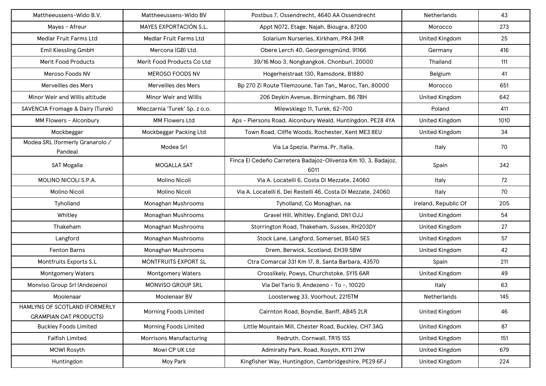| Mattheeussens-Wido B.V.                                        | Mattheeussens-Wido BV          | Postbus 7. Ossendrecht, 4640 AA Ossendrecht                           | Netherlands           | 43   |
|----------------------------------------------------------------|--------------------------------|-----------------------------------------------------------------------|-----------------------|------|
| Mayes - Afreur                                                 | MAYES EXPORTACIÓN S.L.         | Appt N072, Etage, Najah, Biougra, 87200                               | Morocco               | 273  |
| Medlar Fruit Farms Ltd                                         | Medlar Fruit Farms Ltd         | Solarium Nurseries, Kirkham, PR4 3HR                                  | <b>United Kingdom</b> | 25   |
| Emil Kiessling GmbH                                            | Mercona (GB) Ltd.              | Obere Lerch 40, Georgensgmünd, 91166                                  | Germany               | 416  |
| <b>Merit Food Products</b>                                     | Merit Food Products Co Ltd     | 39/16 Moo 3, Nongkangkok, Chonburi, 20000                             | Thailand              | 111  |
| Meroso Foods NV                                                | <b>MEROSO FOODS NV</b>         | Hogerheistraat 130, Ramsdonk, B1880                                   | Belgium               | 41   |
| Merveilles des Mers                                            | Merveilles des Mers            | Bp 270 Zi Route Tilemzoune, Tan Tan_Maroc, Tan, 80000                 | Morocco               | 651  |
| Minor Weir and Willis altitude                                 | Minor Weir and Willis          | 206 Deykin Avenue, Birmingham, B6 7BH                                 | <b>United Kingdom</b> | 642  |
| SAVENCIA Fromage & Dairy (Turek)                               | Mleczarnia 'Turek' Sp. z o.o.  | Milewskiego 11, Turek, 62-700                                         | Poland                | 411  |
| MM Flowers - Alconbury                                         | <b>MM Flowers Ltd</b>          | Aps - Piersons Road, Alconbury Weald, Huntingdon, PE28 4YA            | <b>United Kingdom</b> | 1010 |
| Mockbeggar                                                     | Mockbeggar Packing Ltd         | Town Road, Cliffe Woods, Rochester, Kent ME3 8EU                      | <b>United Kingdom</b> | 34   |
| Modea SRL (formerly Granarolo /<br>Pandea)                     | Modea Srl                      | Via La Spezia, Parma, Pr, Italia,                                     | Italy                 | 70   |
| <b>SAT Mogalla</b>                                             | <b>MOGALLA SAT</b>             | Finca El Cedeño Carretera Badajoz-Olivenza Km 10, 3, Badajoz,<br>6011 | Spain                 | 342  |
| MOLINO NICOLI S.P.A.                                           | Molino Nicoli                  | Via A. Locatelli 6, Costa Di Mezzate, 24060                           | Italy                 | 72   |
| Molino Nicoli                                                  | Molino Nicoli                  | Via A. Locatelli 6, Dei Restelli 46, Costa Di Mezzate, 24060          | Italy                 | 70   |
| Tyholland                                                      | Monaghan Mushrooms             | Tyholland, Co Monaghan, na                                            | Ireland, Republic Of  | 205  |
| Whitley                                                        | Monaghan Mushrooms             | Gravel Hill, Whitley, England, DN1 OJJ                                | <b>United Kingdom</b> | 54   |
| Thakeham                                                       | Monaghan Mushrooms             | Storrington Road, Thakeham, Sussex, RH203DY                           | United Kingdom        | 27   |
| Langford                                                       | Monaghan Mushrooms             | Stock Lane, Langford, Somerset, BS40 5ES                              | United Kingdom        | 57   |
| <b>Fenton Barns</b>                                            | Monaghan Mushrooms             | Drem, Berwick, Scotland, EH39 5BW                                     | <b>United Kingdom</b> | 42   |
| Montfruits Exports S.L                                         | MONTFRUITS EXPORT SL           | Ctra Comarcal 331 Km 17, 8, Santa Barbara, 43570                      | Spain                 | 211  |
| Montgomery Waters                                              | <b>Montgomery Waters</b>       | Crosslikely, Powys, Churchstoke, SY15 6AR                             | <b>United Kingdom</b> | 49   |
| Monviso Group Srl (Andezeno)                                   | MONVISO GROUP SRL              | Via Del Tario 9, Andezeno - To -, 10020                               | Italy                 | 63   |
| Moolenaar                                                      | Moolenaar BV                   | Loosterweg 33, Voorhout, 2215TM                                       | <b>Netherlands</b>    | 145  |
| HAMLYNS OF SCOTLAND (FORMERLY<br><b>GRAMPIAN OAT PRODUCTS)</b> | Morning Foods Limited          | Cairnton Road, Boyndie, Banff, AB45 2LR                               | <b>United Kingdom</b> | 46   |
| <b>Buckley Foods Limited</b>                                   | Morning Foods Limited          | Little Mountain Mill, Chester Road, Buckley, CH7 3AG                  | <b>United Kingdom</b> | 87   |
| <b>Falfish Limited</b>                                         | <b>Morrisons Manufacturing</b> | Redruth, Cornwall, TR15 1SS                                           | <b>United Kingdom</b> | 151  |
| <b>MOWI Rosyth</b>                                             | Mowi CP UK Ltd                 | Admiralty Park, Road, Rosyth, KY11 2YW                                | <b>United Kingdom</b> | 679  |
| Huntingdon                                                     | Moy Park                       | Kingfisher Way, Huntingdon, Cambridgeshire, PE29 6FJ                  | <b>United Kingdom</b> | 224  |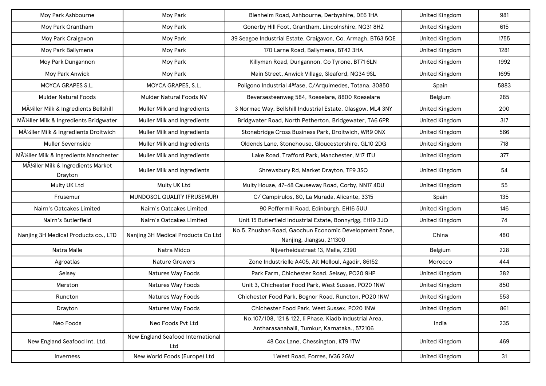| Moy Park Ashbourne                                   | Moy Park                                 | Blenheim Road, Ashbourne, Derbyshire, DE6 1HA                                                           | <b>United Kingdom</b> | 981  |
|------------------------------------------------------|------------------------------------------|---------------------------------------------------------------------------------------------------------|-----------------------|------|
| Moy Park Grantham                                    | Moy Park                                 | Gonerby Hill Foot, Grantham, Lincolnshire, NG31 8HZ                                                     | <b>United Kingdom</b> | 615  |
| Moy Park Craigavon                                   | Moy Park                                 | 39 Seagoe Industrial Estate, Craigavon, Co. Armagh, BT63 5QE                                            | <b>United Kingdom</b> | 1755 |
| Moy Park Ballymena                                   | Moy Park                                 | 170 Larne Road, Ballymena, BT42 3HA                                                                     | <b>United Kingdom</b> | 1281 |
| Moy Park Dungannon                                   | Moy Park                                 | Killyman Road, Dungannon, Co Tyrone, BT71 6LN                                                           | <b>United Kingdom</b> | 1992 |
| Moy Park Anwick                                      | Moy Park                                 | Main Street, Anwick Village, Sleaford, NG34 9SL                                                         | <b>United Kingdom</b> | 1695 |
| MOYCA GRAPES S.L.                                    | MOYCA GRAPES, S.L.                       | Poligono Industrial 4ªfase, C/Arquimedes, Totana, 30850                                                 | Spain                 | 5883 |
| <b>Mulder Natural Foods</b>                          | <b>Mulder Natural Foods NV</b>           | Beversesteenweg 584, Roeselare, 8800 Roeselare                                                          | Belgium               | 285  |
| Müller Milk & Ingredients Bellshill                  | Muller Milk and Ingredients              | 3 Normac Way, Bellshill Industrial Estate, Glasgow, ML4 3NY                                             | <b>United Kingdom</b> | 200  |
| MA <sup>1/2</sup> ller Milk & Ingredients Bridgwater | Muller Milk and Ingredients              | Bridgwater Road, North Petherton, Bridgewater, TA6 6PR                                                  | <b>United Kingdom</b> | 317  |
| Müller Milk & Ingredients Droitwich                  | Muller Milk and Ingredients              | Stonebridge Cross Business Park, Droitwich, WR9 ONX                                                     | <b>United Kingdom</b> | 566  |
| Muller Severnside                                    | Muller Milk and Ingredients              | Oldends Lane, Stonehouse, Gloucestershire, GL10 2DG                                                     | <b>United Kingdom</b> | 718  |
| MA <sup>1/2</sup> ller Milk & Ingredients Manchester | Muller Milk and Ingredients              | Lake Road, Trafford Park, Manchester, M17 1TU                                                           | <b>United Kingdom</b> | 377  |
| Müller Milk & Ingredients Market<br>Drayton          | Muller Milk and Ingredients              | Shrewsbury Rd, Market Drayton, TF9 3SQ                                                                  | <b>United Kingdom</b> | 54   |
| Multy UK Ltd                                         | Multy UK Ltd                             | Multy House, 47-48 Causeway Road, Corby, NN17 4DU                                                       | <b>United Kingdom</b> | 55   |
| Frusemur                                             | MUNDOSOL QUALITY (FRUSEMUR)              | C/ Campirulos, 80, La Murada, Alicante, 3315                                                            | Spain                 | 135  |
| Nairn's Oatcakes Limited                             | Nairn's Oatcakes Limited                 | 90 Peffermill Road, Edinburgh, EH16 5UU                                                                 | <b>United Kingdom</b> | 146  |
| Nairn's Butlerfield                                  | Nairn's Oatcakes Limited                 | Unit 15 Butlerfield Industrial Estate, Bonnyrigg, EH19 3JQ                                              | <b>United Kingdom</b> | 74   |
| Nanjing 3H Medical Products co., LTD                 | Nanjing 3H Medical Products Co Ltd       | No.5, Zhushan Road, Gaochun Economic Development Zone,<br>Nanjing, Jiangsu, 211300                      | China                 | 480  |
| Natra Malle                                          | Natra Midco                              | Nijverheidsstraat 13, Malle, 2390                                                                       | Belgium               | 228  |
| Agroatlas                                            | <b>Nature Growers</b>                    | Zone Industrielle A405, Ait Melloul, Agadir, 86152                                                      | Morocco               | 444  |
| Selsey                                               | Natures Way Foods                        | Park Farm, Chichester Road, Selsey, PO20 9HP                                                            | <b>United Kingdom</b> | 382  |
| Merston                                              | Natures Way Foods                        | Unit 3, Chichester Food Park, West Sussex, PO20 1NW                                                     | <b>United Kingdom</b> | 850  |
| Runcton                                              | Natures Way Foods                        | Chichester Food Park, Bognor Road, Runcton, PO20 1NW                                                    | <b>United Kingdom</b> | 553  |
| Drayton                                              | Natures Way Foods                        | Chichester Food Park, West Sussex, PO20 1NW                                                             | <b>United Kingdom</b> | 861  |
| Neo Foods                                            | Neo Foods Pvt Ltd                        | No.107/108, 121 & 122, li Phase, Kiadb Industrial Area,<br>Antharasanahalli, Tumkur, Karnataka., 572106 | India                 | 235  |
| New England Seafood Int. Ltd.                        | New England Seafood International<br>Ltd | 48 Cox Lane, Chessington, KT9 1TW                                                                       | <b>United Kingdom</b> | 469  |
| Inverness                                            | New World Foods (Europe) Ltd             | 1 West Road, Forres, IV36 2GW                                                                           | <b>United Kingdom</b> | 31   |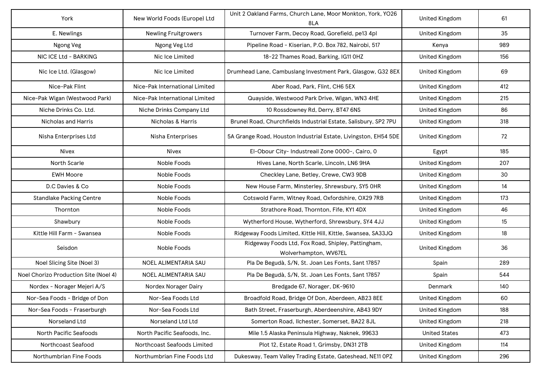| York                                  | New World Foods (Europe) Ltd   | Unit 2 Oakland Farms, Church Lane, Moor Monkton, York, YO26<br>8LA          | <b>United Kingdom</b> | 61  |
|---------------------------------------|--------------------------------|-----------------------------------------------------------------------------|-----------------------|-----|
| E. Newlings                           | <b>Newling Fruitgrowers</b>    | Turnover Farm, Decoy Road, Gorefield, pe13 4pl                              | <b>United Kingdom</b> | 35  |
| Ngong Veg                             | Ngong Veg Ltd                  | Pipeline Road - Kiserian, P.O. Box 782, Nairobi, 517                        | Kenya                 | 989 |
| NIC ICE Ltd - BARKING                 | Nic Ice Limited                | 18-22 Thames Road, Barking, IG11 OHZ                                        | <b>United Kingdom</b> | 156 |
| Nic Ice Ltd. (Glasgow)                | Nic Ice Limited                | Drumhead Lane, Cambuslang Investment Park, Glasgow, G32 8EX                 | <b>United Kingdom</b> | 69  |
| Nice-Pak Flint                        | Nice-Pak International Limited | Aber Road, Park, Flint, CH6 5EX                                             | <b>United Kingdom</b> | 412 |
| Nice-Pak Wigan (Westwood Park)        | Nice-Pak International Limited | Quayside, Westwood Park Drive, Wigan, WN3 4HE                               | <b>United Kingdom</b> | 215 |
| Niche Drinks Co. Ltd.                 | Niche Drinks Company Ltd       | 10 Rossdowney Rd, Derry, BT47 6NS                                           | <b>United Kingdom</b> | 86  |
| Nicholas and Harris                   | Nicholas & Harris              | Brunel Road, Churchfields Industrial Estate, Salisbury, SP2 7PU             | <b>United Kingdom</b> | 318 |
| Nisha Enterprises Ltd                 | Nisha Enterprises              | 5A Grange Road, Houston Industrial Estate, Livingston, EH54 5DE             | <b>United Kingdom</b> | 72  |
| <b>Nivex</b>                          | <b>Nivex</b>                   | El-Obour City- Industreail Zone 0000-, Cairo, 0                             | Egypt                 | 185 |
| North Scarle                          | Noble Foods                    | Hives Lane, North Scarle, Lincoln, LN6 9HA                                  | <b>United Kingdom</b> | 207 |
| <b>EWH Moore</b>                      | Noble Foods                    | Checkley Lane, Betley, Crewe, CW3 9DB                                       | <b>United Kingdom</b> | 30  |
| D.C Davies & Co                       | Noble Foods                    | New House Farm, Minsterley, Shrewsbury, SY5 OHR                             | <b>United Kingdom</b> | 14  |
| <b>Standlake Packing Centre</b>       | Noble Foods                    | Cotswold Farm, Witney Road, Oxfordshire, OX29 7RB                           | <b>United Kingdom</b> | 173 |
| Thornton                              | Noble Foods                    | Strathore Road, Thornton, Fife, KY1 4DX                                     | <b>United Kingdom</b> | 46  |
| Shawbury                              | Noble Foods                    | Wytherford House, Wytherford, Shrewsbury, SY4 4JJ                           | <b>United Kingdom</b> | 15  |
| Kittle Hill Farm - Swansea            | Noble Foods                    | Ridgeway Foods Limited, Kittle Hill, Kittle, Swansea, SA33JQ                | <b>United Kingdom</b> | 18  |
| Seisdon                               | Noble Foods                    | Ridgeway Foods Ltd, Fox Road, Shipley, Pattingham,<br>Wolverhampton, WV67EL | <b>United Kingdom</b> | 36  |
| Noel Slicing Site (Noel 3)            | NOEL ALIMENTARIA SAU           | Pla De Begudà, S/N, St. Joan Les Fonts, Sant 17857                          | Spain                 | 289 |
| Noel Chorizo Production Site (Noel 4) | NOEL ALIMENTARIA SAU           | Pla De Begudà, S/N, St. Joan Les Fonts, Sant 17857                          | Spain                 | 544 |
| Nordex - Norager Mejeri A/S           | Nordex Norager Dairy           | Bredgade 67, Norager, DK-9610                                               | Denmark               | 140 |
| Nor-Sea Foods - Bridge of Don         | Nor-Sea Foods Ltd              | Broadfold Road, Bridge Of Don, Aberdeen, AB23 8EE                           | United Kingdom        | 60  |
| Nor-Sea Foods - Fraserburgh           | Nor-Sea Foods Ltd              | Bath Street, Fraserburgh, Aberdeenshire, AB43 9DY                           | <b>United Kingdom</b> | 188 |
| Norseland Ltd                         | Norseland Ltd Ltd              | Somerton Road, Ilchester, Somerset, BA22 8JL                                | <b>United Kingdom</b> | 218 |
| North Pacific Seafoods                | North Pacific Seafoods, Inc.   | Mile 1.5 Alaska Peninsula Highway, Naknek, 99633                            | <b>United States</b>  | 473 |
| Northcoast Seafood                    | Northcoast Seafoods Limited    | Plot 12, Estate Road 1, Grimsby, DN31 2TB                                   | <b>United Kingdom</b> | 114 |
| Northumbrian Fine Foods               | Northumbrian Fine Foods Ltd    | Dukesway, Team Valley Trading Estate, Gateshead, NE11 OPZ                   | United Kingdom        | 296 |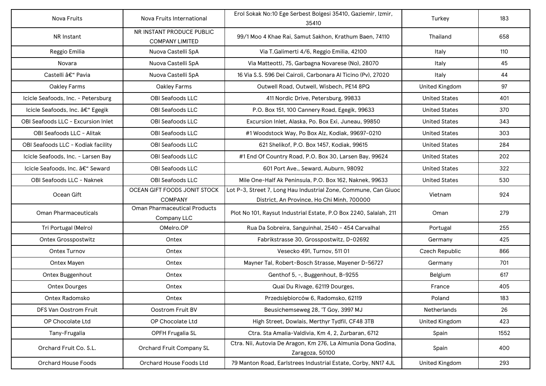| Nova Fruits                        | Nova Fruits International                           | Erol Sokak No:10 Ege Serbest Bolgesi 35410, Gaziemir, Izmir,<br>35410                                         | Turkey                | 183  |
|------------------------------------|-----------------------------------------------------|---------------------------------------------------------------------------------------------------------------|-----------------------|------|
| NR Instant                         | NR INSTANT PRODUCE PUBLIC<br><b>COMPANY LIMITED</b> | 99/1 Moo 4 Khae Rai, Samut Sakhon, Krathum Baen, 74110                                                        | Thailand              | 658  |
| Reggio Emilia                      | Nuova Castelli SpA                                  | Via T. Galimerti 4/6, Reggio Emilia, 42100                                                                    | Italy                 | 110  |
| Novara                             | Nuova Castelli SpA                                  | Via Matteotti, 75, Garbagna Novarese (No), 28070                                                              | Italy                 | 45   |
| Castelli – Pavia                   | Nuova Castelli SpA                                  | 16 Via S.S. 596 Dei Cairoli, Carbonara Al Ticino (Pv), 27020                                                  | Italy                 | 44   |
| Oakley Farms                       | Oakley Farms                                        | Outwell Road, Outwell, Wisbech, PE14 8PQ                                                                      | <b>United Kingdom</b> | 97   |
| Icicle Seafoods, Inc. - Petersburg | <b>OBI Seafoods LLC</b>                             | 411 Nordic Drive, Petersburg, 99833                                                                           | <b>United States</b>  | 401  |
| Icicle Seafoods, Inc. – Egegik     | OBI Seafoods LLC                                    | P.O. Box 151, 100 Cannery Road, Egegik, 99633                                                                 | <b>United States</b>  | 370  |
| OBI Seafoods LLC - Excursion Inlet | <b>OBI Seafoods LLC</b>                             | Excursion Inlet, Alaska, Po. Box Exi, Juneau, 99850                                                           | <b>United States</b>  | 343  |
| OBI Seafoods LLC - Alitak          | <b>OBI Seafoods LLC</b>                             | #1 Woodstock Way, Po Box Alz, Kodiak, 99697-0210                                                              | <b>United States</b>  | 303  |
| OBI Seafoods LLC - Kodiak facility | OBI Seafoods LLC                                    | 621 Shelikof, P.O. Box 1457, Kodiak, 99615                                                                    | <b>United States</b>  | 284  |
| Icicle Seafoods, Inc. - Larsen Bay | OBI Seafoods LLC                                    | #1 End Of Country Road, P.O. Box 30, Larsen Bay, 99624                                                        | <b>United States</b>  | 202  |
| Icicle Seafoods, Inc. – Seward     | OBI Seafoods LLC                                    | 601 Port Ave., Seward, Auburn, 98092                                                                          | <b>United States</b>  | 322  |
| OBI Seafoods LLC - Naknek          | OBI Seafoods LLC                                    | Mile One-Half Ak Peninsula, P.O. Box 162, Naknek, 99633                                                       | <b>United States</b>  | 530  |
| Ocean Gift                         | OCEAN GIFT FOODS JONIT STOCK<br><b>COMPANY</b>      | Lot P-3, Street 7, Long Hau Industrial Zone, Commune, Can Giuoc<br>District, An Province, Ho Chi Minh, 700000 | Vietnam               | 924  |
| <b>Oman Pharmaceuticals</b>        | <b>Oman Pharmaceutical Products</b><br>Company LLC  | Plot No 101, Raysut Industrial Estate, P.O Box 2240, Salalah, 211                                             | Oman                  | 279  |
| Tri Portugal (Melro)               | OMelro.OP                                           | Rua Da Sobreira, Sanguinhal, 2540 - 454 Carvalhal                                                             | Portugal              | 255  |
| <b>Ontex Grosspostwitz</b>         | Ontex                                               | Fabrikstrasse 30, Grosspostwitz, D-02692                                                                      | Germany               | 425  |
| Ontex Turnov                       | Ontex                                               | Vesecko 491, Turnov, 511 01                                                                                   | Czech Republic        | 866  |
| Ontex Mayen                        | Ontex                                               | Mayner Tal, Robert-Bosch Strasse, Mayener D-56727                                                             | Germany               | 701  |
| Ontex Buggenhout                   | Ontex                                               | Genthof 5, -, Buggenhout, B-9255                                                                              | Belgium               | 617  |
| <b>Ontex Dourges</b>               | Ontex                                               | Quai Du Rivage, 62119 Dourges,                                                                                | France                | 405  |
| Ontex Radomsko                     | Ontex                                               | Przedsiębiorców 6, Radomsko, 62119                                                                            | Poland                | 183  |
| DFS Van Oostrom Fruit              | Oostrom Fruit BV                                    | Beusichemseweg 28, 'T Goy, 3997 MJ                                                                            | Netherlands           | 26   |
| OP Chocolate Ltd                   | OP Chocolate Ltd                                    | High Street, Dowlais, Merthyr Tydfil, CF48 3TB                                                                | <b>United Kingdom</b> | 423  |
| Tany-Frugalia                      | OPFH Frugalia SL                                    | Ctra. Sta Amalia-Valdivia, Km 4, 2, Zurbaran, 6712                                                            | Spain                 | 1552 |
| Orchard Fruit Co. S.L.             | Orchard Fruit Company SL                            | Ctra. Nii, Autovia De Aragon, Km 276, La Almunia Dona Godina,<br>Zaragoza, 50100                              | Spain                 | 400  |
| Orchard House Foods                | Orchard House Foods Ltd                             | 79 Manton Road, Earlstrees Industrial Estate, Corby, NN17 4JL                                                 | <b>United Kingdom</b> | 293  |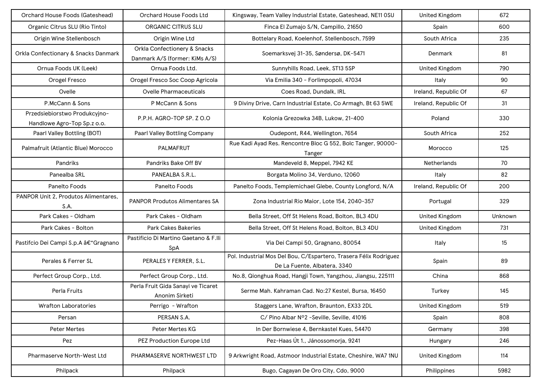| Orchard House Foods (Gateshead)                              | Orchard House Foods Ltd                                                   | Kingsway, Team Valley Industrial Estate, Gateshead, NE11 OSU                                      | <b>United Kingdom</b> | 672     |
|--------------------------------------------------------------|---------------------------------------------------------------------------|---------------------------------------------------------------------------------------------------|-----------------------|---------|
| Organic Citrus SLU (Rio Tinto)                               | <b>ORGANIC CITRUS SLU</b>                                                 | Finca El Zumajo S/N, Campillo, 21650                                                              | Spain                 | 600     |
| Origin Wine Stellenbosch                                     | Origin Wine Ltd                                                           | Bottelary Road, Koelenhof, Stellenbosch, 7599                                                     | South Africa          | 235     |
| Orkla Confectionary & Snacks Danmark                         | <b>Orkla Confectionery &amp; Snacks</b><br>Danmark A/S (former: KiMs A/S) | Soemarksvej 31-35, Søndersø, DK-5471                                                              | Denmark               | 81      |
| Ornua Foods UK (Leek)                                        | Ornua Foods Ltd.                                                          | Sunnyhills Road, Leek, ST13 5SP                                                                   | <b>United Kingdom</b> | 790     |
| Orogel Fresco                                                | Orogel Fresco Soc Coop Agricola                                           | Via Emilia 340 - Forlimpopoli, 47034                                                              | Italy                 | 90      |
| Ovelle                                                       | <b>Ovelle Pharmaceuticals</b>                                             | Coes Road, Dundalk, IRL                                                                           | Ireland, Republic Of  | 67      |
| P.McCann & Sons                                              | P McCann & Sons                                                           | 9 Diviny Drive, Carn Industrial Estate, Co Armagh, Bt 63 5WE                                      | Ireland, Republic Of  | 31      |
| Przedsiebiorstwo Produkcyjno-<br>Handlowe Agro-Top Sp.z o.o. | P.P.H. AGRO-TOP SP. Z O.O                                                 | Kolonia Grezowka 34B, Lukow, 21-400                                                               | Poland                | 330     |
| Paarl Valley Bottling (BOT)                                  | Paarl Valley Bottling Company                                             | Oudepont, R44, Wellington, 7654                                                                   | South Africa          | 252     |
| Palmafruit (Atlantic Blue) Morocco                           | PALMAFRUT                                                                 | Rue Kadi Ayad Res. Rencontre Bloc G 552, Bolc Tanger, 90000-<br>Tanger                            | Morocco               | 125     |
| Pandriks                                                     | Pandriks Bake Off BV                                                      | Mandeveld 8, Meppel, 7942 KE                                                                      | <b>Netherlands</b>    | 70      |
| Panealba SRL                                                 | PANEALBA S.R.L.                                                           | Borgata Molino 34, Verduno, 12060                                                                 | Italy                 | 82      |
| Panelto Foods                                                | Panelto Foods                                                             | Panelto Foods, Templemichael Glebe, County Longford, N/A                                          | Ireland, Republic Of  | 200     |
| PANPOR Unit 2, Produtos Alimentares,<br>S.A.                 | <b>PANPOR Produtos Alimentares SA</b>                                     | Zona Industrial Rio Maior, Lote 154, 2040-357                                                     | Portugal              | 329     |
| Park Cakes - Oldham                                          | Park Cakes - Oldham                                                       | Bella Street, Off St Helens Road, Bolton, BL3 4DU                                                 | <b>United Kingdom</b> | Unknown |
| Park Cakes - Bolton                                          | <b>Park Cakes Bakeries</b>                                                | Bella Street, Off St Helens Road, Bolton, BL3 4DU                                                 | <b>United Kingdom</b> | 731     |
| Pastifcio Dei Campi S.p.A †"Gragnano                         | Pastificio Di Martino Gaetano & F.IIi<br>SpA                              | Via Dei Campi 50, Gragnano, 80054                                                                 | Italy                 | 15      |
| Perales & Ferrer SL                                          | PERALES Y FERRER, S.L.                                                    | Pol. Industrial Mos Del Bou, C/Espartero, Trasera Félix Rodriguez<br>De La Fuente, Albatera, 3340 | Spain                 | 89      |
| Perfect Group Corp., Ltd.                                    | Perfect Group Corp., Ltd.                                                 | No.8, Qionghua Road, Hangji Town, Yangzhou, Jiangsu, 225111                                       | China                 | 868     |
| Perla Fruits                                                 | Perla Fruit Gida Sanayi ve Ticaret<br>Anonim Sirketi                      | Serme Mah, Kahraman Cad, No:27 Kestel, Bursa, 16450                                               | Turkey                | 145     |
| <b>Wrafton Laboratories</b>                                  | Perrigo - Wrafton                                                         | Staggers Lane, Wrafton, Braunton, EX33 2DL                                                        | <b>United Kingdom</b> | 519     |
| Persan                                                       | PERSAN S.A.                                                               | C/ Pino Albar Nº2 -Seville, Seville, 41016                                                        | Spain                 | 808     |
| <b>Peter Mertes</b>                                          | Peter Mertes KG                                                           | In Der Bornwiese 4, Bernkastel Kues, 54470                                                        | Germany               | 398     |
| Pez                                                          | PEZ Production Europe Ltd                                                 | Pez-Haas Út 1., Jánossomorja, 9241                                                                | Hungary               | 246     |
| Pharmaserve North-West Ltd                                   | PHARMASERVE NORTHWEST LTD                                                 | 9 Arkwright Road, Astmoor Industrial Estate, Cheshire, WA7 1NU                                    | <b>United Kingdom</b> | 114     |
| Philpack                                                     | Philpack                                                                  | Bugo, Cagayan De Oro City, Cdo, 9000                                                              | Philippines           | 5982    |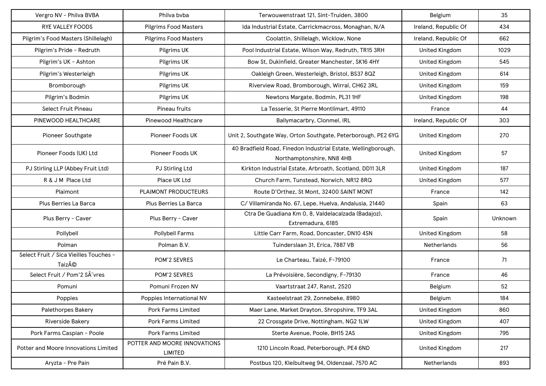| Vergro NV - Philva BVBA                         | Philva bvba                             | Terwouwenstraat 121, Sint-Truiden, 3800                                                    | Belgium               | 35      |
|-------------------------------------------------|-----------------------------------------|--------------------------------------------------------------------------------------------|-----------------------|---------|
| <b>RYE VALLEY FOODS</b>                         | <b>Pilgrims Food Masters</b>            | Ida Industrial Estate, Carrickmacross, Monaghan, N/A                                       | Ireland, Republic Of  | 434     |
| Pilgrim's Food Masters (Shillelagh)             | <b>Pilgrims Food Masters</b>            | Coolattin, Shillelagh, Wicklow, None                                                       | Ireland, Republic Of  | 662     |
| Pilgrim's Pride - Redruth                       | Pilgrims UK                             | Pool Industrial Estate, Wilson Way, Redruth, TR15 3RH                                      | <b>United Kingdom</b> | 1029    |
| Pilgrim's UK - Ashton                           | Pilgrims UK                             | Bow St, Dukinfield, Greater Manchester, SK16 4HY                                           | United Kingdom        | 545     |
| Pilgrim's Westerleigh                           | Pilgrims UK                             | Oakleigh Green, Westerleigh, Bristol, BS37 8QZ                                             | United Kingdom        | 614     |
| Bromborough                                     | Pilgrims UK                             | Riverview Road, Bromborough, Wirral, CH62 3RL                                              | <b>United Kingdom</b> | 159     |
| Pilgrim's Bodmin                                | Pilgrims UK                             | Newtons Margate, Bodmin, PL31 1HF                                                          | <b>United Kingdom</b> | 198     |
| Select Fruit Pineau                             | Pineau fruits                           | La Tesserie, St Pierre Montlimart, 49110                                                   | France                | 44      |
| PINEWOOD HEALTHCARE                             | Pinewood Healthcare                     | Ballymacarbry, Clonmel, IRL                                                                | Ireland, Republic Of  | 303     |
| Pioneer Southgate                               | Pioneer Foods UK                        | Unit 2, Southgate Way, Orton Southgate, Peterborough, PE2 6YG                              | United Kingdom        | 270     |
| Pioneer Foods (UK) Ltd                          | <b>Pioneer Foods UK</b>                 | 40 Bradfield Road, Finedon Industrial Estate, Wellingborough,<br>Northamptonshire, NN8 4HB | United Kingdom        | 57      |
| PJ Stirling LLP (Abbey Fruit Ltd)               | PJ Stirling Ltd                         | Kirkton Industrial Estate, Arbroath, Scotland, DD11 3LR                                    | United Kingdom        | 187     |
| R & J M Place Ltd                               | Place UK Ltd                            | Church Farm, Tunstead, Norwich, NR12 8RQ                                                   | United Kingdom        | 577     |
| Plaimont                                        | PLAIMONT PRODUCTEURS                    | Route D'Orthez, St Mont, 32400 SAINT MONT                                                  | France                | 142     |
| Plus Berries La Barca                           | Plus Berries La Barca                   | C/ Villamiranda No. 67, Lepe, Huelva, Andalusia, 21440                                     | Spain                 | 63      |
| Plus Berry - Caver                              | Plus Berry - Caver                      | Ctra De Guadiana Km 0, 8, Valdelacalzada (Badajoz),<br>Extremadura, 6185                   | Spain                 | Unknown |
| Pollybell                                       | <b>Pollybell Farms</b>                  | Little Carr Farm, Road, Doncaster, DN10 4SN                                                | <b>United Kingdom</b> | 58      |
| Polman                                          | Polman B.V.                             | Tuinderslaan 31, Erica, 7887 VB                                                            | Netherlands           | 56      |
| Select Fruit / Sica Vieilles Touches -<br>Taizé | POM'2 SEVRES                            | Le Charteau, Taizé, F-79100                                                                | France                | 71      |
| Select Fruit / Pom'2 SÃ vres                    | POM'2 SEVRES                            | La Prévoisière, Secondigny, F-79130                                                        | France                | 46      |
| Pomuni                                          | Pomuni Frozen NV                        | Vaartstraat 247, Ranst, 2520                                                               | Belgium               | 52      |
| Poppies                                         | Poppies International NV                | Kasteelstraat 29, Zonnebeke, 8980                                                          | Belgium               | 184     |
| <b>Palethorpes Bakery</b>                       | Pork Farms Limited                      | Maer Lane, Market Drayton, Shropshire, TF9 3AL                                             | <b>United Kingdom</b> | 860     |
| Riverside Bakery                                | Pork Farms Limited                      | 22 Crossgate Drive, Nottingham, NG2 1LW                                                    | <b>United Kingdom</b> | 407     |
| Pork Farms Caspian - Poole                      | Pork Farms Limited                      | Sterte Avenue, Poole, BH15 2AS                                                             | United Kingdom        | 795     |
| Potter and Moore Innovations Limited            | POTTER AND MOORE INNOVATIONS<br>LIMITED | 1210 Lincoln Road, Peterborough, PE4 6ND                                                   | <b>United Kingdom</b> | 217     |
| Aryzta - Pre Pain                               | Pré Pain B.V.                           | Postbus 120, Kleibultweg 94, Oldenzaal, 7570 AC                                            | Netherlands           | 893     |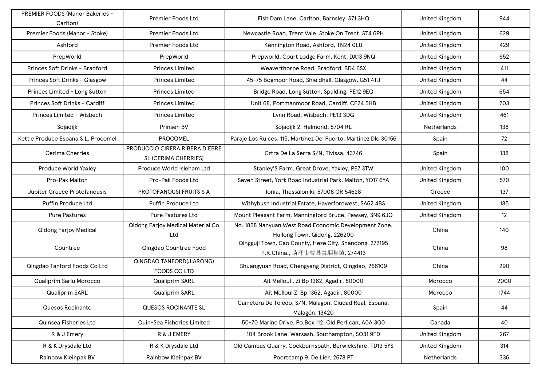| PREMIER FOODS (Manor Bakeries -<br>Carlton) | Premier Foods Ltd                                      | Fish Dam Lane, Carlton, Barnsley, S71 3HQ                                               | <b>United Kingdom</b> | 944  |
|---------------------------------------------|--------------------------------------------------------|-----------------------------------------------------------------------------------------|-----------------------|------|
| Premier Foods (Manor - Stoke)               | Premier Foods Ltd                                      | Newcastle Road, Trent Vale, Stoke On Trent, ST4 6PH                                     | <b>United Kingdom</b> | 629  |
| Ashford                                     | <b>Premier Foods Ltd</b>                               | Kennington Road, Ashford, TN24 OLU                                                      | <b>United Kingdom</b> | 429  |
| PrepWorld                                   | PrepWorld                                              | Prepworld, Court Lodge Farm, Kent, DA13 9NQ                                             | <b>United Kingdom</b> | 652  |
| Princes Soft Drinks - Bradford              | <b>Princes Limited</b>                                 | Weaverthorpe Road, Bradford, BD4 6SX                                                    | <b>United Kingdom</b> | 411  |
| Princes Soft Drinks - Glasgow               | <b>Princes Limited</b>                                 | 45-75 Bogmoor Road, Shieldhall, Glasgow, G51 4TJ                                        | <b>United Kingdom</b> | 44   |
| Princes Limited - Long Sutton               | <b>Princes Limited</b>                                 | Bridge Road, Long Sutton, Spalding, PE12 9EQ                                            | <b>United Kingdom</b> | 654  |
| Princes Soft Drinks - Cardiff               | <b>Princes Limited</b>                                 | Unit 68, Portmanmoor Road, Cardiff, CF24 5HB                                            | <b>United Kingdom</b> | 203  |
| Princes Limited - Wisbech                   | <b>Princes Limited</b>                                 | Lynn Road, Wisbech, PE13 3DG                                                            | <b>United Kingdom</b> | 461  |
| Sojadijk                                    | Prinsen BV                                             | Sojadijk 2, Helmond, 5704 RL                                                            | <b>Netherlands</b>    | 138  |
| Kettle Produce Espana S.L. Procomel         | <b>PROCOMEL</b>                                        | Paraje Los Ruices, 115, Martínez Del Puerto, Martinez Dle 30156                         | Spain                 | 72   |
| <b>Cerima Cherries</b>                      | PRODUCCIO CIRERA RIBERA D'EBRE<br>SL (CERIMA CHERRIES) | Crtra De La Serra S/N, Tivissa, 43746                                                   | Spain                 | 138  |
| Produce World Yaxley                        | Produce World Isleham Ltd                              | Stanley'S Farm, Great Drove, Yaxley, PE7 3TW                                            | <b>United Kingdom</b> | 100  |
| Pro-Pak Malton                              | Pro-Pak Foods Ltd                                      | Seven Street, York Road Industrial Park, Malton, YO17 6YA                               | <b>United Kingdom</b> | 570  |
| Jupiter Greece Protofanousis                | PROTOFANOUSI FRUITS S A                                | Ionia, Thessaloniki, 57008 GR 54628                                                     | Greece                | 137  |
| <b>Puffin Produce Ltd</b>                   | <b>Puffin Produce Ltd</b>                              | Withybush Industrial Estate, Haverfordwest, SA62 4BS                                    | <b>United Kingdom</b> | 185  |
| <b>Pure Pastures</b>                        | <b>Pure Pastures Ltd</b>                               | Mount Pleasant Farm, Manningford Bruce, Pewsey, SN9 6JQ                                 | <b>United Kingdom</b> | 12   |
| <b>Qidong Farjoy Medical</b>                | <b>Qidong Farjoy Medical Material Co</b><br>Ltd        | No. 1858 Nanyuan West Road Economic Development Zone,<br>Huilong Town, Qidong, 226200   | China                 | 140  |
| Countree                                    | Qingdao Countree Food                                  | Qingguji Town, Cao County, Heze City, Shandong, 272195<br>P.R.China., 菏泽市曹县青堌集镇, 274413 | China                 | 98   |
| Qingdao Tanford Foods Co Ltd                | <b>QINGDAO TANFORD(JIARONG)</b><br><b>FOODS COLTD</b>  | Shuangyuan Road, Chengyang District, Qingdao, 266109                                    | China                 | 290  |
| Qualiprim Sarlu Morocco                     | Qualiprim SARL                                         | Ait Melloul, Zi Bp 1362, Agadir, 80000                                                  | Morocco               | 2000 |
| Qualiprim SARL                              | Qualiprim SARL                                         | Ait Melloul Zi Bp 1362, Agadir, 80000                                                   | Morocco               | 1744 |
| Quesos Rocinante                            | QUESOS ROCINANTE SL                                    | Carretera De Toledo, S/N, Malagon, Ciudad Real, España,<br>Malagón, 13420               | Spain                 | 44   |
| Quinsea Fisheries Ltd                       | Quin-Sea Fisheries Limited                             | 50-70 Marine Drive, Po.Box 112, Old Perlican, A0A 3G0                                   | Canada                | 40   |
| R & J Emery                                 | R & J EMERY                                            | 104 Brook Lane, Warsash, Southampton, SO31 9FD                                          | <b>United Kingdom</b> | 267  |
| R & K Drysdale Ltd                          | R & K Drysdale Ltd                                     | Old Cambus Quarry, Cockburnspath, Berwickshire, TD13 5YS                                | <b>United Kingdom</b> | 314  |
| Rainbow Kleinpak BV                         | Rainbow Kleinpak BV                                    | Poortcamp 9, De Lier, 2678 PT                                                           | Netherlands           | 336  |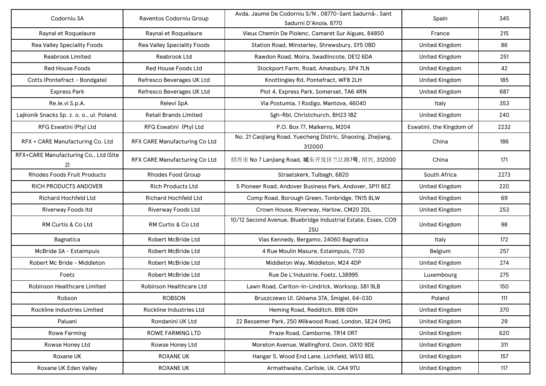| Codorniu SA                                 | Raventos Codorniu Group       | Avda. Jaume De Codorniu S/N, 08770-Sant Sadurnã-, Sant<br>Sadurni D'Anoia, 8770 | Spain                    | 345  |
|---------------------------------------------|-------------------------------|---------------------------------------------------------------------------------|--------------------------|------|
| Raynal et Roquelaure                        | Raynal et Roquelaure          | Vieux Chemin De Piolenc, Camaret Sur Aigues, 84850                              | France                   | 215  |
| Rea Valley Speciality Foods                 | Rea Valley Speciality Foods   | Station Road, Minsterley, Shrewsbury, SY5 OBD                                   | <b>United Kingdom</b>    | 86   |
| <b>Reabrook Limited</b>                     | Reabrook Ltd                  | Rawdon Road, Moira, Swadlincote, DE12 6DA                                       | <b>United Kingdom</b>    | 251  |
| <b>Red House Foods</b>                      | Red House Foods Ltd           | Stockport Farm, Road, Amesbury, SP4 7LN                                         | <b>United Kingdom</b>    | 42   |
| Cotts (Pontefract - Bondgate)               | Refresco Beverages UK Ltd     | Knottingley Rd, Pontefract, WF8 2LH                                             | <b>United Kingdom</b>    | 185  |
| <b>Express Park</b>                         | Refresco Beverages UK Ltd     | Plot 4, Express Park, Somerset, TA6 4RN                                         | <b>United Kingdom</b>    | 687  |
| Re.le.vi S.p.A.                             | Relevi SpA                    | Via Postumia, 1 Rodigo, Mantova, 46040                                          | Italy                    | 353  |
| Lajkonik Snacks Sp. z. o. o., ul. Poland.   | <b>Retail Brands Limited</b>  | Sgh-Rbl, Christchurch, BH23 1BZ                                                 | <b>United Kingdom</b>    | 240  |
| RFG Eswatini (Pty) Ltd                      | RFG Eswatini (Pty) Ltd        | P.O. Box 77, Malkerns, M204                                                     | Eswatini, the Kingdom of | 2232 |
| RFX + CARE Manufacturing Co. Ltd            | RFX CARE Manufacturing Co Ltd | No. 21 Caojiang Road, Yuecheng Distric, Shaoxing, Zhejiang,<br>312000           | China                    | 186  |
| RFX+CARE Manufacturing Co., Ltd (Site<br>2) | RFX CARE Manufacturing Co Ltd | 绍兴市 No 7 Lanjiang Road, 城东开发区兰江路7号, 绍兴, 312000                                  | China                    | 171  |
| <b>Rhodes Foods Fruit Products</b>          | <b>Rhodes Food Group</b>      | Straatskerk, Tulbagh, 6820                                                      | South Africa             | 2273 |
| <b>RICH PRODUCTS ANDOVER</b>                | <b>Rich Products Ltd</b>      | 5 Pioneer Road, Andover Business Park, Andover, SP11 8EZ                        | <b>United Kingdom</b>    | 220  |
| Richard Hochfeld Ltd                        | <b>Richard Hochfeld Ltd</b>   | Comp Road, Borough Green, Tonbridge, TN15 8LW                                   | <b>United Kingdom</b>    | 69   |
| Riverway Foods Itd                          | Riverway Foods Ltd            | Crown House, Riverway, Harlow, CM20 2DL                                         | <b>United Kingdom</b>    | 253  |
| RM Curtis & Co Ltd                          | RM Curtis & Co Ltd            | 10/12 Second Avenue, Bluebridge Industrial Estate, Essex, CO9<br>2SU            | <b>United Kingdom</b>    | 98   |
| Bagnatica                                   | <b>Robert McBride Ltd</b>     | Vias Kennedy, Bergamo, 24060 Bagnatica                                          | Italy                    | 172  |
| McBride SA - Estaimpuis                     | Robert McBride Ltd            | 4 Rue Moulin Masure, Estaimpuis, 7730                                           | Belgium                  | 257  |
| Robert Mc Bride - Middleton                 | Robert McBride Ltd            | Middleton Way, Middleton, M24 4DP                                               | United Kingdom           | 274  |
| Foetz                                       | Robert McBride Ltd            | Rue De L'Industrie, Foetz, L38995                                               | Luxembourg               | 275  |
| Robinson Healthcare Limited                 | Robinson Healthcare Ltd       | Lawn Road, Carlton-In-Lindrick, Worksop, S81 9LB                                | United Kingdom           | 150  |
| Robson                                      | <b>ROBSON</b>                 | Bruszczewo UI. Główna 37A, Śmigiel, 64-030                                      | Poland                   | 111  |
| Rockline Industries Limited                 | Rockline Industries Ltd       | Heming Road, Redditch, B98 ODH                                                  | <b>United Kingdom</b>    | 370  |
| Paluani                                     | Rondanini UK Ltd              | 22 Bessemer Park, 250 Milkwood Road, London, SE24 OHG                           | <b>United Kingdom</b>    | 29   |
| Rowe Farming                                | ROWE FARMING LTD              | Praze Road, Camborne, TR14 ORT                                                  | <b>United Kingdom</b>    | 620  |
| Rowse Honey Ltd                             | Rowse Honey Ltd               | Moreton Avenue, Wallingford, Oxon, OX10 9DE                                     | <b>United Kingdom</b>    | 311  |
| Roxane UK                                   | <b>ROXANE UK</b>              | Hangar 5, Wood End Lane, Lichfield, WS13 8EL                                    | <b>United Kingdom</b>    | 157  |
| Roxane UK Eden Valley                       | <b>ROXANE UK</b>              | Armathwaite, Carlisle, Uk, CA4 9TU                                              | United Kingdom           | 117  |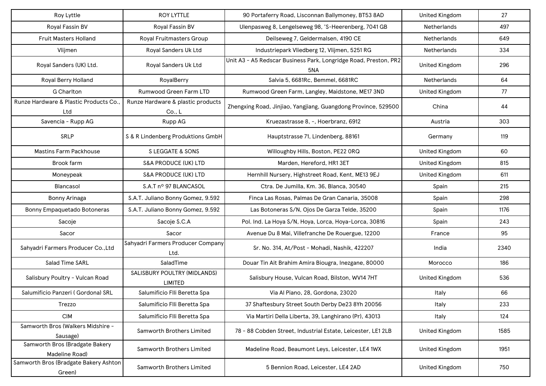| Roy Lyttle                                       | <b>ROY LYTTLE</b>                           | 90 Portaferry Road, Lisconnan Ballymoney, BT53 8AD                      | <b>United Kingdom</b> | 27   |
|--------------------------------------------------|---------------------------------------------|-------------------------------------------------------------------------|-----------------------|------|
| Royal Fassin BV                                  | Royal Fassin BV                             | Ulenpasweg 8, Lengelseweg 98, 'S-Heerenberg, 7041 GB                    | <b>Netherlands</b>    | 497  |
| Fruit Masters Holland                            | Royal Fruitmasters Group                    | Deilseweg 7, Geldermalsen, 4190 CE                                      | Netherlands           | 649  |
| Vlijmen                                          | Royal Sanders Uk Ltd                        | Industriepark Vliedberg 12, Vlijmen, 5251 RG                            | Netherlands           | 334  |
| Royal Sanders (UK) Ltd.                          | Royal Sanders Uk Ltd                        | Unit A3 - A5 Redscar Business Park, Longridge Road, Preston, PR2<br>5NA | <b>United Kingdom</b> | 296  |
| Royal Berry Holland                              | RoyalBerry                                  | Salvia 5, 6681Rc, Bemmel, 6681RC                                        | <b>Netherlands</b>    | 64   |
| <b>G</b> Charlton                                | Rumwood Green Farm LTD                      | Rumwood Green Farm, Langley, Maidstone, ME17 3ND                        | <b>United Kingdom</b> | 77   |
| Runze Hardware & Plastic Products Co.,<br>Ltd    | Runze Hardware & plastic products<br>Co., L | Zhengxing Road, Jinjiao, Yangjiang, Guangdong Province, 529500          | China                 | 44   |
| Savencia - Rupp AG                               | Rupp AG                                     | Kruezastrasse 8, -, Hoerbranz, 6912                                     | Austria               | 303  |
| SRLP                                             | S & R Lindenberg Produktions GmbH           | Hauptstrasse 71, Lindenberg, 88161                                      | Germany               | 119  |
| <b>Mastins Farm Packhouse</b>                    | S LEGGATE & SONS                            | Willoughby Hills, Boston, PE22 ORQ                                      | <b>United Kingdom</b> | 60   |
| Brook farm                                       | <b>S&amp;A PRODUCE (UK) LTD</b>             | Marden, Hereford, HR13ET                                                | <b>United Kingdom</b> | 815  |
| Moneypeak                                        | <b>S&amp;A PRODUCE (UK) LTD</b>             | Hernhill Nursery, Highstreet Road, Kent, ME13 9EJ                       | <b>United Kingdom</b> | 611  |
| Blancasol                                        | S.A.T nº 97 BLANCASOL                       | Ctra. De Jumilla, Km. 36, Blanca, 30540                                 | Spain                 | 215  |
| Bonny Arinaga                                    | S.A.T. Juliano Bonny Gomez, 9.592           | Finca Las Rosas, Palmas De Gran Canaria, 35008                          | Spain                 | 298  |
| Bonny Empaquetado Botoneras                      | S.A.T. Juliano Bonny Gomez, 9.592           | Las Botoneras S/N, Ojos De Garza Telde, 35200                           | Spain                 | 1176 |
| Sacoje                                           | Sacoje S.C.A                                | Pol. Ind. La Hoya S/N, Hoya, Lorca, Hoya-Lorca, 30816                   | Spain                 | 243  |
| Sacor                                            | Sacor                                       | Avenue Du 8 Mai, Villefranche De Rouergue, 12200                        | France                | 95   |
| Sahyadri Farmers Producer Co., Ltd               | Sahyadri Farmers Producer Company<br>Ltd.   | Sr. No. 314, At/Post - Mohadi, Nashik, 422207                           | India                 | 2340 |
| Salad Time SARL                                  | SaladTime                                   | Douar Tin Ait Brahim Amira Biougra, Inezgane, 80000                     | Morocco               | 186  |
| Salisbury Poultry - Vulcan Road                  | SALISBURY POULTRY (MIDLANDS)<br>LIMITED     | Salisbury House, Vulcan Road, Bilston, WV14 7HT                         | <b>United Kingdom</b> | 536  |
| Salumificio Panzeri (Gordona) SRL                | Salumificio Flli Beretta Spa                | Via Al Piano, 28, Gordona, 23020                                        | Italy                 | 66   |
| Trezzo                                           | Salumificio Flli Beretta Spa                | 37 Shaftesbury Street South Derby De23 8Yh 20056                        | Italy                 | 233  |
| <b>CIM</b>                                       | Salumificio Flli Beretta Spa                | Via Martiri Della Liberta, 39, Langhirano (Pr), 43013                   | Italy                 | 124  |
| Samworth Bros (Walkers Midshire -<br>Sausage)    | Samworth Brothers Limited                   | 78 - 88 Cobden Street, Industrial Estate, Leicester, LE1 2LB            | <b>United Kingdom</b> | 1585 |
| Samworth Bros (Bradgate Bakery<br>Madeline Road) | Samworth Brothers Limited                   | Madeline Road, Beaumont Leys, Leicester, LE4 1WX                        | <b>United Kingdom</b> | 1951 |
| Samworth Bros (Bradgate Bakery Ashton<br>Green)  | Samworth Brothers Limited                   | 5 Bennion Road, Leicester, LE4 2AD                                      | <b>United Kingdom</b> | 750  |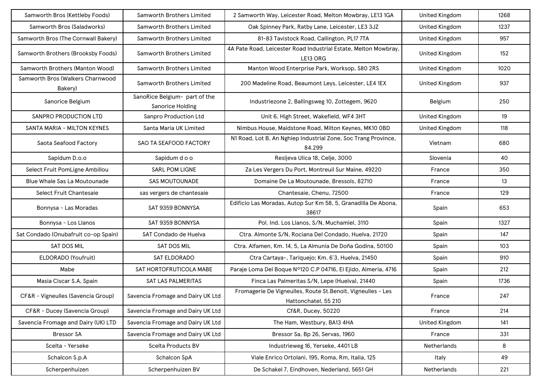| Samworth Bros (Kettleby Foods)              | Samworth Brothers Limited                         | 2 Samworth Way, Leicester Road, Melton Mowbray, LE13 1GA                             | <b>United Kingdom</b> | 1268 |
|---------------------------------------------|---------------------------------------------------|--------------------------------------------------------------------------------------|-----------------------|------|
| Samworth Bros (Saladworks)                  | <b>Samworth Brothers Limited</b>                  | Oak Spinney Park, Ratby Lane, Leicester, LE3 3JZ                                     | <b>United Kingdom</b> | 1237 |
| Samworth Bros (The Cornwall Bakery)         | Samworth Brothers Limited                         | 81-83 Tavistock Road, Callington, PL17 7TA                                           | <b>United Kingdom</b> | 957  |
| Samworth Brothers (Brooksby Foods)          | Samworth Brothers Limited                         | 4A Pate Road, Leicester Road Industrial Estate, Melton Mowbray,<br>LE13 ORG          | <b>United Kingdom</b> | 152  |
| Samworth Brothers (Manton Wood)             | Samworth Brothers Limited                         | Manton Wood Enterprise Park, Worksop, S80 2RS                                        | <b>United Kingdom</b> | 1020 |
| Samworth Bros (Walkers Charnwood<br>Bakery) | <b>Samworth Brothers Limited</b>                  | 200 Madeline Road, Beaumont Leys, Leicester, LE4 1EX                                 | <b>United Kingdom</b> | 937  |
| Sanorice Belgium                            | SanoRice Belgium- part of the<br>Sanorice Holding | Industriezone 2, Ballingsweg 10, Zottegem, 9620                                      | Belgium               | 250  |
| SANPRO PRODUCTION LTD                       | Sanpro Production Ltd                             | Unit 6, High Street, Wakefield, WF4 3HT                                              | <b>United Kingdom</b> | 19   |
| SANTA MARIA - MILTON KEYNES                 | Santa Maria UK Limited                            | Nimbus House, Maidstone Road, Milton Keynes, MK10 OBD                                | <b>United Kingdom</b> | 118  |
| Saota Seafood Factory                       | SAO TA SEAFOOD FACTORY                            | N1 Road, Lot B, An Nghiep Industrial Zone, Soc Trang Province,<br>84.299             | Vietnam               | 680  |
| Sapidum D.o.o                               | Sapidum d o o                                     | Resljeva Ulica 18, Celje, 3000                                                       | Slovenia              | 40   |
| Select Fruit PomLigne Ambillou              | <b>SARL POM LIGNE</b>                             | Za Les Vergers Du Port, Montreuil Sur Maine, 49220                                   | France                | 350  |
| Blue Whale Sas La Moutounade                | <b>SAS MOUTOUNADE</b>                             | Domaine De La Moutounade, Bressols, 82710                                            | France                | 13   |
| Select Fruit Chantesaie                     | sas vergers de chantesaie                         | Chantesaie, Chenu, 72500                                                             | France                | 129  |
| Bonnysa - Las Moradas                       | SAT 9359 BONNYSA                                  | Edificio Las Moradas, Autop Sur Km 58, 5, Granadilla De Abona,<br>38617              | Spain                 | 653  |
| Bonnysa - Los Llanos                        | SAT 9359 BONNYSA                                  | Pol. Ind. Los Llanos, S/N, Muchamiel, 3110                                           | Spain                 | 1327 |
| Sat Condado (Onubafruit co-op Spain)        | SAT Condado de Huelva                             | Ctra. Almonte S/N, Rociana Del Condado, Huelva, 21720                                | Spain                 | 147  |
| SAT DOS MIL                                 | <b>SAT DOS MIL</b>                                | Ctra. Alfamen, Km. 14, 5, La Almunia De Doña Godina, 50100                           | Spain                 | 103  |
| ELDORADO (Youfruit)                         | SAT ELDORADO                                      | Ctra Cartaya-, Tariquejo; Km. 6'3, Huelva, 21450                                     | Spain                 | 910  |
| Mabe                                        | SAT HORTOFRUTICOLA MABE                           | Paraje Loma Del Boque Nº120 C.P 04716, El Ejido, Almeria, 4716                       | Spain                 | 212  |
| Masia Ciscar S.A, Spain                     | SAT LAS PALMERITAS                                | Finca Las Palmeritas S/N, Lepe (Huelva), 21440                                       | Spain                 | 1736 |
| CF&R - Vigneulles (Savencia Group)          | Savencia Fromage and Dairy UK Ltd                 | Fromagerie De Vigneulles, Route St. Benoit, Vigneulles - Les<br>Hattonchatel, 55 210 | France                | 247  |
| CF&R - Ducey (Savencia Group)               | Savencia Fromage and Dairy UK Ltd                 | Cf&R, Ducey, 50220                                                                   | France                | 214  |
| Savencia Fromage and Dairy (UK) LTD         | Savencia Fromage and Dairy UK Ltd                 | The Ham, Westbury, BA13 4HA                                                          | United Kingdom        | 141  |
| <b>Bressor SA</b>                           | Savencia Fromage and Dairy UK Ltd                 | Bressor Sa, Bp 26, Servas, 1960                                                      | France                | 331  |
| Scelta - Yerseke                            | Scelta Products BV                                | Industrieweg 16, Yerseke, 4401 LB                                                    | Netherlands           | 8    |
| Schalcon S.p.A                              | Schalcon SpA                                      | Viale Enrico Ortolani, 195, Roma, Rm, Italia, 125                                    | Italy                 | 49   |
| Scherpenhuizen                              | Scherpenhuizen BV                                 | De Schakel 7, Eindhoven, Nederland, 5651 GH                                          | Netherlands           | 221  |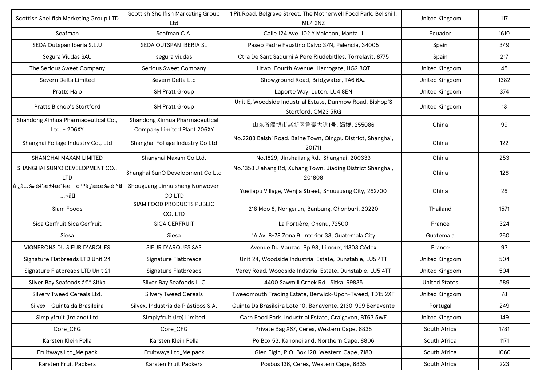| Scottish Shellfish Marketing Group LTD                                                | Scottish Shellfish Marketing Group<br>Ltd                     | 1 Pit Road, Belgrave Street, The Motherwell Food Park, Bellshill,<br>ML4 3NZ     | <b>United Kingdom</b> | 117  |
|---------------------------------------------------------------------------------------|---------------------------------------------------------------|----------------------------------------------------------------------------------|-----------------------|------|
| Seafman                                                                               | Seafman C.A.                                                  | Calle 124 Ave. 102 Y Malecon, Manta, 1                                           | Ecuador               | 1610 |
| SEDA Outspan Iberia S.L.U                                                             | SEDA OUTSPAN IBERIA SL                                        | Paseo Padre Faustino Calvo S/N, Palencia, 34005                                  | Spain                 | 349  |
| Segura Viudas SAU                                                                     | segura viudas                                                 | Ctra De Sant Sadurni A Pere Riudebitlles, Torrelavit, 8775                       | Spain                 | 217  |
| The Serious Sweet Company                                                             | Serious Sweet Company                                         | Htwo, Fourth Avenue, Harrogate, HG2 8QT                                          | <b>United Kingdom</b> | 45   |
| Severn Delta Limited                                                                  | Severn Delta Ltd                                              | Showground Road, Bridgwater, TA6 6AJ                                             | <b>United Kingdom</b> | 1382 |
| Pratts Halo                                                                           | SH Pratt Group                                                | Laporte Way, Luton, LU4 8EN                                                      | <b>United Kingdom</b> | 374  |
| Pratts Bishop's Stortford                                                             | <b>SH Pratt Group</b>                                         | Unit E, Woodside Industrial Estate, Dunmow Road, Bishop'S<br>Stortford, CM23 5RG | <b>United Kingdom</b> | 13   |
| Shandong Xinhua Pharmaceutical Co.,<br>Ltd. - 206XY                                   | Shandong Xinhua Pharmaceutical<br>Company Limited Plant 206XY | 山东省淄博市高新区鲁泰大道1号, 淄博, 255086                                                      | China                 | 99   |
| Shanghai Foliage Industry Co., Ltd                                                    | Shanghai Foliage Industry Co Ltd                              | No.2288 Baishi Road, Baihe Town, Qingpu District, Shanghai,<br>201711            | China                 | 122  |
| SHANGHAI MAXAM LIMITED                                                                | Shanghai Maxam Co.Ltd.                                        | No.1829, Jinshajiang Rd., Shanghai, 200333                                       | China                 | 253  |
| SHANGHAI SUN'O DEVELOPMENT CO.,<br><b>LTD</b>                                         | Shanghai SunO Development Co Ltd                              | No.1358 Jiahang Rd, Xuhang Town, Jiading District Shanghai,<br>201808            | China                 | 126  |
| å ີ <sub>ເ</sub> ລໍ…‰é‡'汇æ~̃‡æ— ç <sup>oo</sup> åƒæœ‰é™ <del>å</del><br>¬å <u>•</u> . | Shouguang Jinhuisheng Nonwoven<br>CO LTD                      | Yuejiapu Village, Wenjia Street, Shouguang City, 262700                          | China                 | 26   |
| Siam Foods                                                                            | SIAM FOOD PRODUCTS PUBLIC<br>CO.,LTD                          | 218 Moo 8, Nongerun, Banbung, Chonburi, 20220                                    | Thailand              | 1571 |
| Sica Gerfruit Sica Gerfruit                                                           | <b>SICA GERFRUIT</b>                                          | La Portière, Chenu, 72500                                                        | France                | 324  |
| Siesa                                                                                 | Siesa                                                         | 1A Av, 8-78 Zona 9, Interior 33, Guatemala City                                  | Guatemala             | 260  |
| VIGNERONS DU SIEUR D'ARQUES                                                           | SIEUR D'ARQUES SAS                                            | Avenue Du Mauzac, Bp 98, Limoux, 11303 Cédex                                     | France                | 93   |
| Signature Flatbreads LTD Unit 24                                                      | Signature Flatbreads                                          | Unit 24, Woodside Industrial Estate, Dunstable, LU5 4TT                          | United Kingdom        | 504  |
| Signature Flatbreads LTD Unit 21                                                      | Signature Flatbreads                                          | Verey Road, Woodside Indstrial Estate, Dunstable, LU5 4TT                        | <b>United Kingdom</b> | 504  |
| Silver Bay Seafoods – Sitka                                                           | Silver Bay Seafoods LLC                                       | 4400 Sawmill Creek Rd., Sitka, 99835                                             | <b>United States</b>  | 589  |
| Silvery Tweed Cereals Ltd.                                                            | <b>Silvery Tweed Cereals</b>                                  | Tweedmouth Trading Estate, Berwick-Upon-Tweed, TD15 2XF                          | <b>United Kingdom</b> | 78   |
| Silvex - Quinta da Brasileira                                                         | Silvex, Industria de Plásticos S.A.                           | Quinta Da Brasileira Lote 10, Benavente, 2130-999 Benavente                      | Portugal              | 249  |
| Simplyfruit (Ireland) Ltd                                                             | Simplyfruit (Ire) Limited                                     | Carn Food Park, Industrial Estate, Craigavon, BT63 5WE                           | <b>United Kingdom</b> | 149  |
| Core_CFG                                                                              | Core_CFG                                                      | Private Bag X67, Ceres, Western Cape, 6835                                       | South Africa          | 1781 |
| Karsten Klein Pella                                                                   | Karsten Klein Pella                                           | Po Box 53, Kanoneiland, Northern Cape, 8806                                      | South Africa          | 1171 |
| Fruitways Ltd_Melpack                                                                 | Fruitways Ltd_Melpack                                         | Glen Elgin, P.O. Box 128, Western Cape, 7180                                     | South Africa          | 1060 |
| Karsten Fruit Packers                                                                 | Karsten Fruit Packers                                         | Posbus 136, Ceres, Western Cape, 6835                                            | South Africa          | 223  |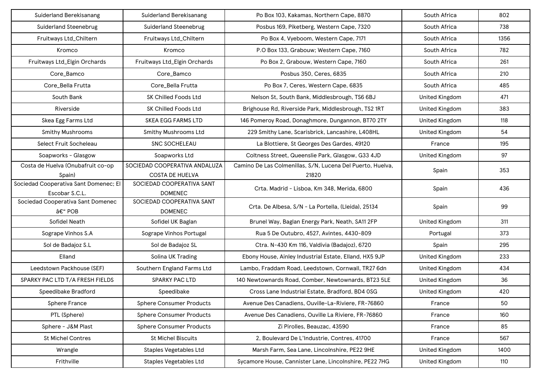| Suiderland Berekisanang                                 | Suiderland Berekisanang                                 | Po Box 103, Kakamas, Northern Cape, 8870                            | South Africa          | 802  |
|---------------------------------------------------------|---------------------------------------------------------|---------------------------------------------------------------------|-----------------------|------|
| <b>Suiderland Steenebrug</b>                            | <b>Suiderland Steenebrug</b>                            | Posbus 169, Piketberg, Western Cape, 7320                           | South Africa          | 738  |
| Fruitways Ltd_Chiltern                                  | Fruitways Ltd_Chiltern                                  | Po Box 4, Vyeboom, Western Cape, 7171                               | South Africa          | 1356 |
| Kromco                                                  | Kromco                                                  | P.O Box 133, Grabouw; Western Cape, 7160                            | South Africa          | 782  |
| Fruitways Ltd_Elgin Orchards                            | Fruitways Ltd_Elgin Orchards                            | Po Box 2, Grabouw, Western Cape, 7160                               | South Africa          | 261  |
| Core_Bamco                                              | Core_Bamco                                              | Posbus 350, Ceres, 6835                                             | South Africa          | 210  |
| Core_Bella Frutta                                       | Core_Bella Frutta                                       | Po Box 7, Ceres, Western Cape, 6835                                 | South Africa          | 485  |
| South Bank                                              | <b>SK Chilled Foods Ltd</b>                             | Nelson St, South Bank, Middlesbrough, TS6 6BJ                       | <b>United Kingdom</b> | 471  |
| Riverside                                               | SK Chilled Foods Ltd                                    | Brighouse Rd, Riverside Park, Middlesbrough, TS2 1RT                | <b>United Kingdom</b> | 383  |
| Skea Egg Farms Ltd                                      | <b>SKEA EGG FARMS LTD</b>                               | 146 Pomeroy Road, Donaghmore, Dungannon, BT70 2TY                   | <b>United Kingdom</b> | 118  |
| <b>Smithy Mushrooms</b>                                 | <b>Smithy Mushrooms Ltd</b>                             | 229 Smithy Lane, Scarisbrick, Lancashire, L408HL                    | <b>United Kingdom</b> | 54   |
| Select Fruit Socheleau                                  | <b>SNC SOCHELEAU</b>                                    | La Blottiere, St Georges Des Gardes, 49120                          | France                | 195  |
| Soapworks - Glasgow                                     | Soapworks Ltd                                           | Coltness Street, Queenslie Park, Glasgow, G33 4JD                   | <b>United Kingdom</b> | 97   |
| Costa de Huelva (Onubafruit co-op<br>Spain)             | SOCIEDAD COOPERATIVA ANDALUZA<br><b>COSTA DE HUELVA</b> | Camino De Las Colmenillas, S/N, Lucena Del Puerto, Huelva,<br>21820 | Spain                 | 353  |
| Sociedad Cooperativa Sant Domenec; El<br>Escobar S.C.L. | SOCIEDAD COOPERATIVA SANT<br><b>DOMENEC</b>             | Crta. Madrid - Lisboa, Km 348, Merida, 6800                         | Spain                 | 436  |
| Sociedad Cooperativa Sant Domenec<br>– POB              | SOCIEDAD COOPERATIVA SANT<br><b>DOMENEC</b>             | Crta. De Albesa, S/N - La Portella, (Lleida), 25134                 | Spain                 | 99   |
| Sofidel Neath                                           | Sofidel UK Baglan                                       | Brunel Way, Baglan Energy Park, Neath, SA11 2FP                     | <b>United Kingdom</b> | 311  |
| Sogrape Vinhos S.A                                      | Sogrape Vinhos Portugal                                 | Rua 5 De Outubro, 4527, Avintes, 4430-809                           | Portugal              | 373  |
| Sol de Badajoz S.L                                      | Sol de Badajoz SL                                       | Ctra. N-430 Km 116, Valdivia (Badajoz), 6720                        | Spain                 | 295  |
| Elland                                                  | Solina UK Trading                                       | Ebony House, Ainley Industrial Estate, Elland, HX5 9JP              | <b>United Kingdom</b> | 233  |
| Leedstown Packhouse (SEF)                               | Southern England Farms Ltd                              | Lambo, Fraddam Road, Leedstown, Cornwall, TR27 6dn                  | <b>United Kingdom</b> | 434  |
| SPARKY PAC LTD T/A FRESH FIELDS                         | <b>SPARKY PAC LTD</b>                                   | 140 Newtownards Road, Comber, Newtownards, BT23 5LE                 | <b>United Kingdom</b> | 36   |
| Speedibake Bradford                                     | Speedibake                                              | Cross Lane Industrial Estate, Bradford, BD4 0SG                     | <b>United Kingdom</b> | 420  |
| <b>Sphere France</b>                                    | <b>Sphere Consumer Products</b>                         | Avenue Des Canadiens, Ouville-La-Riviere, FR-76860                  | France                | 50   |
| PTL (Sphere)                                            | <b>Sphere Consumer Products</b>                         | Avenue Des Canadiens, Ouville La Riviere, FR-76860                  | France                | 160  |
| Sphere - J&M Plast                                      | <b>Sphere Consumer Products</b>                         | Zi Pirolles, Beauzac, 43590                                         | France                | 85   |
| <b>St Michel Contres</b>                                | <b>St Michel Biscuits</b>                               | 2, Boulevard De L'Industrie, Contres, 41700                         | France                | 567  |
| Wrangle                                                 | <b>Staples Vegetables Ltd</b>                           | Marsh Farm, Sea Lane, Lincolnshire, PE22 9HE                        | <b>United Kingdom</b> | 1400 |
| Frithville                                              | <b>Staples Vegetables Ltd</b>                           | Sycamore House, Cannister Lane, Lincolnshire, PE22 7HG              | <b>United Kingdom</b> | 110  |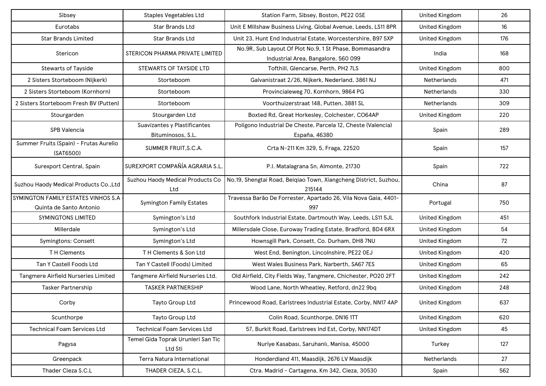| Sibsey                                                         | <b>Staples Vegetables Ltd</b>                     | Station Farm, Sibsey, Boston, PE22 OSE                                                         | <b>United Kingdom</b> | 26  |
|----------------------------------------------------------------|---------------------------------------------------|------------------------------------------------------------------------------------------------|-----------------------|-----|
| Eurotabs                                                       | <b>Star Brands Ltd</b>                            | Unit E Millshaw Business Living, Global Avenue, Leeds, LS11 8PR                                | <b>United Kingdom</b> | 16  |
| <b>Star Brands Limited</b>                                     | Star Brands Ltd                                   | Unit 23, Hunt End Industrial Estate, Worcestershire, B97 5XP                                   | United Kingdom        | 176 |
| Stericon                                                       | STERICON PHARMA PRIVATE LIMITED                   | No.9R, Sub Layout Of Plot No.9, 1 St Phase, Bommasandra<br>Industrial Area, Bangalore, 560 099 | India                 | 168 |
| <b>Stewarts of Tayside</b>                                     | STEWARTS OF TAYSIDE LTD                           | Tofthill, Glencarse, Perth, PH2 7LS                                                            | <b>United Kingdom</b> | 800 |
| 2 Sisters Storteboom (Nijkerk)                                 | Storteboom                                        | Galvanistraat 2/26, Nijkerk, Nederland, 3861 NJ                                                | Netherlands           | 471 |
| 2 Sisters Storteboom (Kornhorn)                                | Storteboom                                        | Provincialeweg 70, Kornhorn, 9864 PG                                                           | Netherlands           | 330 |
| 2 Sisters Storteboom Fresh BV (Putten)                         | Storteboom                                        | Voorthuizerstraat 148, Putten, 3881 SL                                                         | Netherlands           | 309 |
| Stourgarden                                                    | Stourgarden Ltd                                   | Boxted Rd, Great Horkesley, Colchester, CO64AP                                                 | <b>United Kingdom</b> | 220 |
| SPB Valencia                                                   | Suavizantes y Plastificantes<br>Bituminosos, S.L. | Polígono Industrial De Cheste, Parcela 12, Cheste (Valencia)<br>España, 46380                  | Spain                 | 289 |
| Summer Fruits (Spain) - Frutas Aurelio<br>(SAT6500)            | SUMMER FRUIT, S.C.A.                              | Crta N-211 Km 329, 5, Fraga, 22520                                                             | Spain                 | 157 |
| Surexport Central, Spain                                       | SUREXPORT COMPAÑÍA AGRARIA S.L                    | P.I. Matalagrana Sn, Almonte, 21730                                                            | Spain                 | 722 |
| Suzhou Haody Medical Products Co., Ltd                         | Suzhou Haody Medical Products Co<br>Ltd           | No.19, Shengtai Road, Beiqiao Town, Xiangcheng District, Suzhou,<br>215144                     | China                 | 87  |
| SYMINGTON FAMILY ESTATES VINHOS S.A<br>Quinta de Santo Antonio | <b>Symington Family Estates</b>                   | Travessa Barão De Forrester, Apartado 26, Vila Nova Gaia, 4401-<br>997                         | Portugal              | 750 |
| <b>SYMINGTONS LIMITED</b>                                      | Symington's Ltd                                   | Southfork Industrial Estate, Dartmouth Way, Leeds, LS11 5JL                                    | United Kingdom        | 451 |
| Millerdale                                                     | Symington's Ltd                                   | Millersdale Close, Euroway Trading Estate, Bradford, BD4 6RX                                   | United Kingdom        | 54  |
| Symingtons: Consett                                            | Symington's Ltd                                   | Hownsgill Park, Consett, Co. Durham, DH8 7NU                                                   | United Kingdom        | 72  |
| T H Clements                                                   | TH Clements & Son Ltd                             | West End, Benington, Lincolnshire, PE22 OEJ                                                    | United Kingdom        | 420 |
| Tan Y Castell Foods Ltd                                        | Tan Y Castell (Foods) Limited                     | West Wales Business Park, Narberth, SA67 7ES                                                   | <b>United Kingdom</b> | 65  |
| Tangmere Airfield Nurseries Limited                            | Tangmere Airfield Nurseries Ltd.                  | Old Airfield, City Fields Way, Tangmere, Chichester, PO20 2FT                                  | <b>United Kingdom</b> | 242 |
| <b>Tasker Partnership</b>                                      | <b>TASKER PARTNERSHIP</b>                         | Wood Lane, North Wheatley, Retford, dn22 9bq                                                   | <b>United Kingdom</b> | 248 |
| Corby                                                          | Tayto Group Ltd                                   | Princewood Road, Earlstrees Industrial Estate, Corby, NN17 4AP                                 | <b>United Kingdom</b> | 637 |
| Scunthorpe                                                     | Tayto Group Ltd                                   | Colin Road, Scunthorpe, DN16 1TT                                                               | United Kingdom        | 620 |
| <b>Technical Foam Services Ltd</b>                             | <b>Technical Foam Services Ltd</b>                | 57, Burkit Road, Earlstrees Ind Est, Corby, NN174DT                                            | <b>United Kingdom</b> | 45  |
| Pagysa                                                         | Temel Gida Toprak Urunleri San Tic<br>Ltd Sti     | Nuriye Kasabası, Saruhanlı, Manisa, 45000                                                      | Turkey                | 127 |
| Greenpack                                                      | Terra Natura International                        | Honderdland 411, Maasdijk, 2676 LV Maasdijk                                                    | Netherlands           | 27  |
| Thader Cieza S.C.L                                             | THADER CIEZA, S.C.L.                              | Ctra. Madrid - Cartagena, Km 342, Cieza, 30530                                                 | Spain                 | 562 |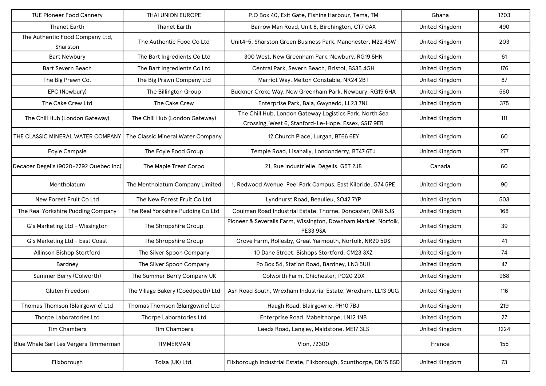| <b>TUE Pioneer Food Cannery</b>             | THAI UNION EUROPE                  | P.O Box 40, Exit Gate, Fishing Harbour, Tema, TM                                                               | Ghana                 | 1203 |
|---------------------------------------------|------------------------------------|----------------------------------------------------------------------------------------------------------------|-----------------------|------|
| <b>Thanet Earth</b>                         | <b>Thanet Earth</b>                | Barrow Man Road, Unit 8, Birchington, CT7 0AX                                                                  | <b>United Kingdom</b> | 490  |
| The Authentic Food Company Ltd,<br>Sharston | The Authentic Food Co Ltd          | Unit4-5, Sharston Green Business Park, Manchester, M22 4SW                                                     | <b>United Kingdom</b> | 203  |
| <b>Bart Newbury</b>                         | The Bart Ingredients Co Ltd        | 300 West, New Greenham Park, Newbury, RG19 6HN                                                                 | <b>United Kingdom</b> | 61   |
| <b>Bart Severn Beach</b>                    | The Bart Ingredients Co Ltd        | Central Park, Severn Beach, Bristol, BS35 4GH                                                                  | United Kingdom        | 176  |
| The Big Prawn Co.                           | The Big Prawn Company Ltd          | Marriot Way, Melton Constable, NR24 2BT                                                                        | <b>United Kingdom</b> | 87   |
| EPC (Newbury)                               | The Billington Group               | Buckner Croke Way, New Greenham Park, Newbury, RG19 6HA                                                        | <b>United Kingdom</b> | 560  |
| The Cake Crew Ltd                           | The Cake Crew                      | Enterprise Park, Bala, Gwynedd, LL23 7NL                                                                       | <b>United Kingdom</b> | 375  |
| The Chill Hub (London Gateway)              | The Chill Hub (London Gateway)     | The Chill Hub, London Gateway Logistics Park, North Sea<br>Crossing, West 6, Stanford-Le-Hope, Essex, SS17 9ER | <b>United Kingdom</b> | 111  |
| THE CLASSIC MINERAL WATER COMPANY           | The Classic Mineral Water Company  | 12 Church Place, Lurgan, BT66 6EY                                                                              | United Kingdom        | 60   |
| Foyle Campsie                               | The Foyle Food Group               | Temple Road, Lisahally, Londonderry, BT47 6TJ                                                                  | United Kingdom        | 277  |
| Decacer Degelis (9020-2292 Quebec Inc)      | The Maple Treat Corpo              | 21, Rue Industrielle, Dégelis, G5T 2J8                                                                         | Canada                | 60   |
| Mentholatum                                 | The Mentholatum Company Limited    | 1, Redwood Avenue, Peel Park Campus, East Kilbride, G74 5PE                                                    | <b>United Kingdom</b> | 90   |
| New Forest Fruit Co Ltd                     | The New Forest Fruit Co Ltd        | Lyndhurst Road, Beaulieu, SO42 7YP                                                                             | <b>United Kingdom</b> | 503  |
| The Real Yorkshire Pudding Company          | The Real Yorkshire Pudding Co Ltd  | Coulman Road Industrial Estate, Thorne, Doncaster, DN8 5JS                                                     | <b>United Kingdom</b> | 168  |
| G's Marketing Ltd - Wissington              | The Shropshire Group               | Pioneer & Severalls Farm, Wissington, Downham Market, Norfolk,<br><b>PE33 9SA</b>                              | <b>United Kingdom</b> | 39   |
| G's Marketing Ltd - East Coast              | The Shropshire Group               | Grove Farm, Rollesby, Great Yarmouth, Norfolk, NR29 5DS                                                        | <b>United Kingdom</b> | 41   |
| Allinson Bishop Stortford                   | The Silver Spoon Company           | 10 Dane Street, Bishops Stortford, CM23 3XZ                                                                    | <b>United Kingdom</b> | 74   |
| Bardney                                     | The Silver Spoon Company           | Po Box 54, Station Road, Bardney, LN3 5UH                                                                      | <b>United Kingdom</b> | 47   |
| Summer Berry (Colworth)                     | The Summer Berry Company UK        | Colworth Farm, Chichester, PO20 2DX                                                                            | <b>United Kingdom</b> | 968  |
| Gluten Freedom                              | The Village Bakery (Coedpoeth) Ltd | Ash Road South, Wrexham Industrial Estate, Wrexham, LL13 9UG                                                   | <b>United Kingdom</b> | 116  |
| Thomas Thomson (Blairgowrie) Ltd            | Thomas Thomson (Blairgowrie) Ltd   | Haugh Road, Blairgowrie, PH10 7BJ                                                                              | <b>United Kingdom</b> | 219  |
| Thorpe Laboratories Ltd                     | Thorpe Laboratories Ltd            | Enterprise Road, Mabelthorpe, LN12 1NB                                                                         | United Kingdom        | 27   |
| Tim Chambers                                | <b>Tim Chambers</b>                | Leeds Road, Langley, Maidstone, ME17 3LS                                                                       | United Kingdom        | 1224 |
| Blue Whale Sarl Les Vergers Timmerman       | <b>TIMMERMAN</b>                   | Vion, 72300                                                                                                    | France                | 155  |
| Flixborough                                 | Tolsa (UK) Ltd.                    | Flixborough Industrial Estate, Flixborough, Scunthorpe, DN15 8SD                                               | <b>United Kingdom</b> | 73   |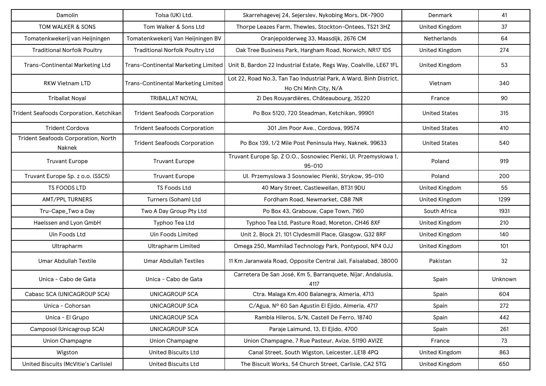| Damolin                                       | Tolsa (UK) Ltd.                        | Skarrehagevej 24, Sejerslev, Nykobing Mors, DK-7900                                         | Denmark               | 41      |
|-----------------------------------------------|----------------------------------------|---------------------------------------------------------------------------------------------|-----------------------|---------|
| TOM WALKER & SONS                             | Tom Walker & Sons Ltd                  | Thorpe Leazes Farm, Thewles, Stockton-Ontees, TS21 3HZ                                      | <b>United Kingdom</b> | 37      |
| Tomatenkwekerij van Heijningen                | Tomatenkwekerij Van Heijningen BV      | Oranjepolderweg 33, Maasdijk, 2676 CM                                                       | <b>Netherlands</b>    | 64      |
| <b>Traditional Norfolk Poultry</b>            | <b>Traditional Norfolk Poultry Ltd</b> | Oak Tree Business Park, Hargham Road, Norwich, NR17 1DS                                     | <b>United Kingdom</b> | 274     |
| Trans-Continental Marketing Ltd               | Trans-Continental Marketing Limited    | Unit B, Bardon 22 Industrial Estate, Regs Way, Coalville, LE67 1FL                          | <b>United Kingdom</b> | 53      |
| <b>RKW Vietnam LTD</b>                        | Trans-Continental Marketing Limited    | Lot 22, Road No.3, Tan Tao Industrial Park, A Ward, Binh District,<br>Ho Chi Minh City, N/A | Vietnam               | 340     |
| <b>Triballat Noyal</b>                        | <b>TRIBALLAT NOYAL</b>                 | Zi Des Rouyardières, Châteaubourg, 35220                                                    | France                | 90      |
| Trident Seafoods Corporation, Ketchikan       | <b>Trident Seafoods Corporation</b>    | Po Box 5120, 720 Steadman, Ketchikan, 99901                                                 | United States         | 315     |
| <b>Trident Cordova</b>                        | <b>Trident Seafoods Corporation</b>    | 301 Jim Poor Ave., Cordova, 99574                                                           | <b>United States</b>  | 410     |
| Trident Seafoods Corporation, North<br>Naknek | <b>Trident Seafoods Corporation</b>    | Po Box 139, 1/2 Mile Post Peninsula Hwy, Naknek, 99633                                      | <b>United States</b>  | 540     |
| <b>Truvant Europe</b>                         | <b>Truvant Europe</b>                  | Truvant Europe Sp. Z O.O., Sosnowiec Pienki, UI. Przemysłowa 1,<br>$95 - 010$               | Poland                | 919     |
| Truvant Europe Sp. z o.o. (SSC5)              | <b>Truvant Europe</b>                  | UI. Przemyslowa 3 Sosnowiec Pienki, Strykow, 95-010                                         | Poland                | 200     |
| TS FOODS LTD                                  | TS Foods Ltd                           | 40 Mary Street, Castlewellan, BT31 9DU                                                      | <b>United Kingdom</b> | 55      |
| <b>AMT/PPL TURNERS</b>                        | Turners (Soham) Ltd                    | Fordham Road, Newmarket, CB8 7NR                                                            | <b>United Kingdom</b> | 1299    |
| Tru-Cape_Two a Day                            | Two A Day Group Pty Ltd                | Po Box 43, Grabouw, Cape Town, 7160                                                         | South Africa          | 1931    |
| Haelssen and Lyon GmbH                        | Typhoo Tea Ltd                         | Typhoo Tea Ltd, Pasture Road, Moreton, CH46 8XF                                             | <b>United Kingdom</b> | 210     |
| Uin Foods Ltd                                 | Uin Foods Limited                      | Unit 2, Block 21, 101 Clydesmill Place, Glasgow, G32 8RF                                    | <b>United Kingdom</b> | 140     |
| Ultrapharm                                    | <b>Ultrapharm Limited</b>              | Omega 250, Mamhilad Technology Park, Pontypool, NP4 0JJ                                     | <b>United Kingdom</b> | 101     |
| Umar Abdullah Textile                         | <b>Umar Abdullah Textiles</b>          | 11 Km Jaranwala Road, Opposite Central Jail, Faisalabad, 38000                              | Pakistan              | 32      |
| Unica - Cabo de Gata                          | Unica - Cabo de Gata                   | Carretera De San José, Km 5, Barranquete, Níjar, Andalusia,<br>4117                         | Spain                 | Unknown |
| Cabasc SCA (UNICAGROUP SCA)                   | <b>UNICAGROUP SCA</b>                  | Ctra. Malaga Km.400 Balanegra, Almeria, 4713                                                | Spain                 | 604     |
| Unica - Cohorsan                              | UNICAGROUP SCA                         | C/Agua, Nº 60 San Agustin El Ejido, Almeria, 4717                                           | Spain                 | 272     |
| Unica - El Grupo                              | <b>UNICAGROUP SCA</b>                  | Rambla Hileros, S/N, Castell De Ferro, 18740                                                | Spain                 | 442     |
| Camposol (Unicagroup SCA)                     | UNICAGROUP SCA                         | Paraje Laimund, 13, El Ejido, 4700                                                          | Spain                 | 261     |
| Union Champagne                               | Union Champagne                        | Union Champagne, 7 Rue Pasteur, Avize, 51190 AVIZE                                          | France                | 73      |
| Wigston                                       | <b>United Biscuits Ltd</b>             | Canal Street, South Wigston, Leicester, LE18 4PQ                                            | <b>United Kingdom</b> | 863     |
| United Biscuits (McVitie's Carlisle)          | <b>United Biscuits Ltd</b>             | The Biscuit Works, 54 Church Street, Carlisle, CA2 5TG                                      | <b>United Kingdom</b> | 650     |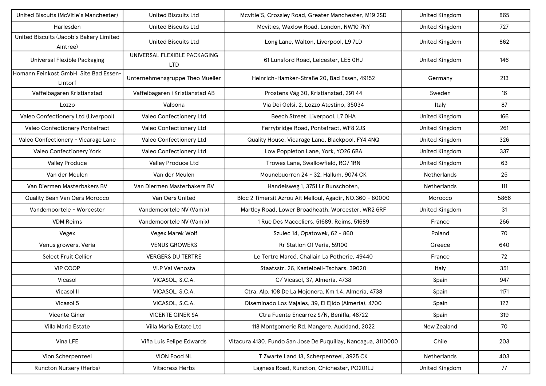| United Biscuits (McVitie's Manchester)              | <b>United Biscuits Ltd</b>                 | Mcvitie'S, Crossley Road, Greater Manchester, M19 2SD         | <b>United Kingdom</b> | 865  |
|-----------------------------------------------------|--------------------------------------------|---------------------------------------------------------------|-----------------------|------|
| Harlesden                                           | <b>United Biscuits Ltd</b>                 | Mcvities, Waxlow Road, London, NW10 7NY                       | <b>United Kingdom</b> | 727  |
| United Biscuits (Jacob's Bakery Limited<br>Aintree) | <b>United Biscuits Ltd</b>                 | Long Lane, Walton, Liverpool, L9 7LD                          | <b>United Kingdom</b> | 862  |
| <b>Universal Flexible Packaging</b>                 | UNIVERSAL FLEXIBLE PACKAGING<br><b>LTD</b> | 61 Lunsford Road, Leicester, LE5 OHJ                          | <b>United Kingdom</b> | 146  |
| Homann Feinkost GmbH, Site Bad Essen-<br>Lintorf    | Unternehmensgruppe Theo Mueller            | Heinrich-Hamker-Straße 20, Bad Essen, 49152                   | Germany               | 213  |
| Vaffelbagaren Kristianstad                          | Vaffelbagaren i Kristianstad AB            | Prostens Väg 30, Kristianstad, 291 44                         | Sweden                | 16   |
| Lozzo                                               | Valbona                                    | Via Dei Gelsi, 2, Lozzo Atestino, 35034                       | Italy                 | 87   |
| Valeo Confectionery Ltd (Liverpool)                 | Valeo Confectionery Ltd                    | Beech Street, Liverpool, L7 OHA                               | <b>United Kingdom</b> | 166  |
| Valeo Confectionery Pontefract                      | Valeo Confectionery Ltd                    | Ferrybridge Road, Pontefract, WF8 2JS                         | <b>United Kingdom</b> | 261  |
| Valeo Confectionery - Vicarage Lane                 | Valeo Confectionery Ltd                    | Quality House, Vicarage Lane, Blackpool, FY4 4NQ              | <b>United Kingdom</b> | 326  |
| Valeo Confectionery York                            | Valeo Confectionery Ltd                    | Low Poppleton Lane, York, YO26 6BA                            | <b>United Kingdom</b> | 337  |
| <b>Valley Produce</b>                               | Valley Produce Ltd                         | Trowes Lane, Swallowfield, RG7 1RN                            | <b>United Kingdom</b> | 63   |
| Van der Meulen                                      | Van der Meulen                             | Mounebuorren 24 - 32, Hallum, 9074 CK                         | <b>Netherlands</b>    | 25   |
| Van Diermen Masterbakers BV                         | Van Diermen Masterbakers BV                | Handelsweg 1, 3751 Lr Bunschoten,                             | <b>Netherlands</b>    | 111  |
| Quality Bean Van Oers Morocco                       | Van Oers United                            | Bloc 2 Timersit Azrou Ait Melloul, Agadir, NO.360 - 80000     | Morocco               | 5866 |
| Vandemoortele - Worcester                           | Vandemoortele NV (Vamix)                   | Martley Road, Lower Broadheath, Worcester, WR2 6RF            | <b>United Kingdom</b> | 31   |
| <b>VDM Reims</b>                                    | Vandemoortele NV (Vamix)                   | 1 Rue Des Macecliers, 51689, Reims, 51689                     | France                | 266  |
| Vegex                                               | Vegex Marek Wolf                           | Szulec 14, Opatowek, 62 - 860                                 | Poland                | 70   |
| Venus growers, Veria                                | <b>VENUS GROWERS</b>                       | Rr Station Of Veria, 59100                                    | Greece                | 640  |
| Select Fruit Cellier                                | <b>VERGERS DU TERTRE</b>                   | Le Tertre Marcé, Challain La Potherie, 49440                  | France                | 72   |
| <b>VIP COOP</b>                                     | Vi.P Val Venosta                           | Staatsstr. 26, Kastelbell-Tschars, 39020                      | Italy                 | 351  |
| Vicasol                                             | VICASOL, S.C.A.                            | C/ Vicasol, 37, Almería, 4738                                 | Spain                 | 947  |
| Vicasol II                                          | VICASOL, S.C.A.                            | Ctra. Alp. 108 De La Mojonera, Km 1.4, Almería, 4738          | Spain                 | 1171 |
| Vicasol 5                                           | VICASOL, S.C.A.                            | Diseminado Los Majales, 39, El Ejido (Almería), 4700          | Spain                 | 122  |
| Vicente Giner                                       | <b>VICENTE GINER SA</b>                    | Ctra Fuente Encarroz S/N, Benifla, 46722                      | Spain                 | 319  |
| Villa Maria Estate                                  | Villa Maria Estate Ltd                     | 118 Montgomerie Rd, Mangere, Auckland, 2022                   | New Zealand           | 70   |
| Vina LFE                                            | Viña Luis Felipe Edwards                   | Vitacura 4130, Fundo San Jose De Puquillay, Nancagua, 3110000 | Chile                 | 203  |
| Vion Scherpenzeel                                   | VION Food NL                               | T Zwarte Land 13, Scherpenzeel, 3925 CK                       | Netherlands           | 403  |
| Runcton Nursery (Herbs)                             | <b>Vitacress Herbs</b>                     | Lagness Road, Runcton, Chichester, PO201LJ                    | <b>United Kingdom</b> | 77   |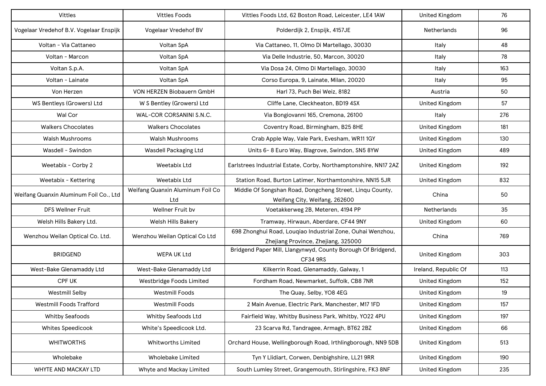| Vittles                                 | <b>Vittles Foods</b>                    | Vittles Foods Ltd, 62 Boston Road, Leicester, LE4 1AW                                             | <b>United Kingdom</b> | 76  |
|-----------------------------------------|-----------------------------------------|---------------------------------------------------------------------------------------------------|-----------------------|-----|
| Vogelaar Vredehof B.V. Vogelaar Enspijk | Vogelaar Vredehof BV                    | Polderdijk 2, Enspijk, 4157JE                                                                     | <b>Netherlands</b>    | 96  |
| Voltan - Via Cattaneo                   | Voltan SpA                              | Via Cattaneo, 11, Olmo Di Martellago, 30030                                                       | Italy                 | 48  |
| Voltan - Marcon                         | Voltan SpA                              | Via Delle Industrie, 50, Marcon, 30020                                                            | Italy                 | 78  |
| Voltan S.p.A.                           | Voltan SpA                              | Via Dosa 24, Olmo Di Martellago, 30030                                                            | Italy                 | 163 |
| Voltan - Lainate                        | Voltan SpA                              | Corso Europa, 9, Lainate, Milan, 20020                                                            | Italy                 | 95  |
| Von Herzen                              | VON HERZEN Biobauern GmbH               | Harl 73, Puch Bei Weiz, 8182                                                                      | Austria               | 50  |
| WS Bentleys (Growers) Ltd               | W S Bentley (Growers) Ltd               | Cliffe Lane, Cleckheaton, BD19 4SX                                                                | <b>United Kingdom</b> | 57  |
| Wal Cor                                 | WAL-COR CORSANINI S.N.C.                | Via Bongiovanni 165, Cremona, 26100                                                               | Italy                 | 276 |
| <b>Walkers Chocolates</b>               | <b>Walkers Chocolates</b>               | Coventry Road, Birmingham, B25 8HE                                                                | <b>United Kingdom</b> | 181 |
| <b>Walsh Mushrooms</b>                  | Walsh Mushrooms                         | Crab Apple Way, Vale Park, Evesham, WR11 1GY                                                      | <b>United Kingdom</b> | 130 |
| Wasdell - Swindon                       | Wasdell Packaging Ltd                   | Units 6-8 Euro Way, Blagrove, Swindon, SN5 8YW                                                    | <b>United Kingdom</b> | 489 |
| Weetabix - Corby 2                      | Weetabix Ltd                            | Earlstrees Industrial Estate, Corby, Northamptonshire, NN17 2AZ                                   | <b>United Kingdom</b> | 192 |
| Weetabix - Kettering                    | Weetabix Ltd                            | Station Road, Burton Latimer, Northamtonshire, NN15 5JR                                           | <b>United Kingdom</b> | 832 |
| Weifang Quanxin Aluminum Foil Co., Ltd  | Weifang Quanxin Aluminum Foil Co<br>Ltd | Middle Of Songshan Road, Dongcheng Street, Linqu County,<br>Weifang City, Weifang, 262600         | China                 | 50  |
| <b>DFS Wellner Fruit</b>                | Wellner Fruit bv                        | Voetakkerweg 2B, Meteren, 4194 PP                                                                 | Netherlands           | 35  |
| Welsh Hills Bakery Ltd.                 | Welsh Hills Bakery                      | Tramway, Hirwaun, Aberdare, CF44 9NY                                                              | United Kingdom        | 60  |
| Wenzhou Weilan Optical Co. Ltd.         | Wenzhou Weilan Optical Co Ltd           | 698 Zhonghui Road, Louqiao Industrial Zone, Ouhai Wenzhou,<br>Zhejiang Province, Zhejiang, 325000 | China                 | 769 |
| <b>BRIDGEND</b>                         | <b>WEPA UK Ltd</b>                      | Bridgend Paper Mill, Llangynwyd, County Borough Of Bridgend,<br><b>CF34 9RS</b>                   | <b>United Kingdom</b> | 303 |
| West-Bake Glenamaddy Ltd                | West-Bake Glenamaddy Ltd                | Kilkerrin Road, Glenamaddy, Galway, 1                                                             | Ireland, Republic Of  | 113 |
| <b>CPF UK</b>                           | Westbridge Foods Limited                | Fordham Road, Newmarket, Suffolk, CB8 7NR                                                         | <b>United Kingdom</b> | 152 |
| <b>Westmill Selby</b>                   | <b>Westmill Foods</b>                   | The Quay, Selby, YO8 4EG                                                                          | <b>United Kingdom</b> | 19  |
| Westmill Foods Trafford                 | <b>Westmill Foods</b>                   | 2 Main Avenue, Electric Park, Manchester, M17 1FD                                                 | <b>United Kingdom</b> | 157 |
| <b>Whitby Seafoods</b>                  | Whitby Seafoods Ltd                     | Fairfield Way, Whitby Business Park, Whitby, YO22 4PU                                             | <b>United Kingdom</b> | 197 |
| Whites Speedicook                       | White's Speedicook Ltd.                 | 23 Scarva Rd, Tandragee, Armagh, BT62 2BZ                                                         | <b>United Kingdom</b> | 66  |
| <b>WHITWORTHS</b>                       | Whitworths Limited                      | Orchard House, Wellingborough Road, Irthlingborough, NN9 5DB                                      | <b>United Kingdom</b> | 513 |
| Wholebake                               | Wholebake Limited                       | Tyn Y Llidiart, Corwen, Denbighshire, LL21 9RR                                                    | <b>United Kingdom</b> | 190 |
| WHYTE AND MACKAY LTD                    | Whyte and Mackay Limited                | South Lumley Street, Grangemouth, Stirlingshire, FK3 8NF                                          | <b>United Kingdom</b> | 235 |